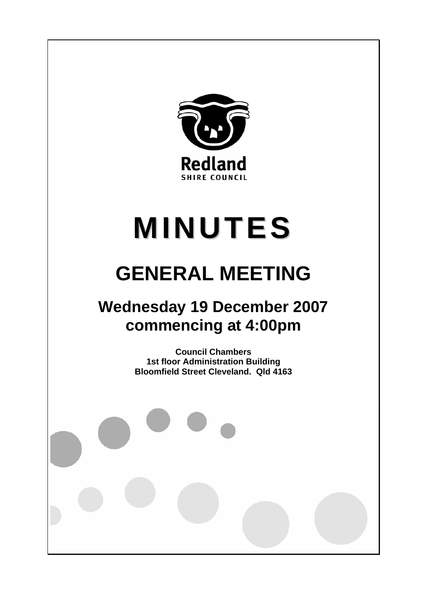

# **MINUTES**

# **GENERAL MEETING**

## **Wednesday 19 December 2007 commencing at 4:00pm**

**Council Chambers 1st floor Administration Building Bloomfield Street Cleveland. Qld 4163**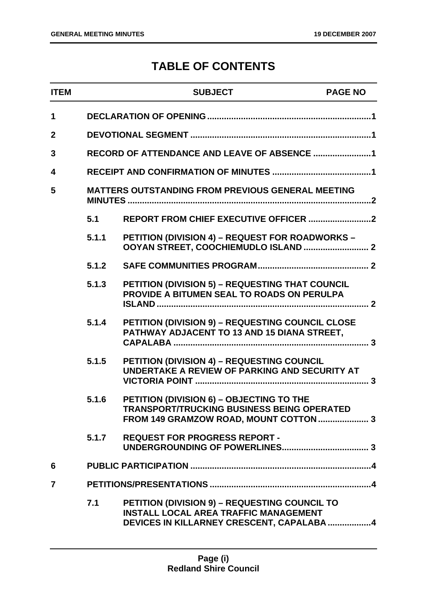### **TABLE OF CONTENTS**

| <b>ITEM</b>    |       | <b>SUBJECT</b>                                                                                                                             | <b>PAGE NO</b> |
|----------------|-------|--------------------------------------------------------------------------------------------------------------------------------------------|----------------|
| 1              |       |                                                                                                                                            |                |
| $\mathbf{2}$   |       |                                                                                                                                            |                |
| 3              |       |                                                                                                                                            |                |
| 4              |       |                                                                                                                                            |                |
| 5              |       | MATTERS OUTSTANDING FROM PREVIOUS GENERAL MEETING                                                                                          |                |
|                | 5.1   |                                                                                                                                            |                |
|                | 5.1.1 | PETITION (DIVISION 4) - REQUEST FOR ROADWORKS -                                                                                            |                |
|                | 5.1.2 |                                                                                                                                            |                |
|                | 5.1.3 | <b>PETITION (DIVISION 5) - REQUESTING THAT COUNCIL</b><br>PROVIDE A BITUMEN SEAL TO ROADS ON PERULPA                                       |                |
|                | 5.1.4 | PETITION (DIVISION 9) - REQUESTING COUNCIL CLOSE<br>PATHWAY ADJACENT TO 13 AND 15 DIANA STREET,                                            |                |
|                | 5.1.5 | PETITION (DIVISION 4) - REQUESTING COUNCIL<br>UNDERTAKE A REVIEW OF PARKING AND SECURITY AT                                                |                |
|                | 5.1.6 | PETITION (DIVISION 6) - OBJECTING TO THE<br><b>TRANSPORT/TRUCKING BUSINESS BEING OPERATED</b><br>FROM 149 GRAMZOW ROAD, MOUNT COTTON  3    |                |
|                | 5.1.7 | <b>REQUEST FOR PROGRESS REPORT -</b>                                                                                                       |                |
| 6              |       |                                                                                                                                            |                |
| $\overline{7}$ |       |                                                                                                                                            |                |
|                | 7.1   | PETITION (DIVISION 9) - REQUESTING COUNCIL TO<br><b>INSTALL LOCAL AREA TRAFFIC MANAGEMENT</b><br>DEVICES IN KILLARNEY CRESCENT, CAPALABA 4 |                |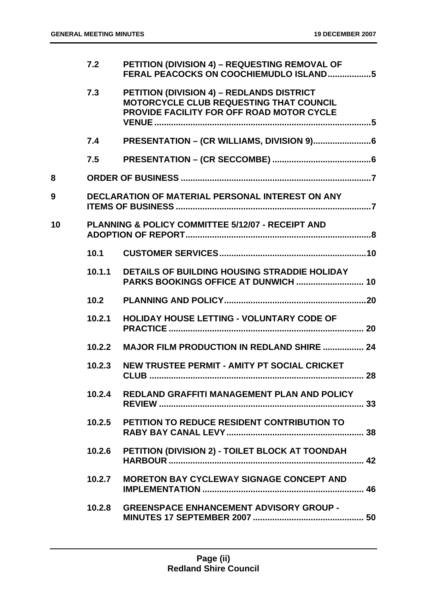|    | 7.2    | PETITION (DIVISION 4) - REQUESTING REMOVAL OF<br>FERAL PEACOCKS ON COOCHIEMUDLO ISLAND5                                           |    |
|----|--------|-----------------------------------------------------------------------------------------------------------------------------------|----|
|    | 7.3    | PETITION (DIVISION 4) - REDLANDS DISTRICT<br>MOTORCYCLE CLUB REQUESTING THAT COUNCIL<br>PROVIDE FACILITY FOR OFF ROAD MOTOR CYCLE |    |
|    | 7.4    |                                                                                                                                   |    |
|    | 7.5    |                                                                                                                                   |    |
| 8  |        |                                                                                                                                   |    |
| 9  |        | <b>DECLARATION OF MATERIAL PERSONAL INTEREST ON ANY</b>                                                                           |    |
| 10 |        | <b>PLANNING &amp; POLICY COMMITTEE 5/12/07 - RECEIPT AND</b>                                                                      |    |
|    | 10.1   |                                                                                                                                   |    |
|    | 10.1.1 | DETAILS OF BUILDING HOUSING STRADDIE HOLIDAY                                                                                      |    |
|    | 10.2   |                                                                                                                                   |    |
|    |        |                                                                                                                                   |    |
|    | 10.2.1 | <b>HOLIDAY HOUSE LETTING - VOLUNTARY CODE OF</b>                                                                                  |    |
|    | 10.2.2 | <b>MAJOR FILM PRODUCTION IN REDLAND SHIRE  24</b>                                                                                 |    |
|    | 10.2.3 | NEW TRUSTEE PERMIT - AMITY PT SOCIAL CRICKET                                                                                      |    |
|    | 10.2.4 | REDLAND GRAFFITI MANAGEMENT PLAN AND POLICY                                                                                       |    |
|    | 10.2.5 | <b>PETITION TO REDUCE RESIDENT CONTRIBUTION TO</b>                                                                                | 38 |
|    | 10.2.6 | PETITION (DIVISION 2) - TOILET BLOCK AT TOONDAH                                                                                   |    |
|    | 10.2.7 | <b>MORETON BAY CYCLEWAY SIGNAGE CONCEPT AND</b>                                                                                   |    |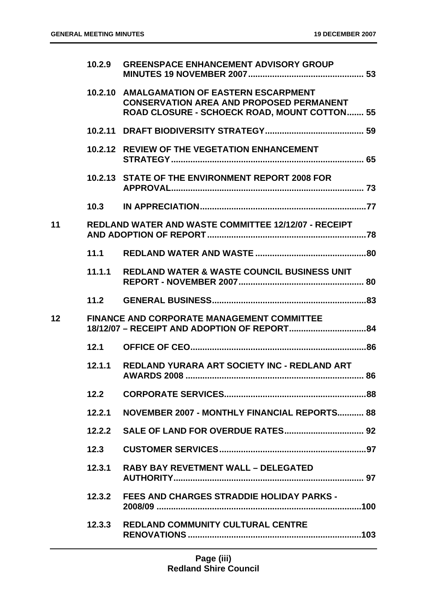|    | 10.2.9 | <b>GREENSPACE ENHANCEMENT ADVISORY GROUP</b>                                                                                                         |  |
|----|--------|------------------------------------------------------------------------------------------------------------------------------------------------------|--|
|    |        | 10.2.10 AMALGAMATION OF EASTERN ESCARPMENT<br><b>CONSERVATION AREA AND PROPOSED PERMANENT</b><br><b>ROAD CLOSURE - SCHOECK ROAD, MOUNT COTTON 55</b> |  |
|    |        |                                                                                                                                                      |  |
|    |        | 10.2.12 REVIEW OF THE VEGETATION ENHANCEMENT                                                                                                         |  |
|    |        | 10.2.13 STATE OF THE ENVIRONMENT REPORT 2008 FOR                                                                                                     |  |
|    |        |                                                                                                                                                      |  |
| 11 |        | <b>REDLAND WATER AND WASTE COMMITTEE 12/12/07 - RECEIPT</b>                                                                                          |  |
|    | 11.1   |                                                                                                                                                      |  |
|    | 11.1.1 | <b>REDLAND WATER &amp; WASTE COUNCIL BUSINESS UNIT</b>                                                                                               |  |
|    | 11.2   |                                                                                                                                                      |  |
| 12 |        | <b>FINANCE AND CORPORATE MANAGEMENT COMMITTEE</b>                                                                                                    |  |
|    | 12.1   |                                                                                                                                                      |  |
|    | 12.1.1 | REDLAND YURARA ART SOCIETY INC - REDLAND ART                                                                                                         |  |
|    | 12.2   |                                                                                                                                                      |  |
|    | 12.2.1 | NOVEMBER 2007 - MONTHLY FINANCIAL REPORTS 88                                                                                                         |  |
|    |        |                                                                                                                                                      |  |
|    | 12.3   |                                                                                                                                                      |  |
|    | 12.3.1 | <b>RABY BAY REVETMENT WALL - DELEGATED</b>                                                                                                           |  |
|    |        | 12.3.2 FEES AND CHARGES STRADDIE HOLIDAY PARKS -                                                                                                     |  |
|    | 12.3,3 | <b>REDLAND COMMUNITY CULTURAL CENTRE</b>                                                                                                             |  |
|    |        |                                                                                                                                                      |  |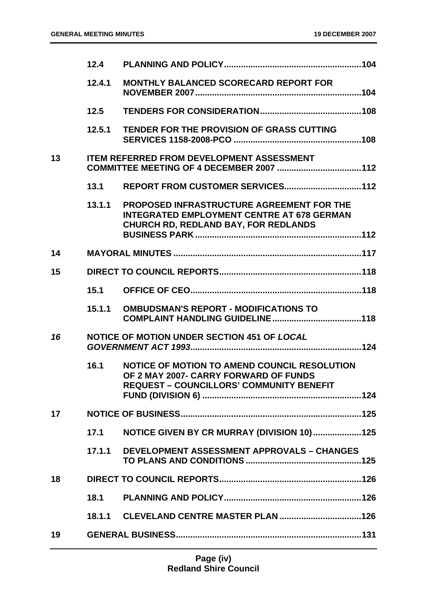|    | 12.4   |                                                                                                                                               |  |
|----|--------|-----------------------------------------------------------------------------------------------------------------------------------------------|--|
|    | 12.4.1 | <b>MONTHLY BALANCED SCORECARD REPORT FOR</b>                                                                                                  |  |
|    | 12.5   |                                                                                                                                               |  |
|    | 12.5.1 | TENDER FOR THE PROVISION OF GRASS CUTTING                                                                                                     |  |
| 13 |        | <b>ITEM REFERRED FROM DEVELOPMENT ASSESSMENT</b>                                                                                              |  |
|    | 13.1   |                                                                                                                                               |  |
|    | 13.1.1 | PROPOSED INFRASTRUCTURE AGREEMENT FOR THE<br><b>INTEGRATED EMPLOYMENT CENTRE AT 678 GERMAN</b><br><b>CHURCH RD, REDLAND BAY, FOR REDLANDS</b> |  |
| 14 |        |                                                                                                                                               |  |
| 15 |        |                                                                                                                                               |  |
|    | 15.1   |                                                                                                                                               |  |
|    |        | 15.1.1 OMBUDSMAN'S REPORT - MODIFICATIONS TO                                                                                                  |  |
| 16 |        | NOTICE OF MOTION UNDER SECTION 451 OF LOCAL                                                                                                   |  |
|    | 16.1   | NOTICE OF MOTION TO AMEND COUNCIL RESOLUTION<br>OF 2 MAY 2007- CARRY FORWARD OF FUNDS<br><b>REQUEST - COUNCILLORS' COMMUNITY BENEFIT</b>      |  |
| 17 |        |                                                                                                                                               |  |
|    | 17.1   | NOTICE GIVEN BY CR MURRAY (DIVISION 10)125                                                                                                    |  |
|    |        | 17.1.1 DEVELOPMENT ASSESSMENT APPROVALS - CHANGES                                                                                             |  |
| 18 |        |                                                                                                                                               |  |
|    | 18.1   |                                                                                                                                               |  |
|    |        |                                                                                                                                               |  |
| 19 |        |                                                                                                                                               |  |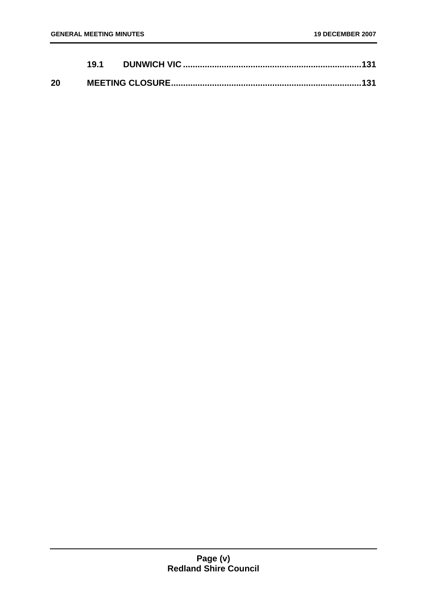|    | 19.1 |  |
|----|------|--|
| 20 |      |  |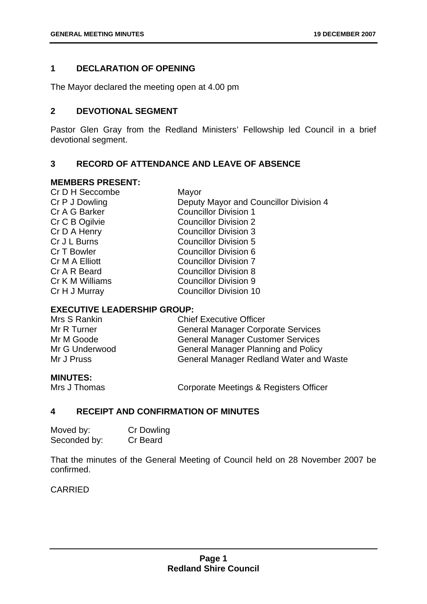#### **1 DECLARATION OF OPENING**

The Mayor declared the meeting open at 4.00 pm

#### **2 DEVOTIONAL SEGMENT**

Pastor Glen Gray from the Redland Ministers' Fellowship led Council in a brief devotional segment.

#### **3 RECORD OF ATTENDANCE AND LEAVE OF ABSENCE**

#### **MEMBERS PRESENT:**

| Cr D H Seccombe | Mayor                                  |
|-----------------|----------------------------------------|
| Cr P J Dowling  | Deputy Mayor and Councillor Division 4 |
| Cr A G Barker   | <b>Councillor Division 1</b>           |
| Cr C B Ogilvie  | <b>Councillor Division 2</b>           |
| Cr D A Henry    | <b>Councillor Division 3</b>           |
| Cr J L Burns    | <b>Councillor Division 5</b>           |
| Cr T Bowler     | Councillor Division 6                  |
| Cr M A Elliott  | <b>Councillor Division 7</b>           |
| Cr A R Beard    | <b>Councillor Division 8</b>           |
| Cr K M Williams | <b>Councillor Division 9</b>           |
| Cr H J Murray   | <b>Councillor Division 10</b>          |
|                 |                                        |

#### **EXECUTIVE LEADERSHIP GROUP:**

| Mrs S Rankin   | <b>Chief Executive Officer</b>                 |
|----------------|------------------------------------------------|
| Mr R Turner    | <b>General Manager Corporate Services</b>      |
| Mr M Goode     | <b>General Manager Customer Services</b>       |
| Mr G Underwood | <b>General Manager Planning and Policy</b>     |
| Mr J Pruss     | <b>General Manager Redland Water and Waste</b> |
|                |                                                |

#### **MINUTES:**

Mrs J Thomas **Corporate Meetings & Registers Officer** 

#### **4 RECEIPT AND CONFIRMATION OF MINUTES**

| Moved by:    | Cr Dowling |
|--------------|------------|
| Seconded by: | Cr Beard   |

That the minutes of the General Meeting of Council held on 28 November 2007 be confirmed.

CARRIED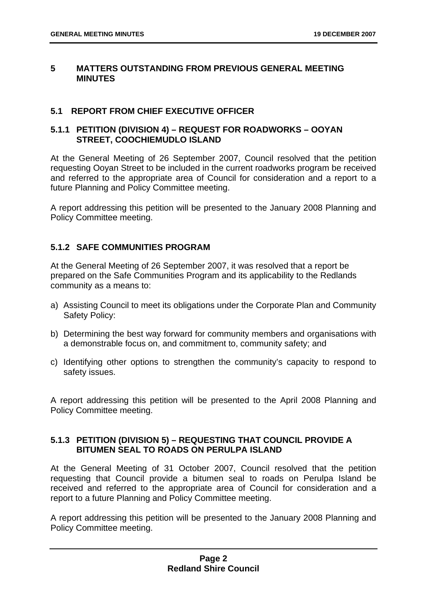#### **5 MATTERS OUTSTANDING FROM PREVIOUS GENERAL MEETING MINUTES**

#### **5.1 REPORT FROM CHIEF EXECUTIVE OFFICER**

#### **5.1.1 PETITION (DIVISION 4) – REQUEST FOR ROADWORKS – OOYAN STREET, COOCHIEMUDLO ISLAND**

At the General Meeting of 26 September 2007, Council resolved that the petition requesting Ooyan Street to be included in the current roadworks program be received and referred to the appropriate area of Council for consideration and a report to a future Planning and Policy Committee meeting.

A report addressing this petition will be presented to the January 2008 Planning and Policy Committee meeting.

#### **5.1.2 SAFE COMMUNITIES PROGRAM**

At the General Meeting of 26 September 2007, it was resolved that a report be prepared on the Safe Communities Program and its applicability to the Redlands community as a means to:

- a) Assisting Council to meet its obligations under the Corporate Plan and Community Safety Policy:
- b) Determining the best way forward for community members and organisations with a demonstrable focus on, and commitment to, community safety; and
- c) Identifying other options to strengthen the community's capacity to respond to safety issues.

A report addressing this petition will be presented to the April 2008 Planning and Policy Committee meeting.

#### **5.1.3 PETITION (DIVISION 5) – REQUESTING THAT COUNCIL PROVIDE A BITUMEN SEAL TO ROADS ON PERULPA ISLAND**

At the General Meeting of 31 October 2007, Council resolved that the petition requesting that Council provide a bitumen seal to roads on Perulpa Island be received and referred to the appropriate area of Council for consideration and a report to a future Planning and Policy Committee meeting.

A report addressing this petition will be presented to the January 2008 Planning and Policy Committee meeting.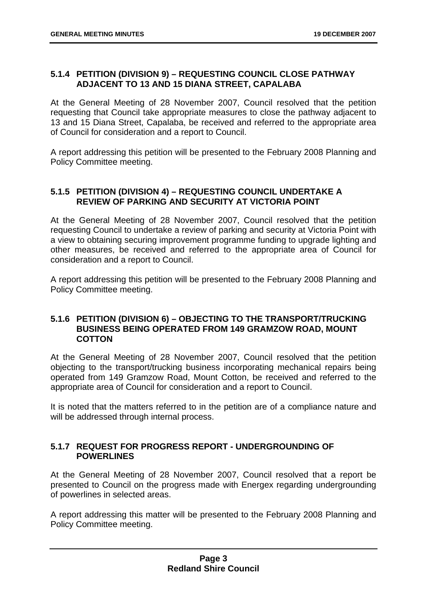#### **5.1.4 PETITION (DIVISION 9) – REQUESTING COUNCIL CLOSE PATHWAY ADJACENT TO 13 AND 15 DIANA STREET, CAPALABA**

At the General Meeting of 28 November 2007, Council resolved that the petition requesting that Council take appropriate measures to close the pathway adjacent to 13 and 15 Diana Street, Capalaba, be received and referred to the appropriate area of Council for consideration and a report to Council.

A report addressing this petition will be presented to the February 2008 Planning and Policy Committee meeting.

#### **5.1.5 PETITION (DIVISION 4) – REQUESTING COUNCIL UNDERTAKE A REVIEW OF PARKING AND SECURITY AT VICTORIA POINT**

At the General Meeting of 28 November 2007, Council resolved that the petition requesting Council to undertake a review of parking and security at Victoria Point with a view to obtaining securing improvement programme funding to upgrade lighting and other measures, be received and referred to the appropriate area of Council for consideration and a report to Council.

A report addressing this petition will be presented to the February 2008 Planning and Policy Committee meeting.

#### **5.1.6 PETITION (DIVISION 6) – OBJECTING TO THE TRANSPORT/TRUCKING BUSINESS BEING OPERATED FROM 149 GRAMZOW ROAD, MOUNT COTTON**

At the General Meeting of 28 November 2007, Council resolved that the petition objecting to the transport/trucking business incorporating mechanical repairs being operated from 149 Gramzow Road, Mount Cotton, be received and referred to the appropriate area of Council for consideration and a report to Council.

It is noted that the matters referred to in the petition are of a compliance nature and will be addressed through internal process.

#### **5.1.7 REQUEST FOR PROGRESS REPORT - UNDERGROUNDING OF POWERLINES**

At the General Meeting of 28 November 2007, Council resolved that a report be presented to Council on the progress made with Energex regarding undergrounding of powerlines in selected areas.

A report addressing this matter will be presented to the February 2008 Planning and Policy Committee meeting.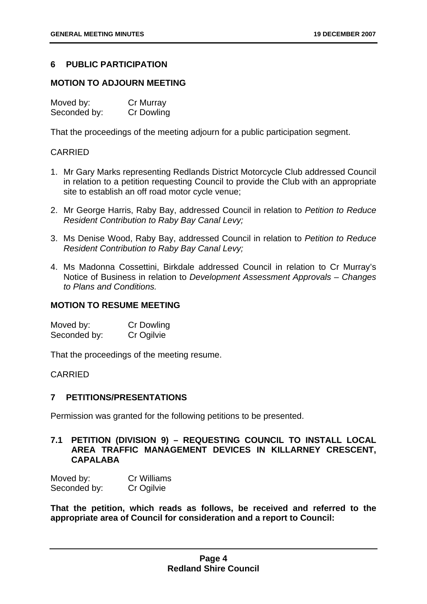#### **6 PUBLIC PARTICIPATION**

#### **MOTION TO ADJOURN MEETING**

| Moved by:    | Cr Murray         |
|--------------|-------------------|
| Seconded by: | <b>Cr Dowling</b> |

That the proceedings of the meeting adjourn for a public participation segment.

#### CARRIED

- 1. Mr Gary Marks representing Redlands District Motorcycle Club addressed Council in relation to a petition requesting Council to provide the Club with an appropriate site to establish an off road motor cycle venue;
- 2. Mr George Harris, Raby Bay, addressed Council in relation to *Petition to Reduce Resident Contribution to Raby Bay Canal Levy;*
- 3. Ms Denise Wood, Raby Bay, addressed Council in relation to *Petition to Reduce Resident Contribution to Raby Bay Canal Levy;*
- 4. Ms Madonna Cossettini, Birkdale addressed Council in relation to Cr Murray's Notice of Business in relation to *Development Assessment Approvals – Changes to Plans and Conditions.*

#### **MOTION TO RESUME MEETING**

Moved by: Cr Dowling<br>
Seconded by: Cr Ogilvie Seconded by:

That the proceedings of the meeting resume.

CARRIED

#### **7 PETITIONS/PRESENTATIONS**

Permission was granted for the following petitions to be presented.

#### **7.1 PETITION (DIVISION 9) – REQUESTING COUNCIL TO INSTALL LOCAL AREA TRAFFIC MANAGEMENT DEVICES IN KILLARNEY CRESCENT, CAPALABA**

| Moved by:    | <b>Cr Williams</b> |
|--------------|--------------------|
| Seconded by: | Cr Ogilvie         |

**That the petition, which reads as follows, be received and referred to the appropriate area of Council for consideration and a report to Council:**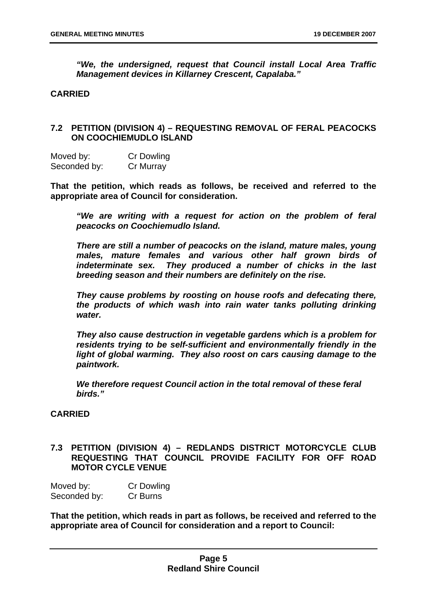*"We, the undersigned, request that Council install Local Area Traffic Management devices in Killarney Crescent, Capalaba."*

#### **CARRIED**

#### **7.2 PETITION (DIVISION 4) – REQUESTING REMOVAL OF FERAL PEACOCKS ON COOCHIEMUDLO ISLAND**

Moved by: Cr Dowling Seconded by: Cr Murray

**That the petition, which reads as follows, be received and referred to the appropriate area of Council for consideration.** 

*"We are writing with a request for action on the problem of feral peacocks on Coochiemudlo Island.* 

*There are still a number of peacocks on the island, mature males, young males, mature females and various other half grown birds of indeterminate sex. They produced a number of chicks in the last breeding season and their numbers are definitely on the rise.* 

*They cause problems by roosting on house roofs and defecating there, the products of which wash into rain water tanks polluting drinking water.* 

*They also cause destruction in vegetable gardens which is a problem for residents trying to be self-sufficient and environmentally friendly in the light of global warming. They also roost on cars causing damage to the paintwork.* 

*We therefore request Council action in the total removal of these feral birds."* 

#### **CARRIED**

#### **7.3 PETITION (DIVISION 4) – REDLANDS DISTRICT MOTORCYCLE CLUB REQUESTING THAT COUNCIL PROVIDE FACILITY FOR OFF ROAD MOTOR CYCLE VENUE**

Moved by: Cr Dowling Seconded by: Cr Burns

**That the petition, which reads in part as follows, be received and referred to the appropriate area of Council for consideration and a report to Council:**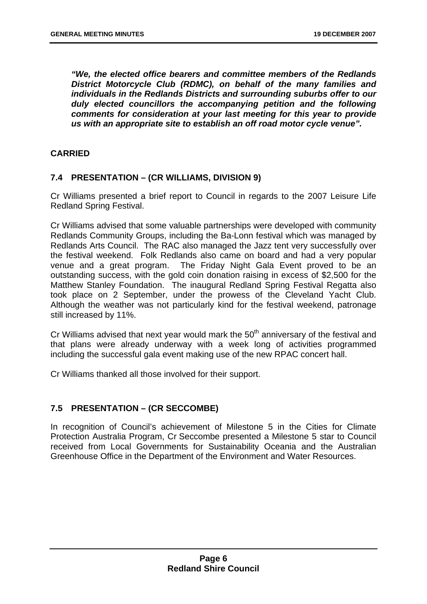*"We, the elected office bearers and committee members of the Redlands District Motorcycle Club (RDMC), on behalf of the many families and individuals in the Redlands Districts and surrounding suburbs offer to our duly elected councillors the accompanying petition and the following comments for consideration at your last meeting for this year to provide us with an appropriate site to establish an off road motor cycle venue".* 

#### **CARRIED**

#### **7.4 PRESENTATION – (CR WILLIAMS, DIVISION 9)**

Cr Williams presented a brief report to Council in regards to the 2007 Leisure Life Redland Spring Festival.

Cr Williams advised that some valuable partnerships were developed with community Redlands Community Groups, including the Ba-Lonn festival which was managed by Redlands Arts Council. The RAC also managed the Jazz tent very successfully over the festival weekend. Folk Redlands also came on board and had a very popular venue and a great program. The Friday Night Gala Event proved to be an outstanding success, with the gold coin donation raising in excess of \$2,500 for the Matthew Stanley Foundation. The inaugural Redland Spring Festival Regatta also took place on 2 September, under the prowess of the Cleveland Yacht Club. Although the weather was not particularly kind for the festival weekend, patronage still increased by 11%.

Cr Williams advised that next year would mark the  $50<sup>th</sup>$  anniversary of the festival and that plans were already underway with a week long of activities programmed including the successful gala event making use of the new RPAC concert hall.

Cr Williams thanked all those involved for their support.

#### **7.5 PRESENTATION – (CR SECCOMBE)**

In recognition of Council's achievement of Milestone 5 in the Cities for Climate Protection Australia Program, Cr Seccombe presented a Milestone 5 star to Council received from Local Governments for Sustainability Oceania and the Australian Greenhouse Office in the Department of the Environment and Water Resources.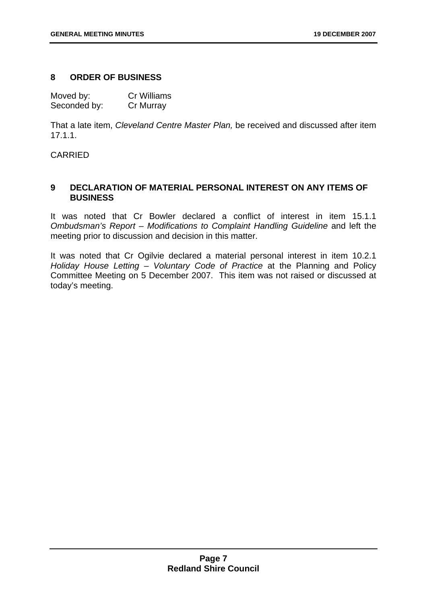#### **8 ORDER OF BUSINESS**

Moved by: Cr Williams Seconded by: Cr Murray

That a late item, *Cleveland Centre Master Plan,* be received and discussed after item 17.1.1.

CARRIED

#### **9 DECLARATION OF MATERIAL PERSONAL INTEREST ON ANY ITEMS OF BUSINESS**

It was noted that Cr Bowler declared a conflict of interest in item 15.1.1 *Ombudsman's Report – Modifications to Complaint Handling Guideline* and left the meeting prior to discussion and decision in this matter.

It was noted that Cr Ogilvie declared a material personal interest in item 10.2.1 *Holiday House Letting – Voluntary Code of Practice* at the Planning and Policy Committee Meeting on 5 December 2007. This item was not raised or discussed at today's meeting.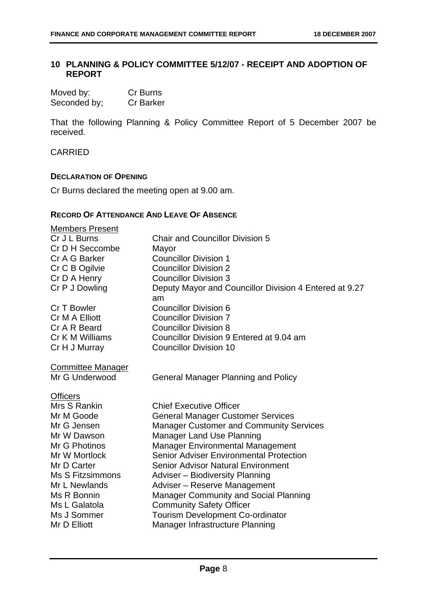#### **10 PLANNING & POLICY COMMITTEE 5/12/07 - RECEIPT AND ADOPTION OF REPORT**

| Moved by:    | Cr Burns         |
|--------------|------------------|
| Seconded by; | <b>Cr Barker</b> |

That the following Planning & Policy Committee Report of 5 December 2007 be received.

#### CARRIED

#### **DECLARATION OF OPENING**

Cr Burns declared the meeting open at 9.00 am.

#### **RECORD OF ATTENDANCE AND LEAVE OF ABSENCE**

| <b>Members Present</b>   |                                                        |
|--------------------------|--------------------------------------------------------|
| Cr J L Burns             | <b>Chair and Councillor Division 5</b>                 |
| Cr D H Seccombe          | Mayor                                                  |
| Cr A G Barker            | <b>Councillor Division 1</b>                           |
| Cr C B Ogilvie           | <b>Councillor Division 2</b>                           |
| Cr D A Henry             | <b>Councillor Division 3</b>                           |
| Cr P J Dowling           | Deputy Mayor and Councillor Division 4 Entered at 9.27 |
| Cr T Bowler              | am<br><b>Councillor Division 6</b>                     |
| Cr M A Elliott           | <b>Councillor Division 7</b>                           |
| Cr A R Beard             | <b>Councillor Division 8</b>                           |
| Cr K M Williams          | Councillor Division 9 Entered at 9.04 am               |
| Cr H J Murray            | <b>Councillor Division 10</b>                          |
| <b>Committee Manager</b> |                                                        |
| Mr G Underwood           | <b>General Manager Planning and Policy</b>             |
| <b>Officers</b>          |                                                        |
| Mrs S Rankin             | <b>Chief Executive Officer</b>                         |
| Mr M Goode               | <b>General Manager Customer Services</b>               |
| Mr G Jensen              | <b>Manager Customer and Community Services</b>         |
| Mr W Dawson              | <b>Manager Land Use Planning</b>                       |
| Mr G Photinos            | <b>Manager Environmental Management</b>                |
| Mr W Mortlock            | <b>Senior Adviser Environmental Protection</b>         |
| Mr D Carter              | <b>Senior Advisor Natural Environment</b>              |
| Ms S Fitzsimmons         | Adviser - Biodiversity Planning                        |
| Mr L Newlands            | Adviser - Reserve Management                           |
| Ms R Bonnin              | <b>Manager Community and Social Planning</b>           |
| Ms L Galatola            | <b>Community Safety Officer</b>                        |
| Ms J Sommer              | <b>Tourism Development Co-ordinator</b>                |
| Mr D Elliott             | Manager Infrastructure Planning                        |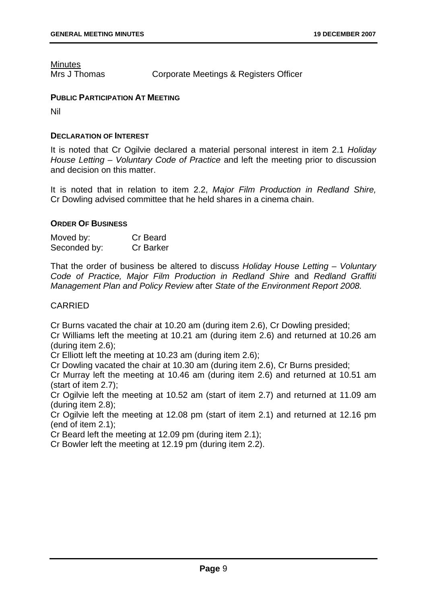**Minutes** 

Mrs J Thomas Corporate Meetings & Registers Officer

#### **PUBLIC PARTICIPATION AT MEETING**

Nil

#### **DECLARATION OF INTEREST**

It is noted that Cr Ogilvie declared a material personal interest in item 2.1 *Holiday House Letting – Voluntary Code of Practice* and left the meeting prior to discussion and decision on this matter.

It is noted that in relation to item 2.2, *Major Film Production in Redland Shire,* Cr Dowling advised committee that he held shares in a cinema chain.

#### **ORDER OF BUSINESS**

| Moved by:    | Cr Beard         |
|--------------|------------------|
| Seconded by: | <b>Cr Barker</b> |

That the order of business be altered to discuss *Holiday House Letting – Voluntary Code of Practice, Major Film Production in Redland Shire* and *Redland Graffiti Management Plan and Policy Review* after *State of the Environment Report 2008.*

#### CARRIED

Cr Burns vacated the chair at 10.20 am (during item 2.6), Cr Dowling presided;

Cr Williams left the meeting at 10.21 am (during item 2.6) and returned at 10.26 am (during item 2.6);

Cr Elliott left the meeting at 10.23 am (during item 2.6);

Cr Dowling vacated the chair at 10.30 am (during item 2.6), Cr Burns presided;

Cr Murray left the meeting at 10.46 am (during item 2.6) and returned at 10.51 am (start of item 2.7);

Cr Ogilvie left the meeting at 10.52 am (start of item 2.7) and returned at 11.09 am (during item 2.8);

Cr Ogilvie left the meeting at 12.08 pm (start of item 2.1) and returned at 12.16 pm (end of item 2.1);

Cr Beard left the meeting at 12.09 pm (during item 2.1);

Cr Bowler left the meeting at 12.19 pm (during item 2.2).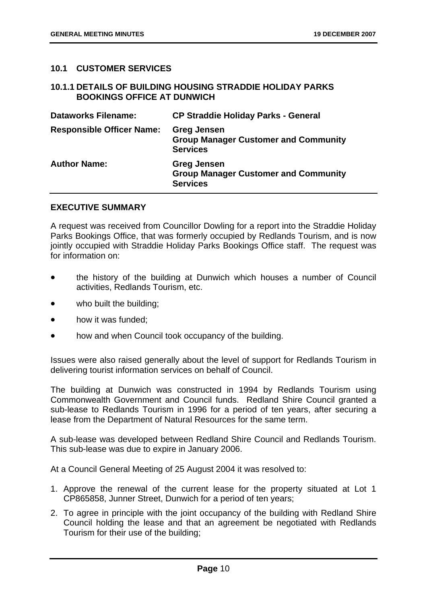#### **10.1 CUSTOMER SERVICES**

#### **10.1.1 DETAILS OF BUILDING HOUSING STRADDIE HOLIDAY PARKS BOOKINGS OFFICE AT DUNWICH**

| <b>Dataworks Filename:</b>       | <b>CP Straddie Holiday Parks - General</b>                                           |
|----------------------------------|--------------------------------------------------------------------------------------|
| <b>Responsible Officer Name:</b> | <b>Greg Jensen</b><br><b>Group Manager Customer and Community</b><br><b>Services</b> |
| <b>Author Name:</b>              | <b>Greg Jensen</b><br><b>Group Manager Customer and Community</b><br><b>Services</b> |

#### **EXECUTIVE SUMMARY**

A request was received from Councillor Dowling for a report into the Straddie Holiday Parks Bookings Office, that was formerly occupied by Redlands Tourism, and is now jointly occupied with Straddie Holiday Parks Bookings Office staff. The request was for information on:

- the history of the building at Dunwich which houses a number of Council activities, Redlands Tourism, etc.
- who built the building;
- how it was funded;
- how and when Council took occupancy of the building.

Issues were also raised generally about the level of support for Redlands Tourism in delivering tourist information services on behalf of Council.

The building at Dunwich was constructed in 1994 by Redlands Tourism using Commonwealth Government and Council funds. Redland Shire Council granted a sub-lease to Redlands Tourism in 1996 for a period of ten years, after securing a lease from the Department of Natural Resources for the same term.

A sub-lease was developed between Redland Shire Council and Redlands Tourism. This sub-lease was due to expire in January 2006.

At a Council General Meeting of 25 August 2004 it was resolved to:

- 1. Approve the renewal of the current lease for the property situated at Lot 1 CP865858, Junner Street, Dunwich for a period of ten years;
- 2. To agree in principle with the joint occupancy of the building with Redland Shire Council holding the lease and that an agreement be negotiated with Redlands Tourism for their use of the building;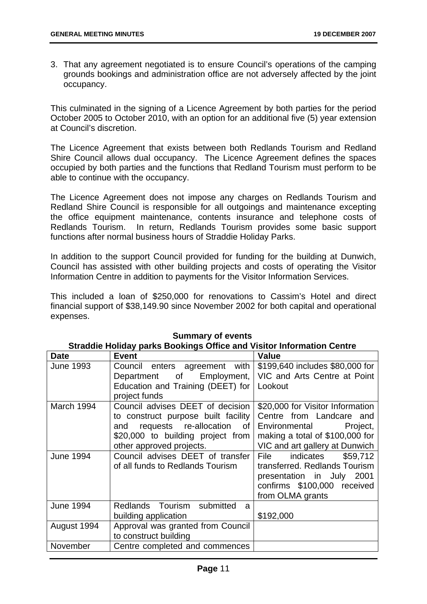3. That any agreement negotiated is to ensure Council's operations of the camping grounds bookings and administration office are not adversely affected by the joint occupancy.

This culminated in the signing of a Licence Agreement by both parties for the period October 2005 to October 2010, with an option for an additional five (5) year extension at Council's discretion.

The Licence Agreement that exists between both Redlands Tourism and Redland Shire Council allows dual occupancy. The Licence Agreement defines the spaces occupied by both parties and the functions that Redland Tourism must perform to be able to continue with the occupancy.

The Licence Agreement does not impose any charges on Redlands Tourism and Redland Shire Council is responsible for all outgoings and maintenance excepting the office equipment maintenance, contents insurance and telephone costs of Redlands Tourism. In return, Redlands Tourism provides some basic support functions after normal business hours of Straddie Holiday Parks.

In addition to the support Council provided for funding for the building at Dunwich, Council has assisted with other building projects and costs of operating the Visitor Information Centre in addition to payments for the Visitor Information Services.

This included a loan of \$250,000 for renovations to Cassim's Hotel and direct financial support of \$38,149.90 since November 2002 for both capital and operational expenses.

|                  | $5.00112$ put the second graded     |                                   |
|------------------|-------------------------------------|-----------------------------------|
| <b>Date</b>      | <b>Event</b>                        | <b>Value</b>                      |
| <b>June 1993</b> | Council enters agreement with       | \$199,640 includes \$80,000 for   |
|                  | Department of Employment,           | VIC and Arts Centre at Point      |
|                  | Education and Training (DEET) for   | Lookout                           |
|                  | project funds                       |                                   |
| March 1994       | Council advises DEET of decision    | \$20,000 for Visitor Information  |
|                  | to construct purpose built facility | Centre from Landcare and          |
|                  | and requests re-allocation of       | Environmental<br>Project,         |
|                  | \$20,000 to building project from   | making a total of \$100,000 for   |
|                  | other approved projects.            | VIC and art gallery at Dunwich    |
| <b>June 1994</b> | Council advises DEET of transfer    | indicates \$59,712<br><b>File</b> |
|                  | of all funds to Redlands Tourism    | transferred. Redlands Tourism     |
|                  |                                     | presentation in July 2001         |
|                  |                                     | confirms \$100,000 received       |
|                  |                                     | from OLMA grants                  |
| <b>June 1994</b> | Redlands Tourism submitted<br>a     |                                   |
|                  | building application                | \$192,000                         |
| August 1994      | Approval was granted from Council   |                                   |
|                  | to construct building               |                                   |
| November         | Centre completed and commences      |                                   |

#### **Summary of events Straddie Holiday parks Bookings Office and Visitor Information Centre**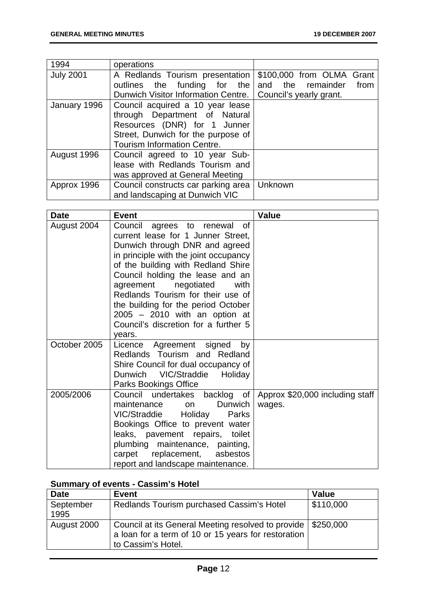| 1994             | operations                          |                           |
|------------------|-------------------------------------|---------------------------|
| <b>July 2001</b> | A Redlands Tourism presentation     | \$100,000 from OLMA Grant |
|                  | outlines the funding for the        | and the remainder<br>from |
|                  | Dunwich Visitor Information Centre. | Council's yearly grant.   |
| January 1996     | Council acquired a 10 year lease    |                           |
|                  | through Department of Natural       |                           |
|                  | Resources (DNR) for 1 Junner        |                           |
|                  | Street, Dunwich for the purpose of  |                           |
|                  | <b>Tourism Information Centre.</b>  |                           |
| August 1996      | Council agreed to 10 year Sub-      |                           |
|                  | lease with Redlands Tourism and     |                           |
|                  | was approved at General Meeting     |                           |
| Approx 1996      | Council constructs car parking area | Unknown                   |
|                  | and landscaping at Dunwich VIC      |                           |

| <b>Date</b>  | <b>Event</b>                                                                                                                                                                                                                                                                                                                                                                                                                | <b>Value</b>                              |
|--------------|-----------------------------------------------------------------------------------------------------------------------------------------------------------------------------------------------------------------------------------------------------------------------------------------------------------------------------------------------------------------------------------------------------------------------------|-------------------------------------------|
| August 2004  | Council agrees to renewal<br>0f<br>current lease for 1 Junner Street,<br>Dunwich through DNR and agreed<br>in principle with the joint occupancy<br>of the building with Redland Shire<br>Council holding the lease and an<br>agreement negotiated<br>with<br>Redlands Tourism for their use of<br>the building for the period October<br>$2005 - 2010$ with an option at<br>Council's discretion for a further 5<br>years. |                                           |
| October 2005 | Licence Agreement signed<br>by<br>Redlands Tourism and Redland<br>Shire Council for dual occupancy of<br>Dunwich VIC/Straddie Holiday<br>Parks Bookings Office                                                                                                                                                                                                                                                              |                                           |
| 2005/2006    | Council undertakes backlog of<br>Dunwich<br>maintenance<br>on<br>VIC/Straddie Holiday<br>Parks<br>Bookings Office to prevent water<br>leaks, pavement repairs, toilet<br>plumbing maintenance, painting,<br>replacement,<br>asbestos<br>carpet<br>report and landscape maintenance.                                                                                                                                         | Approx \$20,000 including staff<br>wages. |

#### **Summary of events - Cassim's Hotel**

| <b>Date</b>       | <b>Event</b>                                                                                                                                | <b>Value</b>            |
|-------------------|---------------------------------------------------------------------------------------------------------------------------------------------|-------------------------|
| September<br>1995 | Redlands Tourism purchased Cassim's Hotel                                                                                                   | $\frac{1}{2}$ \$110,000 |
| August 2000       | Council at its General Meeting resolved to provide   \$250,000<br>a loan for a term of 10 or 15 years for restoration<br>to Cassim's Hotel. |                         |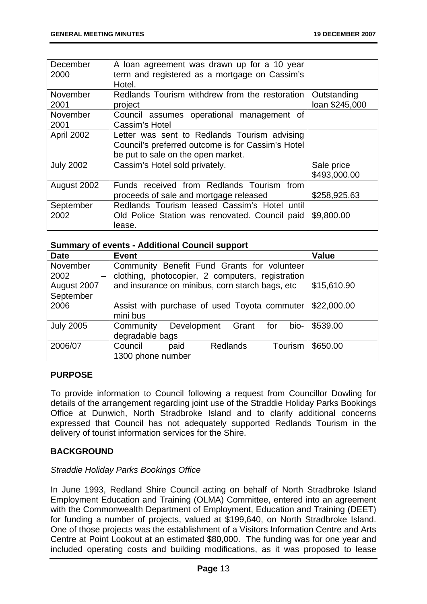| December<br>2000  | A loan agreement was drawn up for a 10 year<br>term and registered as a mortgage on Cassim's<br>Hotel.                                  |                               |
|-------------------|-----------------------------------------------------------------------------------------------------------------------------------------|-------------------------------|
| November<br>2001  | Redlands Tourism withdrew from the restoration<br>project                                                                               | Outstanding<br>loan \$245,000 |
| November<br>2001  | Council assumes operational management of<br>Cassim's Hotel                                                                             |                               |
| April 2002        | Letter was sent to Redlands Tourism advising<br>Council's preferred outcome is for Cassim's Hotel<br>be put to sale on the open market. |                               |
| <b>July 2002</b>  | Cassim's Hotel sold privately.                                                                                                          | Sale price<br>\$493,000.00    |
| August 2002       | Funds received from Redlands Tourism from<br>proceeds of sale and mortgage released                                                     | \$258,925.63                  |
| September<br>2002 | Redlands Tourism leased Cassim's Hotel until<br>Old Police Station was renovated. Council paid<br>lease.                                | \$9,800.00                    |

#### **Summary of events - Additional Council support**

| <b>Date</b>               | <b>Event</b>                                                | Value       |
|---------------------------|-------------------------------------------------------------|-------------|
| November                  | Community Benefit Fund Grants for volunteer                 |             |
| 2002<br>$\qquad \qquad -$ | clothing, photocopier, 2 computers, registration            |             |
| August 2007               | and insurance on minibus, corn starch bags, etc             | \$15,610.90 |
| September                 |                                                             |             |
| 2006                      | \$22,000.00<br>Assist with purchase of used Toyota commuter |             |
|                           | mini bus                                                    |             |
| <b>July 2005</b>          | bio-<br>Community<br>Development Grant<br>for               | \$539.00    |
|                           | degradable bags                                             |             |
| 2006/07                   | Council<br>Tourism<br><b>Redlands</b><br>paid               | \$650.00    |
|                           | 1300 phone number                                           |             |

#### **PURPOSE**

To provide information to Council following a request from Councillor Dowling for details of the arrangement regarding joint use of the Straddie Holiday Parks Bookings Office at Dunwich, North Stradbroke Island and to clarify additional concerns expressed that Council has not adequately supported Redlands Tourism in the delivery of tourist information services for the Shire.

#### **BACKGROUND**

#### *Straddie Holiday Parks Bookings Office*

In June 1993, Redland Shire Council acting on behalf of North Stradbroke Island Employment Education and Training (OLMA) Committee, entered into an agreement with the Commonwealth Department of Employment, Education and Training (DEET) for funding a number of projects, valued at \$199,640, on North Stradbroke Island. One of those projects was the establishment of a Visitors Information Centre and Arts Centre at Point Lookout at an estimated \$80,000. The funding was for one year and included operating costs and building modifications, as it was proposed to lease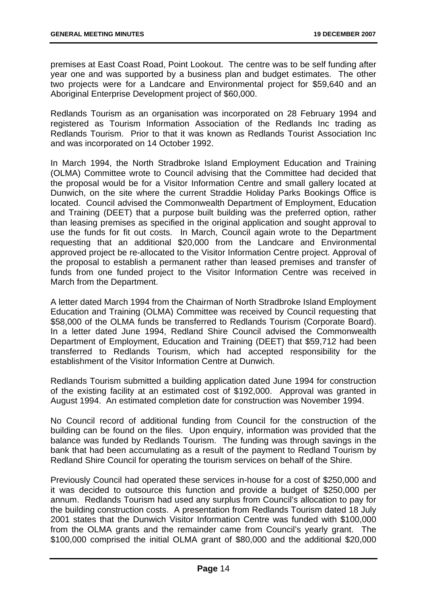premises at East Coast Road, Point Lookout. The centre was to be self funding after year one and was supported by a business plan and budget estimates. The other two projects were for a Landcare and Environmental project for \$59,640 and an Aboriginal Enterprise Development project of \$60,000.

Redlands Tourism as an organisation was incorporated on 28 February 1994 and registered as Tourism Information Association of the Redlands Inc trading as Redlands Tourism. Prior to that it was known as Redlands Tourist Association Inc and was incorporated on 14 October 1992.

In March 1994, the North Stradbroke Island Employment Education and Training (OLMA) Committee wrote to Council advising that the Committee had decided that the proposal would be for a Visitor Information Centre and small gallery located at Dunwich, on the site where the current Straddie Holiday Parks Bookings Office is located. Council advised the Commonwealth Department of Employment, Education and Training (DEET) that a purpose built building was the preferred option, rather than leasing premises as specified in the original application and sought approval to use the funds for fit out costs. In March, Council again wrote to the Department requesting that an additional \$20,000 from the Landcare and Environmental approved project be re-allocated to the Visitor Information Centre project. Approval of the proposal to establish a permanent rather than leased premises and transfer of funds from one funded project to the Visitor Information Centre was received in March from the Department.

A letter dated March 1994 from the Chairman of North Stradbroke Island Employment Education and Training (OLMA) Committee was received by Council requesting that \$58,000 of the OLMA funds be transferred to Redlands Tourism (Corporate Board). In a letter dated June 1994, Redland Shire Council advised the Commonwealth Department of Employment, Education and Training (DEET) that \$59,712 had been transferred to Redlands Tourism, which had accepted responsibility for the establishment of the Visitor Information Centre at Dunwich.

Redlands Tourism submitted a building application dated June 1994 for construction of the existing facility at an estimated cost of \$192,000. Approval was granted in August 1994. An estimated completion date for construction was November 1994.

No Council record of additional funding from Council for the construction of the building can be found on the files. Upon enquiry, information was provided that the balance was funded by Redlands Tourism. The funding was through savings in the bank that had been accumulating as a result of the payment to Redland Tourism by Redland Shire Council for operating the tourism services on behalf of the Shire.

Previously Council had operated these services in-house for a cost of \$250,000 and it was decided to outsource this function and provide a budget of \$250,000 per annum. Redlands Tourism had used any surplus from Council's allocation to pay for the building construction costs. A presentation from Redlands Tourism dated 18 July 2001 states that the Dunwich Visitor Information Centre was funded with \$100,000 from the OLMA grants and the remainder came from Council's yearly grant. The \$100,000 comprised the initial OLMA grant of \$80,000 and the additional \$20,000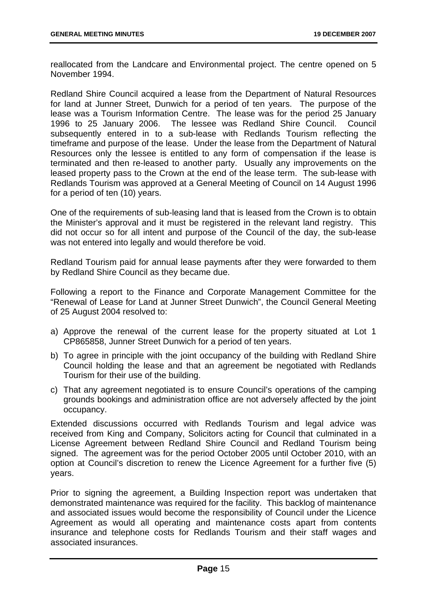reallocated from the Landcare and Environmental project. The centre opened on 5 November 1994.

Redland Shire Council acquired a lease from the Department of Natural Resources for land at Junner Street, Dunwich for a period of ten years. The purpose of the lease was a Tourism Information Centre. The lease was for the period 25 January 1996 to 25 January 2006. The lessee was Redland Shire Council. Council subsequently entered in to a sub-lease with Redlands Tourism reflecting the timeframe and purpose of the lease. Under the lease from the Department of Natural Resources only the lessee is entitled to any form of compensation if the lease is terminated and then re-leased to another party. Usually any improvements on the leased property pass to the Crown at the end of the lease term. The sub-lease with Redlands Tourism was approved at a General Meeting of Council on 14 August 1996 for a period of ten (10) years.

One of the requirements of sub-leasing land that is leased from the Crown is to obtain the Minister's approval and it must be registered in the relevant land registry. This did not occur so for all intent and purpose of the Council of the day, the sub-lease was not entered into legally and would therefore be void.

Redland Tourism paid for annual lease payments after they were forwarded to them by Redland Shire Council as they became due.

Following a report to the Finance and Corporate Management Committee for the "Renewal of Lease for Land at Junner Street Dunwich", the Council General Meeting of 25 August 2004 resolved to:

- a) Approve the renewal of the current lease for the property situated at Lot 1 CP865858, Junner Street Dunwich for a period of ten years.
- b) To agree in principle with the joint occupancy of the building with Redland Shire Council holding the lease and that an agreement be negotiated with Redlands Tourism for their use of the building.
- c) That any agreement negotiated is to ensure Council's operations of the camping grounds bookings and administration office are not adversely affected by the joint occupancy.

Extended discussions occurred with Redlands Tourism and legal advice was received from King and Company, Solicitors acting for Council that culminated in a License Agreement between Redland Shire Council and Redland Tourism being signed. The agreement was for the period October 2005 until October 2010, with an option at Council's discretion to renew the Licence Agreement for a further five (5) years.

Prior to signing the agreement, a Building Inspection report was undertaken that demonstrated maintenance was required for the facility. This backlog of maintenance and associated issues would become the responsibility of Council under the Licence Agreement as would all operating and maintenance costs apart from contents insurance and telephone costs for Redlands Tourism and their staff wages and associated insurances.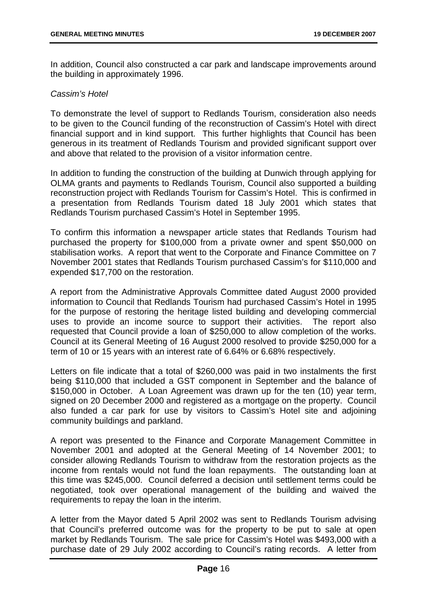In addition, Council also constructed a car park and landscape improvements around the building in approximately 1996.

#### *Cassim's Hotel*

To demonstrate the level of support to Redlands Tourism, consideration also needs to be given to the Council funding of the reconstruction of Cassim's Hotel with direct financial support and in kind support. This further highlights that Council has been generous in its treatment of Redlands Tourism and provided significant support over and above that related to the provision of a visitor information centre.

In addition to funding the construction of the building at Dunwich through applying for OLMA grants and payments to Redlands Tourism, Council also supported a building reconstruction project with Redlands Tourism for Cassim's Hotel. This is confirmed in a presentation from Redlands Tourism dated 18 July 2001 which states that Redlands Tourism purchased Cassim's Hotel in September 1995.

To confirm this information a newspaper article states that Redlands Tourism had purchased the property for \$100,000 from a private owner and spent \$50,000 on stabilisation works. A report that went to the Corporate and Finance Committee on 7 November 2001 states that Redlands Tourism purchased Cassim's for \$110,000 and expended \$17,700 on the restoration.

A report from the Administrative Approvals Committee dated August 2000 provided information to Council that Redlands Tourism had purchased Cassim's Hotel in 1995 for the purpose of restoring the heritage listed building and developing commercial uses to provide an income source to support their activities. The report also requested that Council provide a loan of \$250,000 to allow completion of the works. Council at its General Meeting of 16 August 2000 resolved to provide \$250,000 for a term of 10 or 15 years with an interest rate of 6.64% or 6.68% respectively.

Letters on file indicate that a total of \$260,000 was paid in two instalments the first being \$110,000 that included a GST component in September and the balance of \$150,000 in October. A Loan Agreement was drawn up for the ten (10) year term, signed on 20 December 2000 and registered as a mortgage on the property. Council also funded a car park for use by visitors to Cassim's Hotel site and adjoining community buildings and parkland.

A report was presented to the Finance and Corporate Management Committee in November 2001 and adopted at the General Meeting of 14 November 2001; to consider allowing Redlands Tourism to withdraw from the restoration projects as the income from rentals would not fund the loan repayments. The outstanding loan at this time was \$245,000. Council deferred a decision until settlement terms could be negotiated, took over operational management of the building and waived the requirements to repay the loan in the interim.

A letter from the Mayor dated 5 April 2002 was sent to Redlands Tourism advising that Council's preferred outcome was for the property to be put to sale at open market by Redlands Tourism. The sale price for Cassim's Hotel was \$493,000 with a purchase date of 29 July 2002 according to Council's rating records. A letter from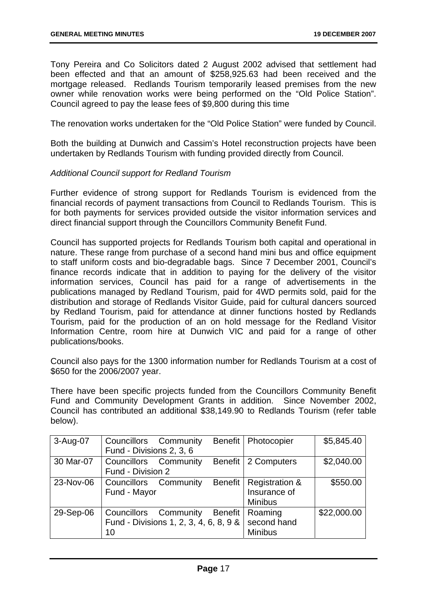Tony Pereira and Co Solicitors dated 2 August 2002 advised that settlement had been effected and that an amount of \$258,925.63 had been received and the mortgage released. Redlands Tourism temporarily leased premises from the new owner while renovation works were being performed on the "Old Police Station". Council agreed to pay the lease fees of \$9,800 during this time

The renovation works undertaken for the "Old Police Station" were funded by Council.

Both the building at Dunwich and Cassim's Hotel reconstruction projects have been undertaken by Redlands Tourism with funding provided directly from Council.

#### *Additional Council support for Redland Tourism*

Further evidence of strong support for Redlands Tourism is evidenced from the financial records of payment transactions from Council to Redlands Tourism. This is for both payments for services provided outside the visitor information services and direct financial support through the Councillors Community Benefit Fund.

Council has supported projects for Redlands Tourism both capital and operational in nature. These range from purchase of a second hand mini bus and office equipment to staff uniform costs and bio-degradable bags. Since 7 December 2001, Council's finance records indicate that in addition to paying for the delivery of the visitor information services, Council has paid for a range of advertisements in the publications managed by Redland Tourism, paid for 4WD permits sold, paid for the distribution and storage of Redlands Visitor Guide, paid for cultural dancers sourced by Redland Tourism, paid for attendance at dinner functions hosted by Redlands Tourism, paid for the production of an on hold message for the Redland Visitor Information Centre, room hire at Dunwich VIC and paid for a range of other publications/books.

Council also pays for the 1300 information number for Redlands Tourism at a cost of \$650 for the 2006/2007 year.

There have been specific projects funded from the Councillors Community Benefit Fund and Community Development Grants in addition. Since November 2002, Council has contributed an additional \$38,149.90 to Redlands Tourism (refer table below).

| 3-Aug-07  | Councillors Community<br>Fund - Divisions 2, 3, 6                     |                | Benefit   Photocopier                                       | \$5,845.40  |
|-----------|-----------------------------------------------------------------------|----------------|-------------------------------------------------------------|-------------|
| 30 Mar-07 | Councillors Community<br>Fund - Division 2                            |                | Benefit   2 Computers                                       | \$2,040.00  |
| 23-Nov-06 | Councillors Community<br>Fund - Mayor                                 | <b>Benefit</b> | <b>Registration &amp;</b><br>Insurance of<br><b>Minibus</b> | \$550.00    |
| 29-Sep-06 | Councillors Community<br>Fund - Divisions 1, 2, 3, 4, 6, 8, 9 &<br>10 | <b>Benefit</b> | Roaming<br>second hand<br><b>Minibus</b>                    | \$22,000.00 |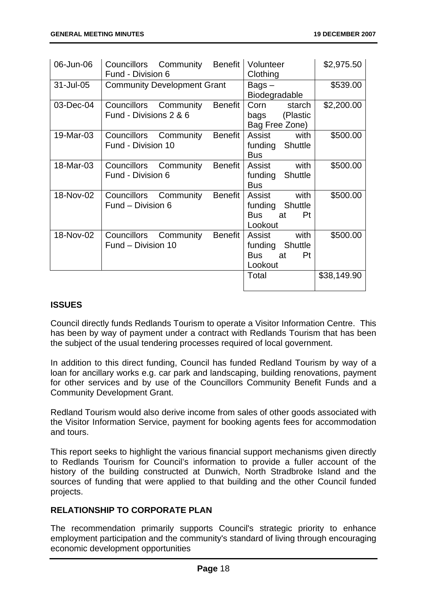| 06-Jun-06 | Councillors Community<br>Fund - Division 6      | Benefit        | Volunteer<br>Clothing                                             | \$2,975.50  |
|-----------|-------------------------------------------------|----------------|-------------------------------------------------------------------|-------------|
| 31-Jul-05 | <b>Community Development Grant</b>              |                | Bags-<br>Biodegradable                                            | \$539.00    |
| 03-Dec-04 | Councillors Community<br>Fund - Divisions 2 & 6 | <b>Benefit</b> | Corn<br>starch<br>(Plastic<br>bags<br>Bag Free Zone)              | \$2,200.00  |
| 19-Mar-03 | Councillors Community<br>Fund - Division 10     | <b>Benefit</b> | with<br>Assist<br>funding Shuttle<br><b>Bus</b>                   | \$500.00    |
| 18-Mar-03 | Councillors Community<br>Fund - Division 6      | <b>Benefit</b> | with<br>Assist<br>funding<br><b>Shuttle</b><br><b>Bus</b>         | \$500.00    |
| 18-Nov-02 | Councillors Community<br>Fund - Division 6      | <b>Benefit</b> | with<br>Assist<br>funding Shuttle<br>Pt<br>Bus<br>at a<br>Lookout | \$500.00    |
| 18-Nov-02 | Councillors Community<br>Fund - Division 10     | Benefit        | with<br>Assist<br>funding Shuttle<br>Bus<br>Pt<br>at<br>Lookout   | \$500.00    |
|           |                                                 |                | Total                                                             | \$38,149.90 |

#### **ISSUES**

Council directly funds Redlands Tourism to operate a Visitor Information Centre. This has been by way of payment under a contract with Redlands Tourism that has been the subject of the usual tendering processes required of local government.

In addition to this direct funding, Council has funded Redland Tourism by way of a loan for ancillary works e.g. car park and landscaping, building renovations, payment for other services and by use of the Councillors Community Benefit Funds and a Community Development Grant.

Redland Tourism would also derive income from sales of other goods associated with the Visitor Information Service, payment for booking agents fees for accommodation and tours.

This report seeks to highlight the various financial support mechanisms given directly to Redlands Tourism for Council's information to provide a fuller account of the history of the building constructed at Dunwich, North Stradbroke Island and the sources of funding that were applied to that building and the other Council funded projects.

#### **RELATIONSHIP TO CORPORATE PLAN**

The recommendation primarily supports Council's strategic priority to enhance employment participation and the community's standard of living through encouraging economic development opportunities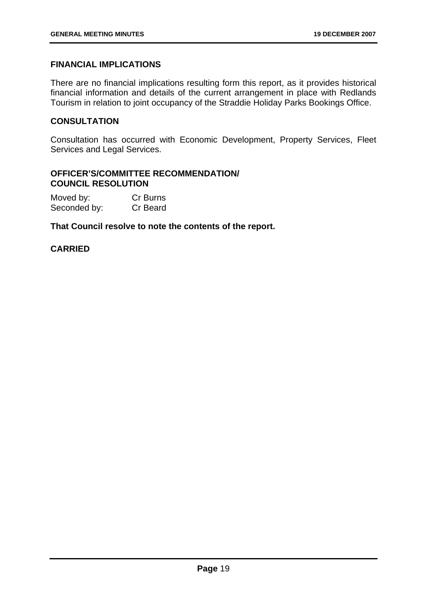#### **FINANCIAL IMPLICATIONS**

There are no financial implications resulting form this report, as it provides historical financial information and details of the current arrangement in place with Redlands Tourism in relation to joint occupancy of the Straddie Holiday Parks Bookings Office.

#### **CONSULTATION**

Consultation has occurred with Economic Development, Property Services, Fleet Services and Legal Services.

#### **OFFICER'S/COMMITTEE RECOMMENDATION/ COUNCIL RESOLUTION**

| Moved by:    | Cr Burns |
|--------------|----------|
| Seconded by: | Cr Beard |

**That Council resolve to note the contents of the report.** 

#### **CARRIED**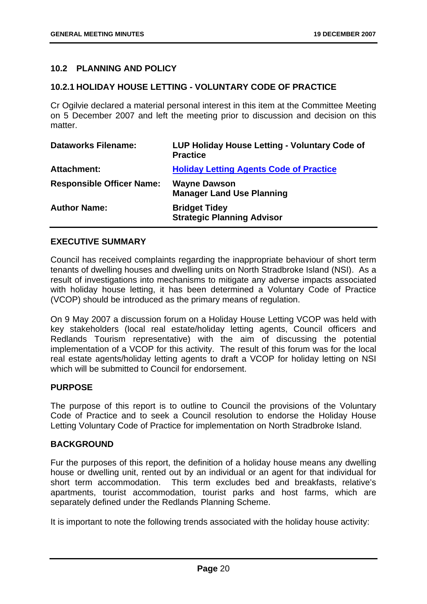#### **10.2 PLANNING AND POLICY**

#### **10.2.1 HOLIDAY HOUSE LETTING - VOLUNTARY CODE OF PRACTICE**

Cr Ogilvie declared a material personal interest in this item at the Committee Meeting on 5 December 2007 and left the meeting prior to discussion and decision on this matter.

| <b>Dataworks Filename:</b>       | LUP Holiday House Letting - Voluntary Code of<br><b>Practice</b> |
|----------------------------------|------------------------------------------------------------------|
| Attachment:                      | <b>Holiday Letting Agents Code of Practice</b>                   |
| <b>Responsible Officer Name:</b> | <b>Wayne Dawson</b><br><b>Manager Land Use Planning</b>          |
| <b>Author Name:</b>              | <b>Bridget Tidey</b><br><b>Strategic Planning Advisor</b>        |

#### **EXECUTIVE SUMMARY**

Council has received complaints regarding the inappropriate behaviour of short term tenants of dwelling houses and dwelling units on North Stradbroke Island (NSI). As a result of investigations into mechanisms to mitigate any adverse impacts associated with holiday house letting, it has been determined a Voluntary Code of Practice (VCOP) should be introduced as the primary means of regulation.

On 9 May 2007 a discussion forum on a Holiday House Letting VCOP was held with key stakeholders (local real estate/holiday letting agents, Council officers and Redlands Tourism representative) with the aim of discussing the potential implementation of a VCOP for this activity. The result of this forum was for the local real estate agents/holiday letting agents to draft a VCOP for holiday letting on NSI which will be submitted to Council for endorsement.

#### **PURPOSE**

The purpose of this report is to outline to Council the provisions of the Voluntary Code of Practice and to seek a Council resolution to endorse the Holiday House Letting Voluntary Code of Practice for implementation on North Stradbroke Island.

#### **BACKGROUND**

Fur the purposes of this report, the definition of a holiday house means any dwelling house or dwelling unit, rented out by an individual or an agent for that individual for short term accommodation. This term excludes bed and breakfasts, relative's apartments, tourist accommodation, tourist parks and host farms, which are separately defined under the Redlands Planning Scheme.

It is important to note the following trends associated with the holiday house activity: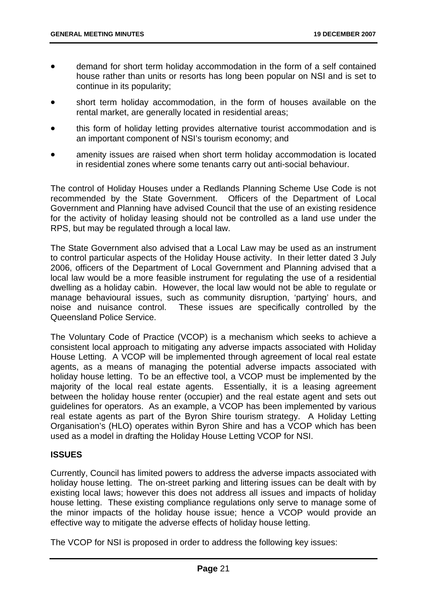- demand for short term holiday accommodation in the form of a self contained house rather than units or resorts has long been popular on NSI and is set to continue in its popularity;
- short term holiday accommodation, in the form of houses available on the rental market, are generally located in residential areas;
- this form of holiday letting provides alternative tourist accommodation and is an important component of NSI's tourism economy; and
- amenity issues are raised when short term holiday accommodation is located in residential zones where some tenants carry out anti-social behaviour.

The control of Holiday Houses under a Redlands Planning Scheme Use Code is not recommended by the State Government. Officers of the Department of Local Government and Planning have advised Council that the use of an existing residence for the activity of holiday leasing should not be controlled as a land use under the RPS, but may be regulated through a local law.

The State Government also advised that a Local Law may be used as an instrument to control particular aspects of the Holiday House activity. In their letter dated 3 July 2006, officers of the Department of Local Government and Planning advised that a local law would be a more feasible instrument for regulating the use of a residential dwelling as a holiday cabin. However, the local law would not be able to regulate or manage behavioural issues, such as community disruption, 'partying' hours, and noise and nuisance control. These issues are specifically controlled by the Queensland Police Service.

The Voluntary Code of Practice (VCOP) is a mechanism which seeks to achieve a consistent local approach to mitigating any adverse impacts associated with Holiday House Letting. A VCOP will be implemented through agreement of local real estate agents, as a means of managing the potential adverse impacts associated with holiday house letting. To be an effective tool, a VCOP must be implemented by the majority of the local real estate agents. Essentially, it is a leasing agreement between the holiday house renter (occupier) and the real estate agent and sets out guidelines for operators. As an example, a VCOP has been implemented by various real estate agents as part of the Byron Shire tourism strategy. A Holiday Letting Organisation's (HLO) operates within Byron Shire and has a VCOP which has been used as a model in drafting the Holiday House Letting VCOP for NSI.

#### **ISSUES**

Currently, Council has limited powers to address the adverse impacts associated with holiday house letting. The on-street parking and littering issues can be dealt with by existing local laws; however this does not address all issues and impacts of holiday house letting. These existing compliance regulations only serve to manage some of the minor impacts of the holiday house issue; hence a VCOP would provide an effective way to mitigate the adverse effects of holiday house letting.

The VCOP for NSI is proposed in order to address the following key issues: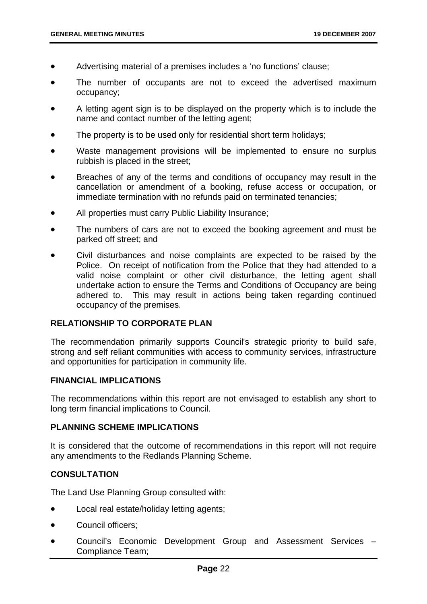- Advertising material of a premises includes a 'no functions' clause;
- The number of occupants are not to exceed the advertised maximum occupancy;
- A letting agent sign is to be displayed on the property which is to include the name and contact number of the letting agent;
- The property is to be used only for residential short term holidays;
- Waste management provisions will be implemented to ensure no surplus rubbish is placed in the street;
- Breaches of any of the terms and conditions of occupancy may result in the cancellation or amendment of a booking, refuse access or occupation, or immediate termination with no refunds paid on terminated tenancies;
- All properties must carry Public Liability Insurance;
- The numbers of cars are not to exceed the booking agreement and must be parked off street; and
- Civil disturbances and noise complaints are expected to be raised by the Police. On receipt of notification from the Police that they had attended to a valid noise complaint or other civil disturbance, the letting agent shall undertake action to ensure the Terms and Conditions of Occupancy are being adhered to. This may result in actions being taken regarding continued occupancy of the premises.

#### **RELATIONSHIP TO CORPORATE PLAN**

The recommendation primarily supports Council's strategic priority to build safe, strong and self reliant communities with access to community services, infrastructure and opportunities for participation in community life.

#### **FINANCIAL IMPLICATIONS**

The recommendations within this report are not envisaged to establish any short to long term financial implications to Council.

#### **PLANNING SCHEME IMPLICATIONS**

It is considered that the outcome of recommendations in this report will not require any amendments to the Redlands Planning Scheme.

#### **CONSULTATION**

The Land Use Planning Group consulted with:

- Local real estate/holiday letting agents;
- Council officers:
- Council's Economic Development Group and Assessment Services Compliance Team;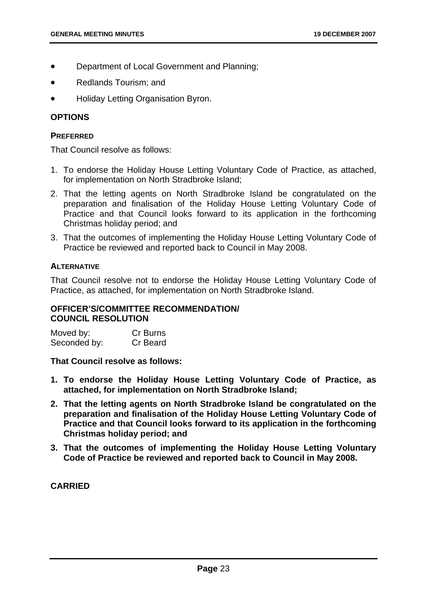- Department of Local Government and Planning;
- Redlands Tourism; and
- Holiday Letting Organisation Byron.

#### **OPTIONS**

#### **PREFERRED**

That Council resolve as follows:

- 1. To endorse the Holiday House Letting Voluntary Code of Practice, as attached, for implementation on North Stradbroke Island;
- 2. That the letting agents on North Stradbroke Island be congratulated on the preparation and finalisation of the Holiday House Letting Voluntary Code of Practice and that Council looks forward to its application in the forthcoming Christmas holiday period; and
- 3. That the outcomes of implementing the Holiday House Letting Voluntary Code of Practice be reviewed and reported back to Council in May 2008.

#### **ALTERNATIVE**

That Council resolve not to endorse the Holiday House Letting Voluntary Code of Practice, as attached, for implementation on North Stradbroke Island.

#### **OFFICER'S/COMMITTEE RECOMMENDATION/ COUNCIL RESOLUTION**

| Moved by:    | Cr Burns |
|--------------|----------|
| Seconded by: | Cr Beard |

**That Council resolve as follows:** 

- **1. To endorse the Holiday House Letting Voluntary Code of Practice, as attached, for implementation on North Stradbroke Island;**
- **2. That the letting agents on North Stradbroke Island be congratulated on the preparation and finalisation of the Holiday House Letting Voluntary Code of Practice and that Council looks forward to its application in the forthcoming Christmas holiday period; and**
- **3. That the outcomes of implementing the Holiday House Letting Voluntary Code of Practice be reviewed and reported back to Council in May 2008.**

**CARRIED**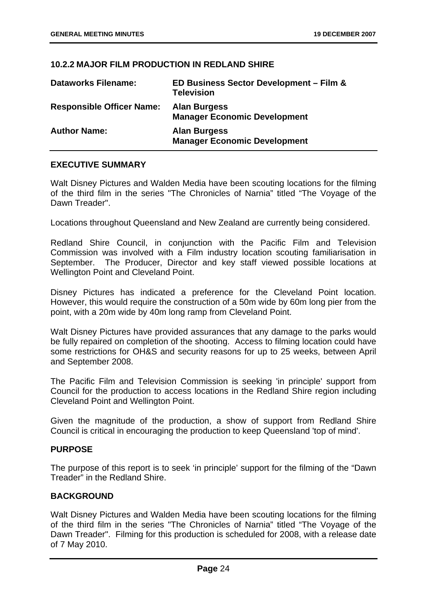#### **10.2.2 MAJOR FILM PRODUCTION IN REDLAND SHIRE**

| <b>Dataworks Filename:</b>       | ED Business Sector Development - Film &<br><b>Television</b> |
|----------------------------------|--------------------------------------------------------------|
| <b>Responsible Officer Name:</b> | <b>Alan Burgess</b><br><b>Manager Economic Development</b>   |
| <b>Author Name:</b>              | <b>Alan Burgess</b><br><b>Manager Economic Development</b>   |

#### **EXECUTIVE SUMMARY**

Walt Disney Pictures and Walden Media have been scouting locations for the filming of the third film in the series "The Chronicles of Narnia" titled "The Voyage of the Dawn Treader".

Locations throughout Queensland and New Zealand are currently being considered.

Redland Shire Council, in conjunction with the Pacific Film and Television Commission was involved with a Film industry location scouting familiarisation in September. The Producer, Director and key staff viewed possible locations at Wellington Point and Cleveland Point.

Disney Pictures has indicated a preference for the Cleveland Point location. However, this would require the construction of a 50m wide by 60m long pier from the point, with a 20m wide by 40m long ramp from Cleveland Point.

Walt Disney Pictures have provided assurances that any damage to the parks would be fully repaired on completion of the shooting. Access to filming location could have some restrictions for OH&S and security reasons for up to 25 weeks, between April and September 2008.

The Pacific Film and Television Commission is seeking 'in principle' support from Council for the production to access locations in the Redland Shire region including Cleveland Point and Wellington Point.

Given the magnitude of the production, a show of support from Redland Shire Council is critical in encouraging the production to keep Queensland 'top of mind'.

#### **PURPOSE**

The purpose of this report is to seek 'in principle' support for the filming of the "Dawn Treader" in the Redland Shire.

#### **BACKGROUND**

Walt Disney Pictures and Walden Media have been scouting locations for the filming of the third film in the series "The Chronicles of Narnia" titled "The Voyage of the Dawn Treader". Filming for this production is scheduled for 2008, with a release date of 7 May 2010.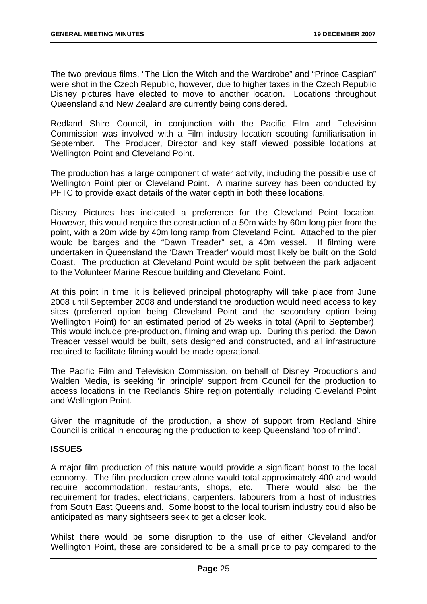The two previous films, "The Lion the Witch and the Wardrobe" and "Prince Caspian" were shot in the Czech Republic, however, due to higher taxes in the Czech Republic Disney pictures have elected to move to another location. Locations throughout Queensland and New Zealand are currently being considered.

Redland Shire Council, in conjunction with the Pacific Film and Television Commission was involved with a Film industry location scouting familiarisation in September. The Producer, Director and key staff viewed possible locations at Wellington Point and Cleveland Point.

The production has a large component of water activity, including the possible use of Wellington Point pier or Cleveland Point. A marine survey has been conducted by PFTC to provide exact details of the water depth in both these locations.

Disney Pictures has indicated a preference for the Cleveland Point location. However, this would require the construction of a 50m wide by 60m long pier from the point, with a 20m wide by 40m long ramp from Cleveland Point. Attached to the pier would be barges and the "Dawn Treader" set, a 40m vessel. If filming were undertaken in Queensland the 'Dawn Treader' would most likely be built on the Gold Coast. The production at Cleveland Point would be split between the park adjacent to the Volunteer Marine Rescue building and Cleveland Point.

At this point in time, it is believed principal photography will take place from June 2008 until September 2008 and understand the production would need access to key sites (preferred option being Cleveland Point and the secondary option being Wellington Point) for an estimated period of 25 weeks in total (April to September). This would include pre-production, filming and wrap up. During this period, the Dawn Treader vessel would be built, sets designed and constructed, and all infrastructure required to facilitate filming would be made operational.

The Pacific Film and Television Commission, on behalf of Disney Productions and Walden Media, is seeking 'in principle' support from Council for the production to access locations in the Redlands Shire region potentially including Cleveland Point and Wellington Point.

Given the magnitude of the production, a show of support from Redland Shire Council is critical in encouraging the production to keep Queensland 'top of mind'.

#### **ISSUES**

A major film production of this nature would provide a significant boost to the local economy. The film production crew alone would total approximately 400 and would require accommodation, restaurants, shops, etc. There would also be the requirement for trades, electricians, carpenters, labourers from a host of industries from South East Queensland. Some boost to the local tourism industry could also be anticipated as many sightseers seek to get a closer look.

Whilst there would be some disruption to the use of either Cleveland and/or Wellington Point, these are considered to be a small price to pay compared to the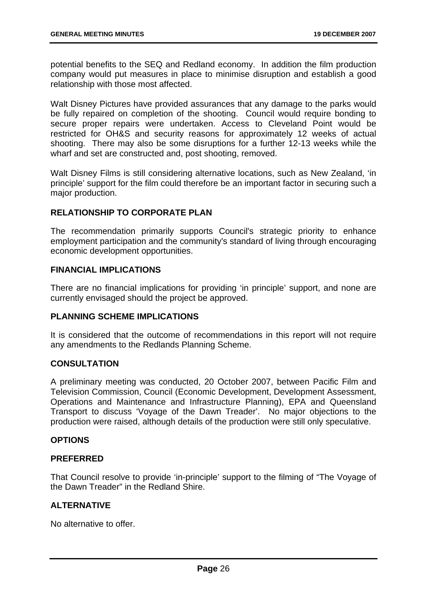potential benefits to the SEQ and Redland economy. In addition the film production company would put measures in place to minimise disruption and establish a good relationship with those most affected.

Walt Disney Pictures have provided assurances that any damage to the parks would be fully repaired on completion of the shooting. Council would require bonding to secure proper repairs were undertaken. Access to Cleveland Point would be restricted for OH&S and security reasons for approximately 12 weeks of actual shooting. There may also be some disruptions for a further 12-13 weeks while the wharf and set are constructed and, post shooting, removed.

Walt Disney Films is still considering alternative locations, such as New Zealand, 'in principle' support for the film could therefore be an important factor in securing such a major production.

#### **RELATIONSHIP TO CORPORATE PLAN**

The recommendation primarily supports Council's strategic priority to enhance employment participation and the community's standard of living through encouraging economic development opportunities.

#### **FINANCIAL IMPLICATIONS**

There are no financial implications for providing 'in principle' support, and none are currently envisaged should the project be approved.

#### **PLANNING SCHEME IMPLICATIONS**

It is considered that the outcome of recommendations in this report will not require any amendments to the Redlands Planning Scheme.

#### **CONSULTATION**

A preliminary meeting was conducted, 20 October 2007, between Pacific Film and Television Commission, Council (Economic Development, Development Assessment, Operations and Maintenance and Infrastructure Planning), EPA and Queensland Transport to discuss 'Voyage of the Dawn Treader'. No major objections to the production were raised, although details of the production were still only speculative.

#### **OPTIONS**

#### **PREFERRED**

That Council resolve to provide 'in-principle' support to the filming of "The Voyage of the Dawn Treader" in the Redland Shire.

#### **ALTERNATIVE**

No alternative to offer.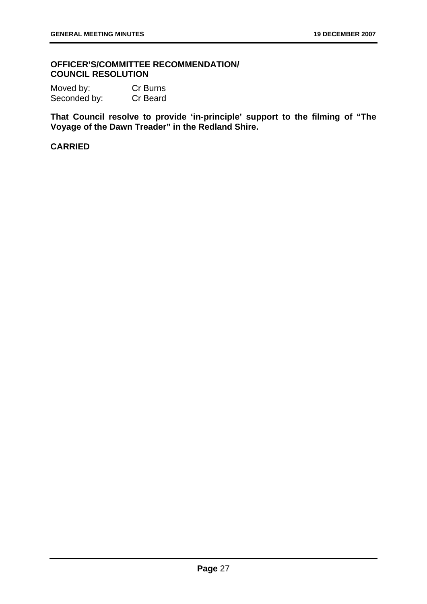#### **OFFICER'S/COMMITTEE RECOMMENDATION/ COUNCIL RESOLUTION**

| Moved by:    | Cr Burns |
|--------------|----------|
| Seconded by: | Cr Beard |

**That Council resolve to provide 'in-principle' support to the filming of "The Voyage of the Dawn Treader" in the Redland Shire.** 

#### **CARRIED**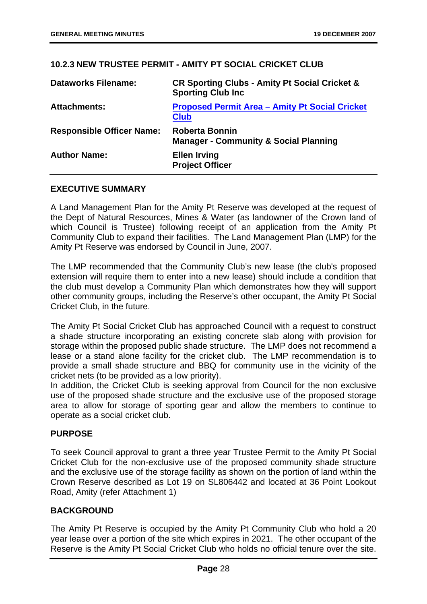#### **10.2.3 NEW TRUSTEE PERMIT - AMITY PT SOCIAL CRICKET CLUB**

| <b>Dataworks Filename:</b>       | <b>CR Sporting Clubs - Amity Pt Social Cricket &amp;</b><br><b>Sporting Club Inc.</b> |
|----------------------------------|---------------------------------------------------------------------------------------|
| <b>Attachments:</b>              | <b>Proposed Permit Area - Amity Pt Social Cricket</b><br><b>Club</b>                  |
| <b>Responsible Officer Name:</b> | <b>Roberta Bonnin</b><br><b>Manager - Community &amp; Social Planning</b>             |
| <b>Author Name:</b>              | <b>Ellen Irving</b><br><b>Project Officer</b>                                         |

#### **EXECUTIVE SUMMARY**

A Land Management Plan for the Amity Pt Reserve was developed at the request of the Dept of Natural Resources, Mines & Water (as landowner of the Crown land of which Council is Trustee) following receipt of an application from the Amity Pt Community Club to expand their facilities. The Land Management Plan (LMP) for the Amity Pt Reserve was endorsed by Council in June, 2007.

The LMP recommended that the Community Club's new lease (the club's proposed extension will require them to enter into a new lease) should include a condition that the club must develop a Community Plan which demonstrates how they will support other community groups, including the Reserve's other occupant, the Amity Pt Social Cricket Club, in the future.

The Amity Pt Social Cricket Club has approached Council with a request to construct a shade structure incorporating an existing concrete slab along with provision for storage within the proposed public shade structure. The LMP does not recommend a lease or a stand alone facility for the cricket club. The LMP recommendation is to provide a small shade structure and BBQ for community use in the vicinity of the cricket nets (to be provided as a low priority).

In addition, the Cricket Club is seeking approval from Council for the non exclusive use of the proposed shade structure and the exclusive use of the proposed storage area to allow for storage of sporting gear and allow the members to continue to operate as a social cricket club.

#### **PURPOSE**

To seek Council approval to grant a three year Trustee Permit to the Amity Pt Social Cricket Club for the non-exclusive use of the proposed community shade structure and the exclusive use of the storage facility as shown on the portion of land within the Crown Reserve described as Lot 19 on SL806442 and located at 36 Point Lookout Road, Amity (refer Attachment 1)

#### **BACKGROUND**

The Amity Pt Reserve is occupied by the Amity Pt Community Club who hold a 20 year lease over a portion of the site which expires in 2021. The other occupant of the Reserve is the Amity Pt Social Cricket Club who holds no official tenure over the site.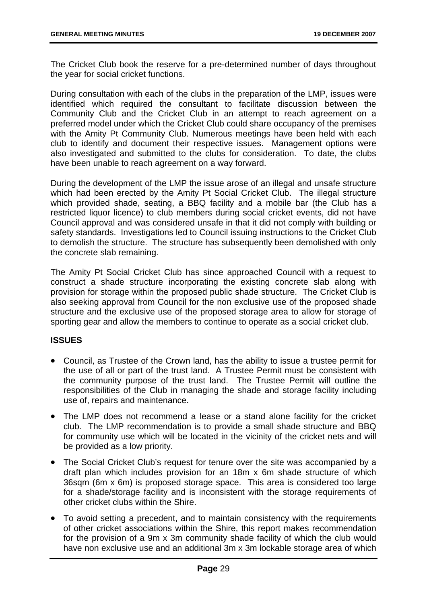The Cricket Club book the reserve for a pre-determined number of days throughout the year for social cricket functions.

During consultation with each of the clubs in the preparation of the LMP, issues were identified which required the consultant to facilitate discussion between the Community Club and the Cricket Club in an attempt to reach agreement on a preferred model under which the Cricket Club could share occupancy of the premises with the Amity Pt Community Club. Numerous meetings have been held with each club to identify and document their respective issues. Management options were also investigated and submitted to the clubs for consideration. To date, the clubs have been unable to reach agreement on a way forward.

During the development of the LMP the issue arose of an illegal and unsafe structure which had been erected by the Amity Pt Social Cricket Club. The illegal structure which provided shade, seating, a BBQ facility and a mobile bar (the Club has a restricted liquor licence) to club members during social cricket events, did not have Council approval and was considered unsafe in that it did not comply with building or safety standards. Investigations led to Council issuing instructions to the Cricket Club to demolish the structure. The structure has subsequently been demolished with only the concrete slab remaining.

The Amity Pt Social Cricket Club has since approached Council with a request to construct a shade structure incorporating the existing concrete slab along with provision for storage within the proposed public shade structure. The Cricket Club is also seeking approval from Council for the non exclusive use of the proposed shade structure and the exclusive use of the proposed storage area to allow for storage of sporting gear and allow the members to continue to operate as a social cricket club.

#### **ISSUES**

- Council, as Trustee of the Crown land, has the ability to issue a trustee permit for the use of all or part of the trust land. A Trustee Permit must be consistent with the community purpose of the trust land. The Trustee Permit will outline the responsibilities of the Club in managing the shade and storage facility including use of, repairs and maintenance.
- The LMP does not recommend a lease or a stand alone facility for the cricket club. The LMP recommendation is to provide a small shade structure and BBQ for community use which will be located in the vicinity of the cricket nets and will be provided as a low priority.
- The Social Cricket Club's request for tenure over the site was accompanied by a draft plan which includes provision for an 18m x 6m shade structure of which 36sqm (6m x 6m) is proposed storage space. This area is considered too large for a shade/storage facility and is inconsistent with the storage requirements of other cricket clubs within the Shire.
- To avoid setting a precedent, and to maintain consistency with the requirements of other cricket associations within the Shire, this report makes recommendation for the provision of a 9m x 3m community shade facility of which the club would have non exclusive use and an additional 3m x 3m lockable storage area of which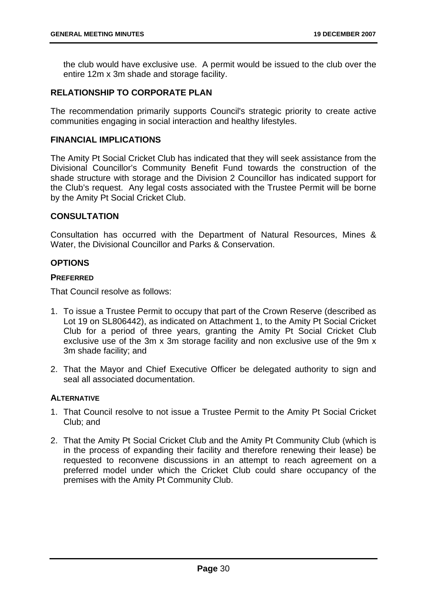the club would have exclusive use. A permit would be issued to the club over the entire 12m x 3m shade and storage facility.

#### **RELATIONSHIP TO CORPORATE PLAN**

The recommendation primarily supports Council's strategic priority to create active communities engaging in social interaction and healthy lifestyles.

#### **FINANCIAL IMPLICATIONS**

The Amity Pt Social Cricket Club has indicated that they will seek assistance from the Divisional Councillor's Community Benefit Fund towards the construction of the shade structure with storage and the Division 2 Councillor has indicated support for the Club's request. Any legal costs associated with the Trustee Permit will be borne by the Amity Pt Social Cricket Club.

#### **CONSULTATION**

Consultation has occurred with the Department of Natural Resources, Mines & Water, the Divisional Councillor and Parks & Conservation.

#### **OPTIONS**

#### **PREFERRED**

That Council resolve as follows:

- 1. To issue a Trustee Permit to occupy that part of the Crown Reserve (described as Lot 19 on SL806442), as indicated on Attachment 1, to the Amity Pt Social Cricket Club for a period of three years, granting the Amity Pt Social Cricket Club exclusive use of the 3m x 3m storage facility and non exclusive use of the 9m x 3m shade facility; and
- 2. That the Mayor and Chief Executive Officer be delegated authority to sign and seal all associated documentation.

#### **ALTERNATIVE**

- 1. That Council resolve to not issue a Trustee Permit to the Amity Pt Social Cricket Club; and
- 2. That the Amity Pt Social Cricket Club and the Amity Pt Community Club (which is in the process of expanding their facility and therefore renewing their lease) be requested to reconvene discussions in an attempt to reach agreement on a preferred model under which the Cricket Club could share occupancy of the premises with the Amity Pt Community Club.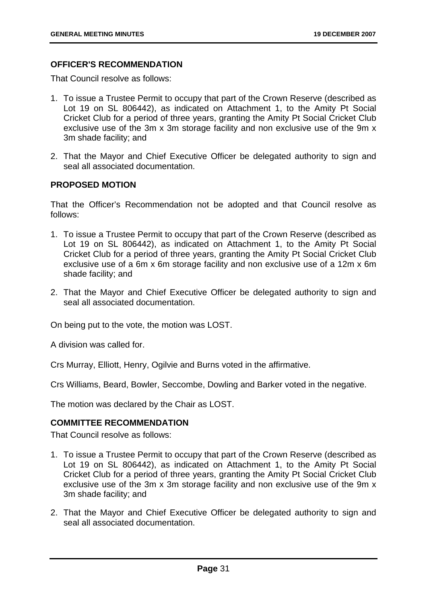## **OFFICER'S RECOMMENDATION**

That Council resolve as follows:

- 1. To issue a Trustee Permit to occupy that part of the Crown Reserve (described as Lot 19 on SL 806442), as indicated on Attachment 1, to the Amity Pt Social Cricket Club for a period of three years, granting the Amity Pt Social Cricket Club exclusive use of the 3m x 3m storage facility and non exclusive use of the 9m x 3m shade facility; and
- 2. That the Mayor and Chief Executive Officer be delegated authority to sign and seal all associated documentation.

## **PROPOSED MOTION**

That the Officer's Recommendation not be adopted and that Council resolve as follows:

- 1. To issue a Trustee Permit to occupy that part of the Crown Reserve (described as Lot 19 on SL 806442), as indicated on Attachment 1, to the Amity Pt Social Cricket Club for a period of three years, granting the Amity Pt Social Cricket Club exclusive use of a 6m x 6m storage facility and non exclusive use of a 12m x 6m shade facility; and
- 2. That the Mayor and Chief Executive Officer be delegated authority to sign and seal all associated documentation.

On being put to the vote, the motion was LOST.

A division was called for.

Crs Murray, Elliott, Henry, Ogilvie and Burns voted in the affirmative.

Crs Williams, Beard, Bowler, Seccombe, Dowling and Barker voted in the negative.

The motion was declared by the Chair as LOST.

## **COMMITTEE RECOMMENDATION**

That Council resolve as follows:

- 1. To issue a Trustee Permit to occupy that part of the Crown Reserve (described as Lot 19 on SL 806442), as indicated on Attachment 1, to the Amity Pt Social Cricket Club for a period of three years, granting the Amity Pt Social Cricket Club exclusive use of the 3m x 3m storage facility and non exclusive use of the 9m x 3m shade facility; and
- 2. That the Mayor and Chief Executive Officer be delegated authority to sign and seal all associated documentation.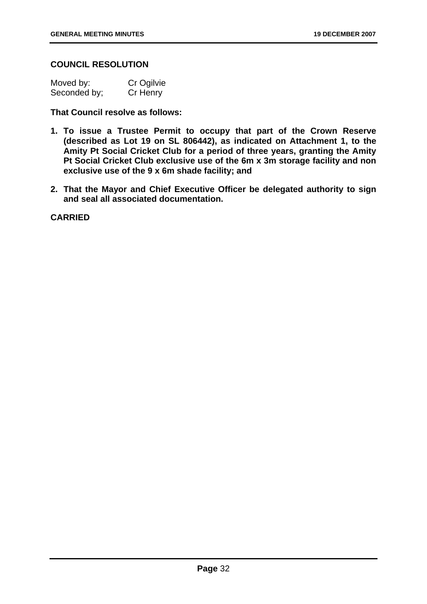## **COUNCIL RESOLUTION**

| Moved by:    | Cr Ogilvie |
|--------------|------------|
| Seconded by; | Cr Henry   |

**That Council resolve as follows:** 

- **1. To issue a Trustee Permit to occupy that part of the Crown Reserve (described as Lot 19 on SL 806442), as indicated on Attachment 1, to the Amity Pt Social Cricket Club for a period of three years, granting the Amity Pt Social Cricket Club exclusive use of the 6m x 3m storage facility and non exclusive use of the 9 x 6m shade facility; and**
- **2. That the Mayor and Chief Executive Officer be delegated authority to sign and seal all associated documentation.**

**CARRIED**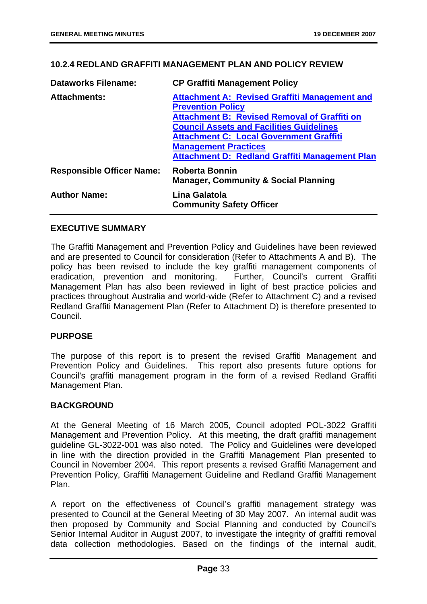## **10.2.4 REDLAND GRAFFITI MANAGEMENT PLAN AND POLICY REVIEW**

| <b>Dataworks Filename:</b>       | <b>CP Graffiti Management Policy</b>                              |
|----------------------------------|-------------------------------------------------------------------|
| <b>Attachments:</b>              | <b>Attachment A: Revised Graffiti Management and</b>              |
|                                  | <b>Prevention Policy</b>                                          |
|                                  | <b>Attachment B: Revised Removal of Graffiti on</b>               |
|                                  | <b>Council Assets and Facilities Guidelines</b>                   |
|                                  | <b>Attachment C: Local Government Graffiti</b>                    |
|                                  | <b>Management Practices</b>                                       |
|                                  | <b>Attachment D: Redland Graffiti Management Plan</b>             |
| <b>Responsible Officer Name:</b> | Roberta Bonnin<br><b>Manager, Community &amp; Social Planning</b> |
| <b>Author Name:</b>              | Lina Galatola<br><b>Community Safety Officer</b>                  |

#### **EXECUTIVE SUMMARY**

The Graffiti Management and Prevention Policy and Guidelines have been reviewed and are presented to Council for consideration (Refer to Attachments A and B). The policy has been revised to include the key graffiti management components of eradication, prevention and monitoring. Further, Council's current Graffiti Management Plan has also been reviewed in light of best practice policies and practices throughout Australia and world-wide (Refer to Attachment C) and a revised Redland Graffiti Management Plan (Refer to Attachment D) is therefore presented to Council.

#### **PURPOSE**

The purpose of this report is to present the revised Graffiti Management and Prevention Policy and Guidelines. This report also presents future options for Council's graffiti management program in the form of a revised Redland Graffiti Management Plan.

#### **BACKGROUND**

At the General Meeting of 16 March 2005, Council adopted POL-3022 Graffiti Management and Prevention Policy. At this meeting, the draft graffiti management guideline GL-3022-001 was also noted. The Policy and Guidelines were developed in line with the direction provided in the Graffiti Management Plan presented to Council in November 2004. This report presents a revised Graffiti Management and Prevention Policy, Graffiti Management Guideline and Redland Graffiti Management Plan.

A report on the effectiveness of Council's graffiti management strategy was presented to Council at the General Meeting of 30 May 2007. An internal audit was then proposed by Community and Social Planning and conducted by Council's Senior Internal Auditor in August 2007, to investigate the integrity of graffiti removal data collection methodologies. Based on the findings of the internal audit,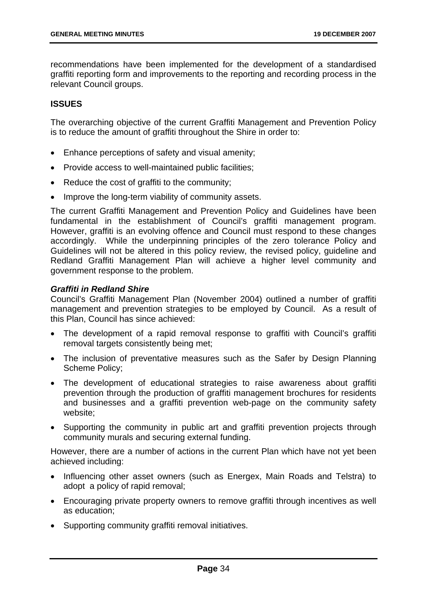recommendations have been implemented for the development of a standardised graffiti reporting form and improvements to the reporting and recording process in the relevant Council groups.

## **ISSUES**

The overarching objective of the current Graffiti Management and Prevention Policy is to reduce the amount of graffiti throughout the Shire in order to:

- Enhance perceptions of safety and visual amenity;
- Provide access to well-maintained public facilities;
- Reduce the cost of graffiti to the community;
- Improve the long-term viability of community assets.

The current Graffiti Management and Prevention Policy and Guidelines have been fundamental in the establishment of Council's graffiti management program. However, graffiti is an evolving offence and Council must respond to these changes accordingly. While the underpinning principles of the zero tolerance Policy and Guidelines will not be altered in this policy review, the revised policy, guideline and Redland Graffiti Management Plan will achieve a higher level community and government response to the problem.

### *Graffiti in Redland Shire*

Council's Graffiti Management Plan (November 2004) outlined a number of graffiti management and prevention strategies to be employed by Council. As a result of this Plan, Council has since achieved:

- The development of a rapid removal response to graffiti with Council's graffiti removal targets consistently being met;
- The inclusion of preventative measures such as the Safer by Design Planning Scheme Policy;
- The development of educational strategies to raise awareness about graffiti prevention through the production of graffiti management brochures for residents and businesses and a graffiti prevention web-page on the community safety website;
- Supporting the community in public art and graffiti prevention projects through community murals and securing external funding.

However, there are a number of actions in the current Plan which have not yet been achieved including:

- Influencing other asset owners (such as Energex, Main Roads and Telstra) to adopt a policy of rapid removal;
- Encouraging private property owners to remove graffiti through incentives as well as education;
- Supporting community graffiti removal initiatives.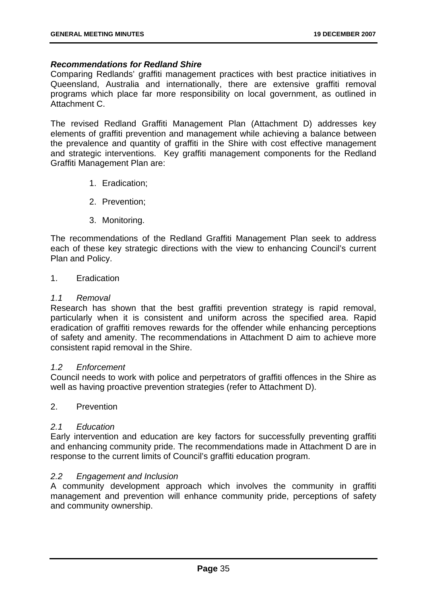### *Recommendations for Redland Shire*

Comparing Redlands' graffiti management practices with best practice initiatives in Queensland, Australia and internationally, there are extensive graffiti removal programs which place far more responsibility on local government, as outlined in Attachment C.

The revised Redland Graffiti Management Plan (Attachment D) addresses key elements of graffiti prevention and management while achieving a balance between the prevalence and quantity of graffiti in the Shire with cost effective management and strategic interventions. Key graffiti management components for the Redland Graffiti Management Plan are:

- 1. Eradication;
- 2. Prevention;
- 3. Monitoring.

The recommendations of the Redland Graffiti Management Plan seek to address each of these key strategic directions with the view to enhancing Council's current Plan and Policy.

#### 1. Eradication

### *1.1 Removal*

Research has shown that the best graffiti prevention strategy is rapid removal, particularly when it is consistent and uniform across the specified area. Rapid eradication of graffiti removes rewards for the offender while enhancing perceptions of safety and amenity. The recommendations in Attachment D aim to achieve more consistent rapid removal in the Shire.

#### *1.2 Enforcement*

Council needs to work with police and perpetrators of graffiti offences in the Shire as well as having proactive prevention strategies (refer to Attachment D).

# 2. Prevention

#### *2.1 Education*

Early intervention and education are key factors for successfully preventing graffiti and enhancing community pride. The recommendations made in Attachment D are in response to the current limits of Council's graffiti education program.

### *2.2 Engagement and Inclusion*

A community development approach which involves the community in graffiti management and prevention will enhance community pride, perceptions of safety and community ownership.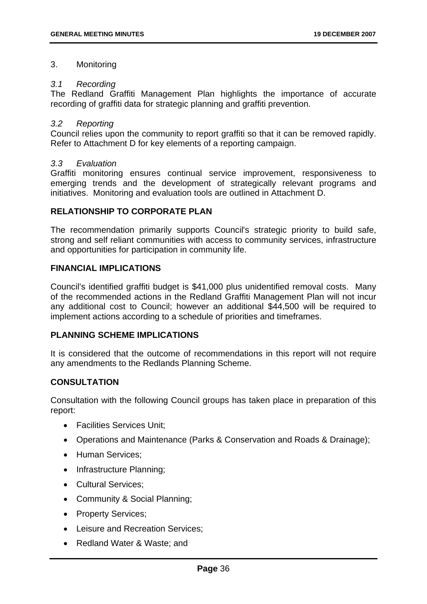### 3. Monitoring

### *3.1 Recording*

The Redland Graffiti Management Plan highlights the importance of accurate recording of graffiti data for strategic planning and graffiti prevention.

### *3.2 Reporting*

Council relies upon the community to report graffiti so that it can be removed rapidly. Refer to Attachment D for key elements of a reporting campaign.

### *3.3 Evaluation*

Graffiti monitoring ensures continual service improvement, responsiveness to emerging trends and the development of strategically relevant programs and initiatives. Monitoring and evaluation tools are outlined in Attachment D.

### **RELATIONSHIP TO CORPORATE PLAN**

The recommendation primarily supports Council's strategic priority to build safe, strong and self reliant communities with access to community services, infrastructure and opportunities for participation in community life.

### **FINANCIAL IMPLICATIONS**

Council's identified graffiti budget is \$41,000 plus unidentified removal costs. Many of the recommended actions in the Redland Graffiti Management Plan will not incur any additional cost to Council; however an additional \$44,500 will be required to implement actions according to a schedule of priorities and timeframes.

#### **PLANNING SCHEME IMPLICATIONS**

It is considered that the outcome of recommendations in this report will not require any amendments to the Redlands Planning Scheme.

## **CONSULTATION**

Consultation with the following Council groups has taken place in preparation of this report:

- Facilities Services Unit;
- Operations and Maintenance (Parks & Conservation and Roads & Drainage);
- Human Services:
- Infrastructure Planning:
- Cultural Services;
- Community & Social Planning;
- Property Services;
- Leisure and Recreation Services;
- Redland Water & Waste; and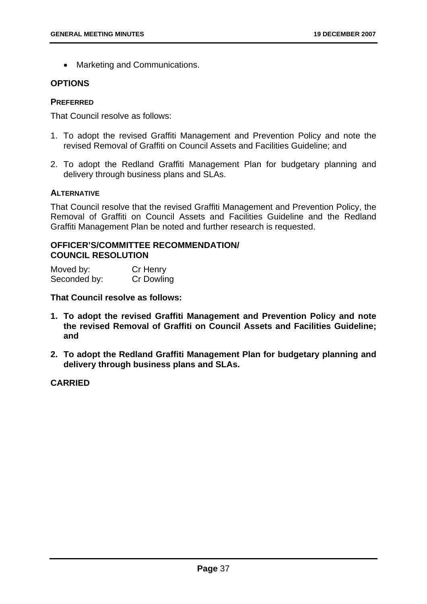• Marketing and Communications.

### **OPTIONS**

#### **PREFERRED**

That Council resolve as follows:

- 1. To adopt the revised Graffiti Management and Prevention Policy and note the revised Removal of Graffiti on Council Assets and Facilities Guideline; and
- 2. To adopt the Redland Graffiti Management Plan for budgetary planning and delivery through business plans and SLAs.

#### **ALTERNATIVE**

That Council resolve that the revised Graffiti Management and Prevention Policy, the Removal of Graffiti on Council Assets and Facilities Guideline and the Redland Graffiti Management Plan be noted and further research is requested.

### **OFFICER'S/COMMITTEE RECOMMENDATION/ COUNCIL RESOLUTION**

| Moved by:    | Cr Henry          |
|--------------|-------------------|
| Seconded by: | <b>Cr Dowling</b> |

**That Council resolve as follows:** 

- **1. To adopt the revised Graffiti Management and Prevention Policy and note the revised Removal of Graffiti on Council Assets and Facilities Guideline; and**
- **2. To adopt the Redland Graffiti Management Plan for budgetary planning and delivery through business plans and SLAs.**

## **CARRIED**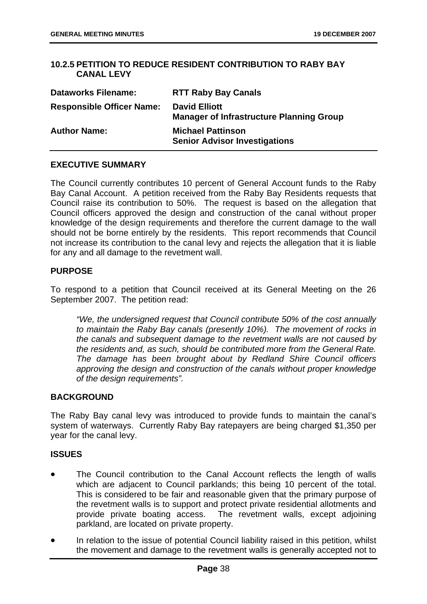## **10.2.5 PETITION TO REDUCE RESIDENT CONTRIBUTION TO RABY BAY CANAL LEVY**

| <b>Dataworks Filename:</b>       | <b>RTT Raby Bay Canals</b>                                              |
|----------------------------------|-------------------------------------------------------------------------|
| <b>Responsible Officer Name:</b> | <b>David Elliott</b><br><b>Manager of Infrastructure Planning Group</b> |
| <b>Author Name:</b>              | <b>Michael Pattinson</b><br><b>Senior Advisor Investigations</b>        |

## **EXECUTIVE SUMMARY**

The Council currently contributes 10 percent of General Account funds to the Raby Bay Canal Account. A petition received from the Raby Bay Residents requests that Council raise its contribution to 50%. The request is based on the allegation that Council officers approved the design and construction of the canal without proper knowledge of the design requirements and therefore the current damage to the wall should not be borne entirely by the residents. This report recommends that Council not increase its contribution to the canal levy and rejects the allegation that it is liable for any and all damage to the revetment wall.

## **PURPOSE**

To respond to a petition that Council received at its General Meeting on the 26 September 2007. The petition read:

*"We, the undersigned request that Council contribute 50% of the cost annually to maintain the Raby Bay canals (presently 10%). The movement of rocks in the canals and subsequent damage to the revetment walls are not caused by the residents and, as such, should be contributed more from the General Rate. The damage has been brought about by Redland Shire Council officers approving the design and construction of the canals without proper knowledge of the design requirements".* 

#### **BACKGROUND**

The Raby Bay canal levy was introduced to provide funds to maintain the canal's system of waterways. Currently Raby Bay ratepayers are being charged \$1,350 per year for the canal levy.

#### **ISSUES**

- The Council contribution to the Canal Account reflects the length of walls which are adjacent to Council parklands; this being 10 percent of the total. This is considered to be fair and reasonable given that the primary purpose of the revetment walls is to support and protect private residential allotments and provide private boating access. The revetment walls, except adjoining parkland, are located on private property.
- In relation to the issue of potential Council liability raised in this petition, whilst the movement and damage to the revetment walls is generally accepted not to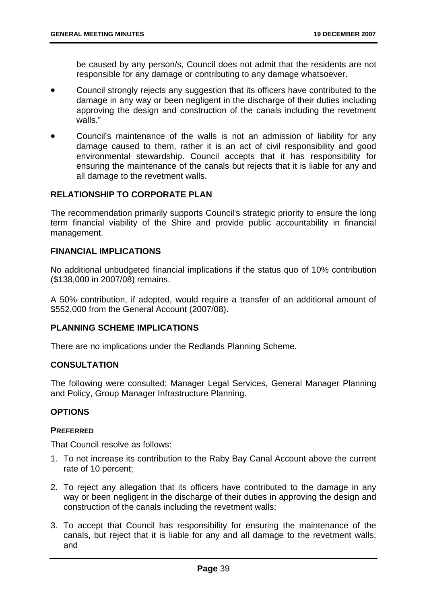be caused by any person/s, Council does not admit that the residents are not responsible for any damage or contributing to any damage whatsoever.

- Council strongly rejects any suggestion that its officers have contributed to the damage in any way or been negligent in the discharge of their duties including approving the design and construction of the canals including the revetment walls."
- Council's maintenance of the walls is not an admission of liability for any damage caused to them, rather it is an act of civil responsibility and good environmental stewardship. Council accepts that it has responsibility for ensuring the maintenance of the canals but rejects that it is liable for any and all damage to the revetment walls.

### **RELATIONSHIP TO CORPORATE PLAN**

The recommendation primarily supports Council's strategic priority to ensure the long term financial viability of the Shire and provide public accountability in financial management.

### **FINANCIAL IMPLICATIONS**

No additional unbudgeted financial implications if the status quo of 10% contribution (\$138,000 in 2007/08) remains.

A 50% contribution, if adopted, would require a transfer of an additional amount of \$552,000 from the General Account (2007/08).

#### **PLANNING SCHEME IMPLICATIONS**

There are no implications under the Redlands Planning Scheme.

#### **CONSULTATION**

The following were consulted; Manager Legal Services, General Manager Planning and Policy, Group Manager Infrastructure Planning.

#### **OPTIONS**

#### **PREFERRED**

That Council resolve as follows:

- 1. To not increase its contribution to the Raby Bay Canal Account above the current rate of 10 percent;
- 2. To reject any allegation that its officers have contributed to the damage in any way or been negligent in the discharge of their duties in approving the design and construction of the canals including the revetment walls;
- 3. To accept that Council has responsibility for ensuring the maintenance of the canals, but reject that it is liable for any and all damage to the revetment walls; and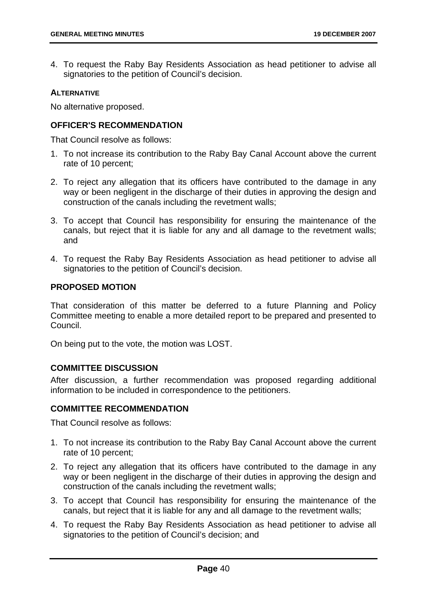4. To request the Raby Bay Residents Association as head petitioner to advise all signatories to the petition of Council's decision.

## **ALTERNATIVE**

No alternative proposed.

## **OFFICER'S RECOMMENDATION**

That Council resolve as follows:

- 1. To not increase its contribution to the Raby Bay Canal Account above the current rate of 10 percent;
- 2. To reject any allegation that its officers have contributed to the damage in any way or been negligent in the discharge of their duties in approving the design and construction of the canals including the revetment walls;
- 3. To accept that Council has responsibility for ensuring the maintenance of the canals, but reject that it is liable for any and all damage to the revetment walls; and
- 4. To request the Raby Bay Residents Association as head petitioner to advise all signatories to the petition of Council's decision.

## **PROPOSED MOTION**

That consideration of this matter be deferred to a future Planning and Policy Committee meeting to enable a more detailed report to be prepared and presented to Council.

On being put to the vote, the motion was LOST.

## **COMMITTEE DISCUSSION**

After discussion, a further recommendation was proposed regarding additional information to be included in correspondence to the petitioners.

#### **COMMITTEE RECOMMENDATION**

That Council resolve as follows:

- 1. To not increase its contribution to the Raby Bay Canal Account above the current rate of 10 percent;
- 2. To reject any allegation that its officers have contributed to the damage in any way or been negligent in the discharge of their duties in approving the design and construction of the canals including the revetment walls;
- 3. To accept that Council has responsibility for ensuring the maintenance of the canals, but reject that it is liable for any and all damage to the revetment walls;
- 4. To request the Raby Bay Residents Association as head petitioner to advise all signatories to the petition of Council's decision; and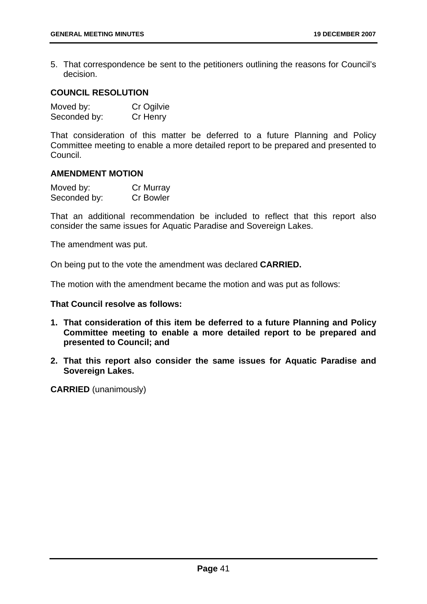5. That correspondence be sent to the petitioners outlining the reasons for Council's decision.

# **COUNCIL RESOLUTION**

| Moved by:    | Cr Ogilvie |
|--------------|------------|
| Seconded by: | Cr Henry   |

That consideration of this matter be deferred to a future Planning and Policy Committee meeting to enable a more detailed report to be prepared and presented to Council.

### **AMENDMENT MOTION**

| Moved by:    | Cr Murray        |
|--------------|------------------|
| Seconded by: | <b>Cr Bowler</b> |

That an additional recommendation be included to reflect that this report also consider the same issues for Aquatic Paradise and Sovereign Lakes.

The amendment was put.

On being put to the vote the amendment was declared **CARRIED.**

The motion with the amendment became the motion and was put as follows:

**That Council resolve as follows:** 

- **1. That consideration of this item be deferred to a future Planning and Policy Committee meeting to enable a more detailed report to be prepared and presented to Council; and**
- **2. That this report also consider the same issues for Aquatic Paradise and Sovereign Lakes.**

**CARRIED** (unanimously)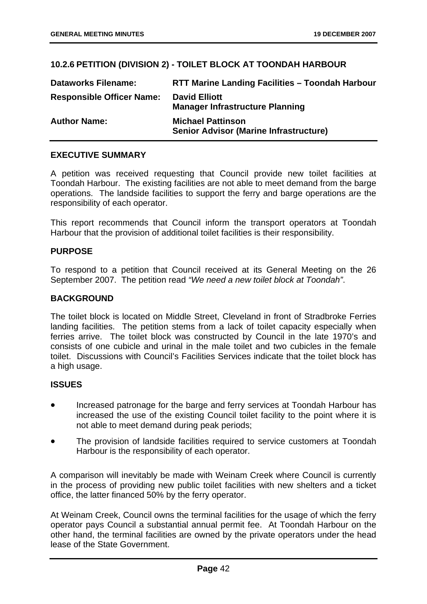# **10.2.6 PETITION (DIVISION 2) - TOILET BLOCK AT TOONDAH HARBOUR**

| <b>Dataworks Filename:</b>       | <b>RTT Marine Landing Facilities - Toondah Harbour</b>                    |
|----------------------------------|---------------------------------------------------------------------------|
| <b>Responsible Officer Name:</b> | <b>David Elliott</b><br><b>Manager Infrastructure Planning</b>            |
| <b>Author Name:</b>              | <b>Michael Pattinson</b><br><b>Senior Advisor (Marine Infrastructure)</b> |

## **EXECUTIVE SUMMARY**

A petition was received requesting that Council provide new toilet facilities at Toondah Harbour. The existing facilities are not able to meet demand from the barge operations. The landside facilities to support the ferry and barge operations are the responsibility of each operator.

This report recommends that Council inform the transport operators at Toondah Harbour that the provision of additional toilet facilities is their responsibility.

## **PURPOSE**

To respond to a petition that Council received at its General Meeting on the 26 September 2007. The petition read *"We need a new toilet block at Toondah"*.

### **BACKGROUND**

The toilet block is located on Middle Street, Cleveland in front of Stradbroke Ferries landing facilities. The petition stems from a lack of toilet capacity especially when ferries arrive. The toilet block was constructed by Council in the late 1970's and consists of one cubicle and urinal in the male toilet and two cubicles in the female toilet. Discussions with Council's Facilities Services indicate that the toilet block has a high usage.

#### **ISSUES**

- Increased patronage for the barge and ferry services at Toondah Harbour has increased the use of the existing Council toilet facility to the point where it is not able to meet demand during peak periods;
- The provision of landside facilities required to service customers at Toondah Harbour is the responsibility of each operator.

A comparison will inevitably be made with Weinam Creek where Council is currently in the process of providing new public toilet facilities with new shelters and a ticket office, the latter financed 50% by the ferry operator.

At Weinam Creek, Council owns the terminal facilities for the usage of which the ferry operator pays Council a substantial annual permit fee. At Toondah Harbour on the other hand, the terminal facilities are owned by the private operators under the head lease of the State Government.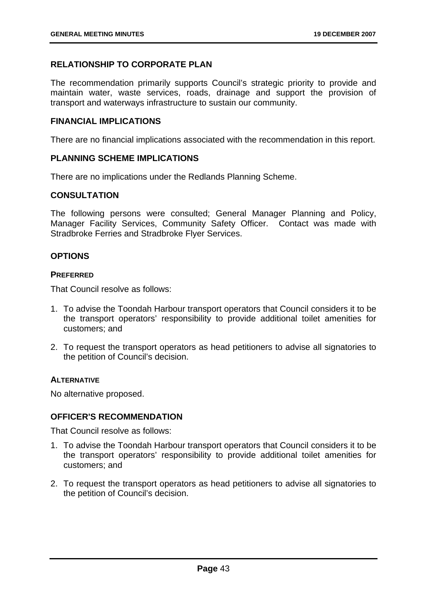# **RELATIONSHIP TO CORPORATE PLAN**

The recommendation primarily supports Council's strategic priority to provide and maintain water, waste services, roads, drainage and support the provision of transport and waterways infrastructure to sustain our community.

### **FINANCIAL IMPLICATIONS**

There are no financial implications associated with the recommendation in this report.

### **PLANNING SCHEME IMPLICATIONS**

There are no implications under the Redlands Planning Scheme.

## **CONSULTATION**

The following persons were consulted; General Manager Planning and Policy, Manager Facility Services, Community Safety Officer. Contact was made with Stradbroke Ferries and Stradbroke Flyer Services.

## **OPTIONS**

#### **PREFERRED**

That Council resolve as follows:

- 1. To advise the Toondah Harbour transport operators that Council considers it to be the transport operators' responsibility to provide additional toilet amenities for customers; and
- 2. To request the transport operators as head petitioners to advise all signatories to the petition of Council's decision.

#### **ALTERNATIVE**

No alternative proposed.

## **OFFICER'S RECOMMENDATION**

That Council resolve as follows:

- 1. To advise the Toondah Harbour transport operators that Council considers it to be the transport operators' responsibility to provide additional toilet amenities for customers; and
- 2. To request the transport operators as head petitioners to advise all signatories to the petition of Council's decision.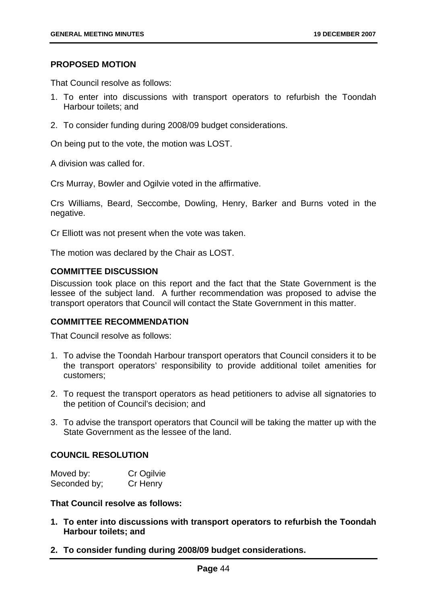#### **PROPOSED MOTION**

That Council resolve as follows:

- 1. To enter into discussions with transport operators to refurbish the Toondah Harbour toilets; and
- 2. To consider funding during 2008/09 budget considerations.

On being put to the vote, the motion was LOST.

A division was called for.

Crs Murray, Bowler and Ogilvie voted in the affirmative.

Crs Williams, Beard, Seccombe, Dowling, Henry, Barker and Burns voted in the negative.

Cr Elliott was not present when the vote was taken.

The motion was declared by the Chair as LOST.

#### **COMMITTEE DISCUSSION**

Discussion took place on this report and the fact that the State Government is the lessee of the subject land. A further recommendation was proposed to advise the transport operators that Council will contact the State Government in this matter.

#### **COMMITTEE RECOMMENDATION**

That Council resolve as follows:

- 1. To advise the Toondah Harbour transport operators that Council considers it to be the transport operators' responsibility to provide additional toilet amenities for customers;
- 2. To request the transport operators as head petitioners to advise all signatories to the petition of Council's decision; and
- 3. To advise the transport operators that Council will be taking the matter up with the State Government as the lessee of the land.

## **COUNCIL RESOLUTION**

| Moved by:    | Cr Ogilvie |
|--------------|------------|
| Seconded by; | Cr Henry   |

**That Council resolve as follows:** 

- **1. To enter into discussions with transport operators to refurbish the Toondah Harbour toilets; and**
- **2. To consider funding during 2008/09 budget considerations.**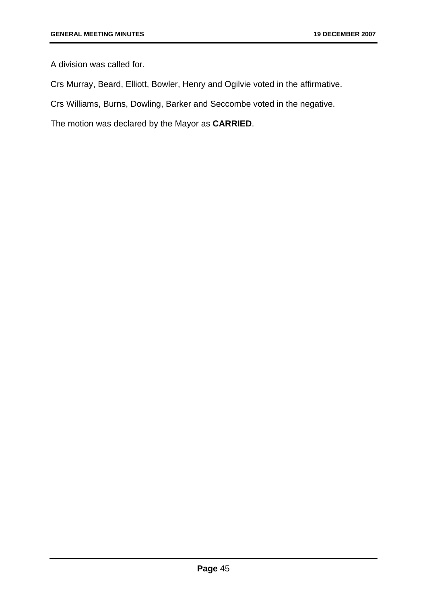A division was called for.

Crs Murray, Beard, Elliott, Bowler, Henry and Ogilvie voted in the affirmative.

Crs Williams, Burns, Dowling, Barker and Seccombe voted in the negative.

The motion was declared by the Mayor as **CARRIED**.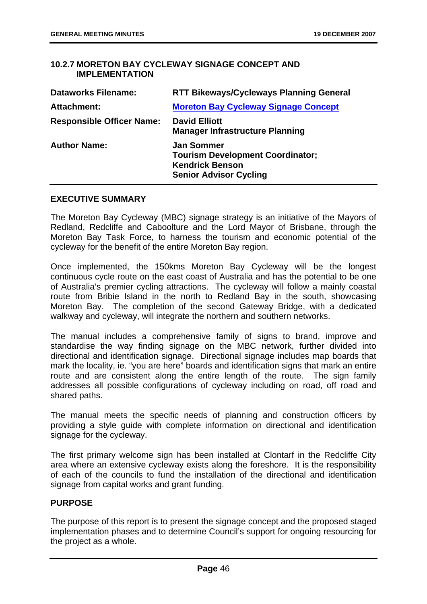## **10.2.7 MORETON BAY CYCLEWAY SIGNAGE CONCEPT AND IMPLEMENTATION**

| <b>Dataworks Filename:</b>       | <b>RTT Bikeways/Cycleways Planning General</b>                                                                          |
|----------------------------------|-------------------------------------------------------------------------------------------------------------------------|
| <b>Attachment:</b>               | <b>Moreton Bay Cycleway Signage Concept</b>                                                                             |
| <b>Responsible Officer Name:</b> | <b>David Elliott</b><br><b>Manager Infrastructure Planning</b>                                                          |
| <b>Author Name:</b>              | <b>Jan Sommer</b><br><b>Tourism Development Coordinator;</b><br><b>Kendrick Benson</b><br><b>Senior Advisor Cycling</b> |

### **EXECUTIVE SUMMARY**

The Moreton Bay Cycleway (MBC) signage strategy is an initiative of the Mayors of Redland, Redcliffe and Caboolture and the Lord Mayor of Brisbane, through the Moreton Bay Task Force, to harness the tourism and economic potential of the cycleway for the benefit of the entire Moreton Bay region.

Once implemented, the 150kms Moreton Bay Cycleway will be the longest continuous cycle route on the east coast of Australia and has the potential to be one of Australia's premier cycling attractions. The cycleway will follow a mainly coastal route from Bribie Island in the north to Redland Bay in the south, showcasing Moreton Bay. The completion of the second Gateway Bridge, with a dedicated walkway and cycleway, will integrate the northern and southern networks.

The manual includes a comprehensive family of signs to brand, improve and standardise the way finding signage on the MBC network, further divided into directional and identification signage. Directional signage includes map boards that mark the locality, ie. "you are here" boards and identification signs that mark an entire route and are consistent along the entire length of the route. The sign family addresses all possible configurations of cycleway including on road, off road and shared paths.

The manual meets the specific needs of planning and construction officers by providing a style guide with complete information on directional and identification signage for the cycleway.

The first primary welcome sign has been installed at Clontarf in the Redcliffe City area where an extensive cycleway exists along the foreshore. It is the responsibility of each of the councils to fund the installation of the directional and identification signage from capital works and grant funding.

#### **PURPOSE**

The purpose of this report is to present the signage concept and the proposed staged implementation phases and to determine Council's support for ongoing resourcing for the project as a whole.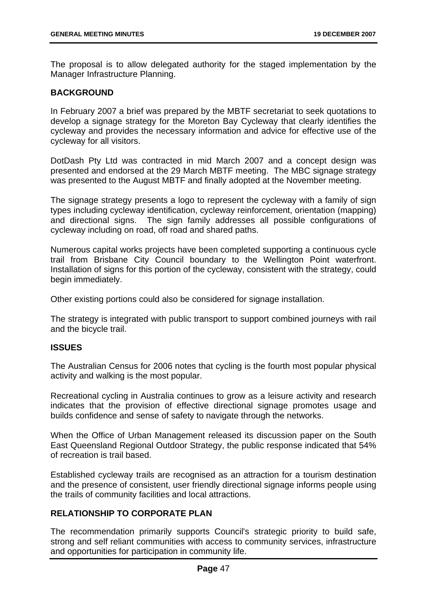The proposal is to allow delegated authority for the staged implementation by the Manager Infrastructure Planning.

## **BACKGROUND**

In February 2007 a brief was prepared by the MBTF secretariat to seek quotations to develop a signage strategy for the Moreton Bay Cycleway that clearly identifies the cycleway and provides the necessary information and advice for effective use of the cycleway for all visitors.

DotDash Pty Ltd was contracted in mid March 2007 and a concept design was presented and endorsed at the 29 March MBTF meeting. The MBC signage strategy was presented to the August MBTF and finally adopted at the November meeting.

The signage strategy presents a logo to represent the cycleway with a family of sign types including cycleway identification, cycleway reinforcement, orientation (mapping) and directional signs. The sign family addresses all possible configurations of cycleway including on road, off road and shared paths.

Numerous capital works projects have been completed supporting a continuous cycle trail from Brisbane City Council boundary to the Wellington Point waterfront. Installation of signs for this portion of the cycleway, consistent with the strategy, could begin immediately.

Other existing portions could also be considered for signage installation.

The strategy is integrated with public transport to support combined journeys with rail and the bicycle trail.

#### **ISSUES**

The Australian Census for 2006 notes that cycling is the fourth most popular physical activity and walking is the most popular.

Recreational cycling in Australia continues to grow as a leisure activity and research indicates that the provision of effective directional signage promotes usage and builds confidence and sense of safety to navigate through the networks.

When the Office of Urban Management released its discussion paper on the South East Queensland Regional Outdoor Strategy, the public response indicated that 54% of recreation is trail based.

Established cycleway trails are recognised as an attraction for a tourism destination and the presence of consistent, user friendly directional signage informs people using the trails of community facilities and local attractions.

## **RELATIONSHIP TO CORPORATE PLAN**

The recommendation primarily supports Council's strategic priority to build safe, strong and self reliant communities with access to community services, infrastructure and opportunities for participation in community life.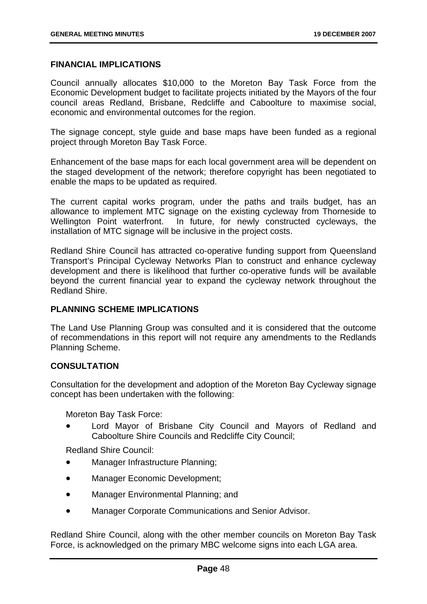### **FINANCIAL IMPLICATIONS**

Council annually allocates \$10,000 to the Moreton Bay Task Force from the Economic Development budget to facilitate projects initiated by the Mayors of the four council areas Redland, Brisbane, Redcliffe and Caboolture to maximise social, economic and environmental outcomes for the region.

The signage concept, style guide and base maps have been funded as a regional project through Moreton Bay Task Force.

Enhancement of the base maps for each local government area will be dependent on the staged development of the network; therefore copyright has been negotiated to enable the maps to be updated as required.

The current capital works program, under the paths and trails budget, has an allowance to implement MTC signage on the existing cycleway from Thorneside to Wellington Point waterfront. In future, for newly constructed cycleways, the installation of MTC signage will be inclusive in the project costs.

Redland Shire Council has attracted co-operative funding support from Queensland Transport's Principal Cycleway Networks Plan to construct and enhance cycleway development and there is likelihood that further co-operative funds will be available beyond the current financial year to expand the cycleway network throughout the Redland Shire.

## **PLANNING SCHEME IMPLICATIONS**

The Land Use Planning Group was consulted and it is considered that the outcome of recommendations in this report will not require any amendments to the Redlands Planning Scheme.

## **CONSULTATION**

Consultation for the development and adoption of the Moreton Bay Cycleway signage concept has been undertaken with the following:

Moreton Bay Task Force:

Lord Mayor of Brisbane City Council and Mayors of Redland and Caboolture Shire Councils and Redcliffe City Council;

Redland Shire Council:

- Manager Infrastructure Planning;
- Manager Economic Development;
- Manager Environmental Planning; and
- Manager Corporate Communications and Senior Advisor.

Redland Shire Council, along with the other member councils on Moreton Bay Task Force, is acknowledged on the primary MBC welcome signs into each LGA area.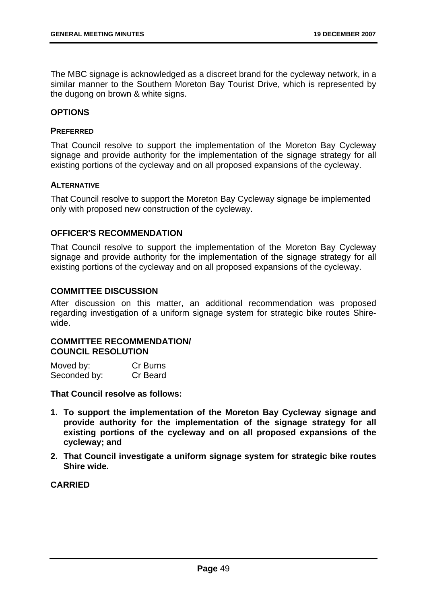The MBC signage is acknowledged as a discreet brand for the cycleway network, in a similar manner to the Southern Moreton Bay Tourist Drive, which is represented by the dugong on brown & white signs.

#### **OPTIONS**

#### **PREFERRED**

That Council resolve to support the implementation of the Moreton Bay Cycleway signage and provide authority for the implementation of the signage strategy for all existing portions of the cycleway and on all proposed expansions of the cycleway.

#### **ALTERNATIVE**

That Council resolve to support the Moreton Bay Cycleway signage be implemented only with proposed new construction of the cycleway.

## **OFFICER'S RECOMMENDATION**

That Council resolve to support the implementation of the Moreton Bay Cycleway signage and provide authority for the implementation of the signage strategy for all existing portions of the cycleway and on all proposed expansions of the cycleway.

#### **COMMITTEE DISCUSSION**

After discussion on this matter, an additional recommendation was proposed regarding investigation of a uniform signage system for strategic bike routes Shirewide.

## **COMMITTEE RECOMMENDATION/ COUNCIL RESOLUTION**

| Moved by:    | Cr Burns |
|--------------|----------|
| Seconded by: | Cr Beard |

**That Council resolve as follows:** 

- **1. To support the implementation of the Moreton Bay Cycleway signage and provide authority for the implementation of the signage strategy for all existing portions of the cycleway and on all proposed expansions of the cycleway; and**
- **2. That Council investigate a uniform signage system for strategic bike routes Shire wide.**

## **CARRIED**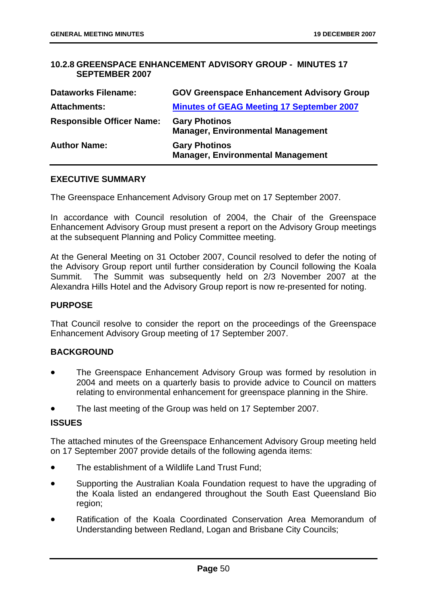## **10.2.8 GREENSPACE ENHANCEMENT ADVISORY GROUP - MINUTES 17 SEPTEMBER 2007**

| <b>Dataworks Filename:</b>       | <b>GOV Greenspace Enhancement Advisory Group</b>                 |
|----------------------------------|------------------------------------------------------------------|
| <b>Attachments:</b>              | <b>Minutes of GEAG Meeting 17 September 2007</b>                 |
| <b>Responsible Officer Name:</b> | <b>Gary Photinos</b><br><b>Manager, Environmental Management</b> |
| <b>Author Name:</b>              | <b>Gary Photinos</b><br><b>Manager, Environmental Management</b> |

#### **EXECUTIVE SUMMARY**

The Greenspace Enhancement Advisory Group met on 17 September 2007.

In accordance with Council resolution of 2004, the Chair of the Greenspace Enhancement Advisory Group must present a report on the Advisory Group meetings at the subsequent Planning and Policy Committee meeting.

At the General Meeting on 31 October 2007, Council resolved to defer the noting of the Advisory Group report until further consideration by Council following the Koala Summit. The Summit was subsequently held on 2/3 November 2007 at the Alexandra Hills Hotel and the Advisory Group report is now re-presented for noting.

#### **PURPOSE**

That Council resolve to consider the report on the proceedings of the Greenspace Enhancement Advisory Group meeting of 17 September 2007.

#### **BACKGROUND**

- The Greenspace Enhancement Advisory Group was formed by resolution in 2004 and meets on a quarterly basis to provide advice to Council on matters relating to environmental enhancement for greenspace planning in the Shire.
- The last meeting of the Group was held on 17 September 2007.

### **ISSUES**

The attached minutes of the Greenspace Enhancement Advisory Group meeting held on 17 September 2007 provide details of the following agenda items:

- The establishment of a Wildlife Land Trust Fund:
- Supporting the Australian Koala Foundation request to have the upgrading of the Koala listed an endangered throughout the South East Queensland Bio region;
- Ratification of the Koala Coordinated Conservation Area Memorandum of Understanding between Redland, Logan and Brisbane City Councils;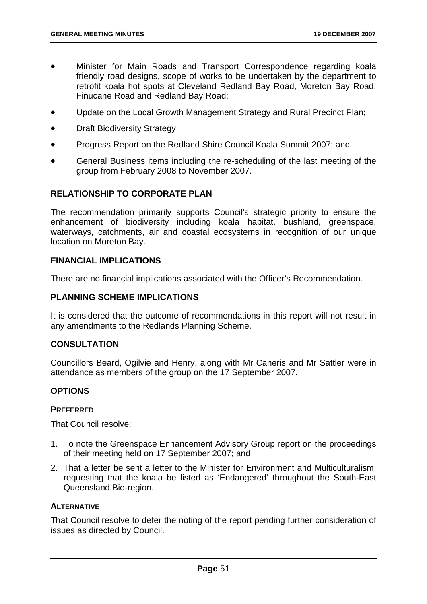- Minister for Main Roads and Transport Correspondence regarding koala friendly road designs, scope of works to be undertaken by the department to retrofit koala hot spots at Cleveland Redland Bay Road, Moreton Bay Road, Finucane Road and Redland Bay Road;
- Update on the Local Growth Management Strategy and Rural Precinct Plan;
- Draft Biodiversity Strategy;
- Progress Report on the Redland Shire Council Koala Summit 2007; and
- General Business items including the re-scheduling of the last meeting of the group from February 2008 to November 2007.

## **RELATIONSHIP TO CORPORATE PLAN**

The recommendation primarily supports Council's strategic priority to ensure the enhancement of biodiversity including koala habitat, bushland, greenspace, waterways, catchments, air and coastal ecosystems in recognition of our unique location on Moreton Bay.

#### **FINANCIAL IMPLICATIONS**

There are no financial implications associated with the Officer's Recommendation.

## **PLANNING SCHEME IMPLICATIONS**

It is considered that the outcome of recommendations in this report will not result in any amendments to the Redlands Planning Scheme.

## **CONSULTATION**

Councillors Beard, Ogilvie and Henry, along with Mr Caneris and Mr Sattler were in attendance as members of the group on the 17 September 2007.

#### **OPTIONS**

#### **PREFERRED**

That Council resolve:

- 1. To note the Greenspace Enhancement Advisory Group report on the proceedings of their meeting held on 17 September 2007; and
- 2. That a letter be sent a letter to the Minister for Environment and Multiculturalism, requesting that the koala be listed as 'Endangered' throughout the South-East Queensland Bio-region.

### **ALTERNATIVE**

That Council resolve to defer the noting of the report pending further consideration of issues as directed by Council.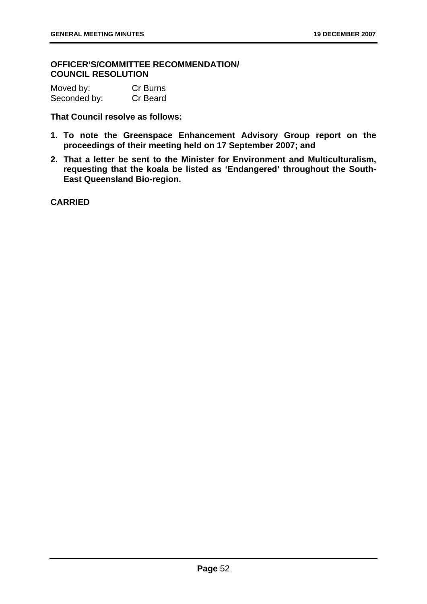## **OFFICER'S/COMMITTEE RECOMMENDATION/ COUNCIL RESOLUTION**

| Moved by:    | Cr Burns |
|--------------|----------|
| Seconded by: | Cr Beard |

**That Council resolve as follows:** 

- **1. To note the Greenspace Enhancement Advisory Group report on the proceedings of their meeting held on 17 September 2007; and**
- **2. That a letter be sent to the Minister for Environment and Multiculturalism, requesting that the koala be listed as 'Endangered' throughout the South-East Queensland Bio-region.**

**CARRIED**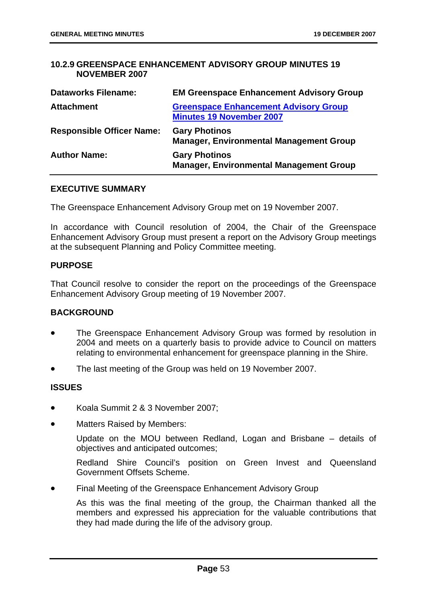## **10.2.9 GREENSPACE ENHANCEMENT ADVISORY GROUP MINUTES 19 NOVEMBER 2007**

| <b>Dataworks Filename:</b>       | <b>EM Greenspace Enhancement Advisory Group</b>                                 |
|----------------------------------|---------------------------------------------------------------------------------|
| <b>Attachment</b>                | <b>Greenspace Enhancement Advisory Group</b><br><b>Minutes 19 November 2007</b> |
| <b>Responsible Officer Name:</b> | <b>Gary Photinos</b><br><b>Manager, Environmental Management Group</b>          |
| <b>Author Name:</b>              | <b>Gary Photinos</b><br><b>Manager, Environmental Management Group</b>          |

#### **EXECUTIVE SUMMARY**

The Greenspace Enhancement Advisory Group met on 19 November 2007.

In accordance with Council resolution of 2004, the Chair of the Greenspace Enhancement Advisory Group must present a report on the Advisory Group meetings at the subsequent Planning and Policy Committee meeting.

### **PURPOSE**

That Council resolve to consider the report on the proceedings of the Greenspace Enhancement Advisory Group meeting of 19 November 2007.

## **BACKGROUND**

- The Greenspace Enhancement Advisory Group was formed by resolution in 2004 and meets on a quarterly basis to provide advice to Council on matters relating to environmental enhancement for greenspace planning in the Shire.
- The last meeting of the Group was held on 19 November 2007.

## **ISSUES**

- Koala Summit 2 & 3 November 2007;
- Matters Raised by Members:

Update on the MOU between Redland, Logan and Brisbane – details of objectives and anticipated outcomes;

Redland Shire Council's position on Green Invest and Queensland Government Offsets Scheme.

• Final Meeting of the Greenspace Enhancement Advisory Group

As this was the final meeting of the group, the Chairman thanked all the members and expressed his appreciation for the valuable contributions that they had made during the life of the advisory group.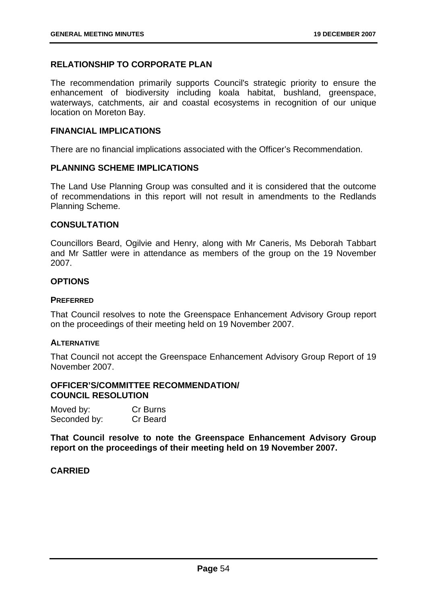## **RELATIONSHIP TO CORPORATE PLAN**

The recommendation primarily supports Council's strategic priority to ensure the enhancement of biodiversity including koala habitat, bushland, greenspace, waterways, catchments, air and coastal ecosystems in recognition of our unique location on Moreton Bay.

### **FINANCIAL IMPLICATIONS**

There are no financial implications associated with the Officer's Recommendation.

#### **PLANNING SCHEME IMPLICATIONS**

The Land Use Planning Group was consulted and it is considered that the outcome of recommendations in this report will not result in amendments to the Redlands Planning Scheme.

### **CONSULTATION**

Councillors Beard, Ogilvie and Henry, along with Mr Caneris, Ms Deborah Tabbart and Mr Sattler were in attendance as members of the group on the 19 November 2007.

### **OPTIONS**

#### **PREFERRED**

That Council resolves to note the Greenspace Enhancement Advisory Group report on the proceedings of their meeting held on 19 November 2007.

#### **ALTERNATIVE**

That Council not accept the Greenspace Enhancement Advisory Group Report of 19 November 2007.

### **OFFICER'S/COMMITTEE RECOMMENDATION/ COUNCIL RESOLUTION**

| Moved by:    | Cr Burns |
|--------------|----------|
| Seconded by: | Cr Beard |

**That Council resolve to note the Greenspace Enhancement Advisory Group report on the proceedings of their meeting held on 19 November 2007.** 

## **CARRIED**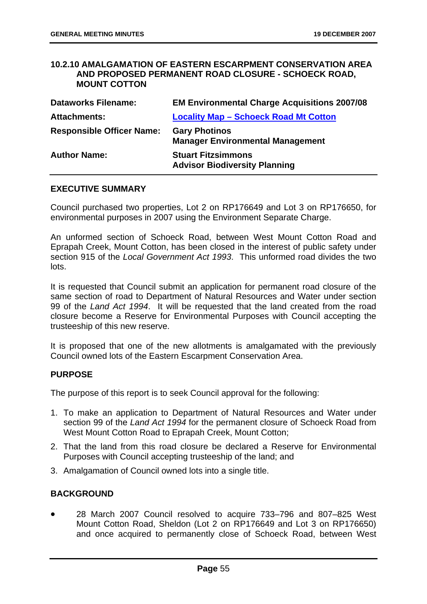#### **10.2.10 AMALGAMATION OF EASTERN ESCARPMENT CONSERVATION AREA AND PROPOSED PERMANENT ROAD CLOSURE - SCHOECK ROAD, MOUNT COTTON**

| <b>Dataworks Filename:</b>       | <b>EM Environmental Charge Acquisitions 2007/08</b>               |
|----------------------------------|-------------------------------------------------------------------|
| <b>Attachments:</b>              | <b>Locality Map - Schoeck Road Mt Cotton</b>                      |
| <b>Responsible Officer Name:</b> | <b>Gary Photinos</b><br><b>Manager Environmental Management</b>   |
| <b>Author Name:</b>              | <b>Stuart Fitzsimmons</b><br><b>Advisor Biodiversity Planning</b> |

#### **EXECUTIVE SUMMARY**

Council purchased two properties, Lot 2 on RP176649 and Lot 3 on RP176650, for environmental purposes in 2007 using the Environment Separate Charge.

An unformed section of Schoeck Road, between West Mount Cotton Road and Eprapah Creek, Mount Cotton, has been closed in the interest of public safety under section 915 of the *Local Government Act 1993*. This unformed road divides the two lots.

It is requested that Council submit an application for permanent road closure of the same section of road to Department of Natural Resources and Water under section 99 of the *Land Act 1994*. It will be requested that the land created from the road closure become a Reserve for Environmental Purposes with Council accepting the trusteeship of this new reserve.

It is proposed that one of the new allotments is amalgamated with the previously Council owned lots of the Eastern Escarpment Conservation Area.

#### **PURPOSE**

The purpose of this report is to seek Council approval for the following:

- 1. To make an application to Department of Natural Resources and Water under section 99 of the *Land Act 1994* for the permanent closure of Schoeck Road from West Mount Cotton Road to Eprapah Creek, Mount Cotton;
- 2. That the land from this road closure be declared a Reserve for Environmental Purposes with Council accepting trusteeship of the land; and
- 3. Amalgamation of Council owned lots into a single title.

#### **BACKGROUND**

• 28 March 2007 Council resolved to acquire 733–796 and 807–825 West Mount Cotton Road, Sheldon (Lot 2 on RP176649 and Lot 3 on RP176650) and once acquired to permanently close of Schoeck Road, between West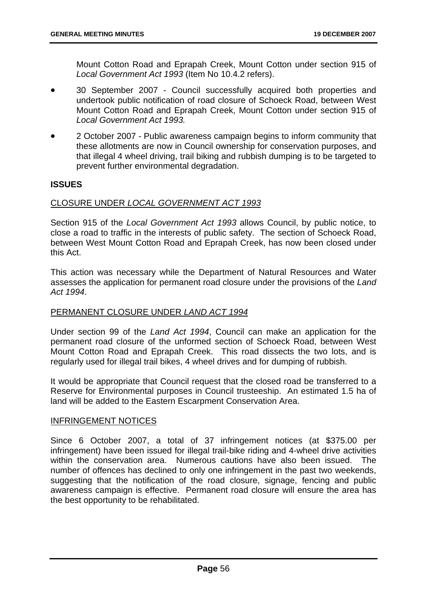Mount Cotton Road and Eprapah Creek, Mount Cotton under section 915 of *Local Government Act 1993* (Item No 10.4.2 refers).

- 30 September 2007 Council successfully acquired both properties and undertook public notification of road closure of Schoeck Road, between West Mount Cotton Road and Eprapah Creek, Mount Cotton under section 915 of *Local Government Act 1993.*
- 2 October 2007 Public awareness campaign begins to inform community that these allotments are now in Council ownership for conservation purposes, and that illegal 4 wheel driving, trail biking and rubbish dumping is to be targeted to prevent further environmental degradation.

## **ISSUES**

#### CLOSURE UNDER *LOCAL GOVERNMENT ACT 1993*

Section 915 of the *Local Government Act 1993* allows Council, by public notice, to close a road to traffic in the interests of public safety. The section of Schoeck Road, between West Mount Cotton Road and Eprapah Creek, has now been closed under this Act.

This action was necessary while the Department of Natural Resources and Water assesses the application for permanent road closure under the provisions of the *Land Act 1994*.

## PERMANENT CLOSURE UNDER *LAND ACT 1994*

Under section 99 of the *Land Act 1994*, Council can make an application for the permanent road closure of the unformed section of Schoeck Road, between West Mount Cotton Road and Eprapah Creek. This road dissects the two lots, and is regularly used for illegal trail bikes, 4 wheel drives and for dumping of rubbish.

It would be appropriate that Council request that the closed road be transferred to a Reserve for Environmental purposes in Council trusteeship. An estimated 1.5 ha of land will be added to the Eastern Escarpment Conservation Area.

#### INFRINGEMENT NOTICES

Since 6 October 2007, a total of 37 infringement notices (at \$375.00 per infringement) have been issued for illegal trail-bike riding and 4-wheel drive activities within the conservation area. Numerous cautions have also been issued. The number of offences has declined to only one infringement in the past two weekends, suggesting that the notification of the road closure, signage, fencing and public awareness campaign is effective. Permanent road closure will ensure the area has the best opportunity to be rehabilitated.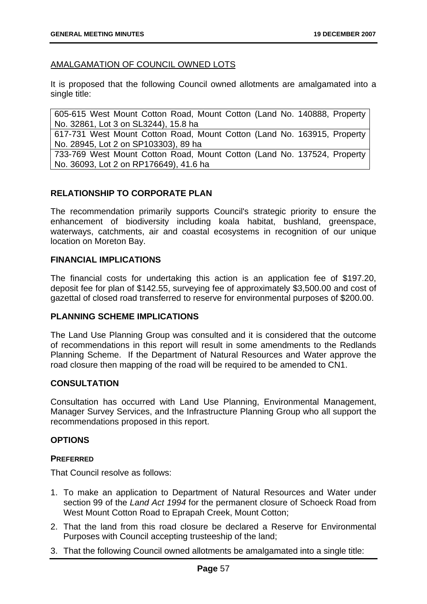### AMALGAMATION OF COUNCIL OWNED LOTS

It is proposed that the following Council owned allotments are amalgamated into a single title:

605-615 West Mount Cotton Road, Mount Cotton (Land No. 140888, Property No. 32861, Lot 3 on SL3244), 15.8 ha

617-731 West Mount Cotton Road, Mount Cotton (Land No. 163915, Property No. 28945, Lot 2 on SP103303), 89 ha

733-769 West Mount Cotton Road, Mount Cotton (Land No. 137524, Property No. 36093, Lot 2 on RP176649), 41.6 ha

## **RELATIONSHIP TO CORPORATE PLAN**

The recommendation primarily supports Council's strategic priority to ensure the enhancement of biodiversity including koala habitat, bushland, greenspace, waterways, catchments, air and coastal ecosystems in recognition of our unique location on Moreton Bay.

### **FINANCIAL IMPLICATIONS**

The financial costs for undertaking this action is an application fee of \$197.20, deposit fee for plan of \$142.55, surveying fee of approximately \$3,500.00 and cost of gazettal of closed road transferred to reserve for environmental purposes of \$200.00.

#### **PLANNING SCHEME IMPLICATIONS**

The Land Use Planning Group was consulted and it is considered that the outcome of recommendations in this report will result in some amendments to the Redlands Planning Scheme. If the Department of Natural Resources and Water approve the road closure then mapping of the road will be required to be amended to CN1.

#### **CONSULTATION**

Consultation has occurred with Land Use Planning, Environmental Management, Manager Survey Services, and the Infrastructure Planning Group who all support the recommendations proposed in this report.

#### **OPTIONS**

#### **PREFERRED**

That Council resolve as follows:

- 1. To make an application to Department of Natural Resources and Water under section 99 of the *Land Act 1994* for the permanent closure of Schoeck Road from West Mount Cotton Road to Eprapah Creek, Mount Cotton;
- 2. That the land from this road closure be declared a Reserve for Environmental Purposes with Council accepting trusteeship of the land;
- 3. That the following Council owned allotments be amalgamated into a single title: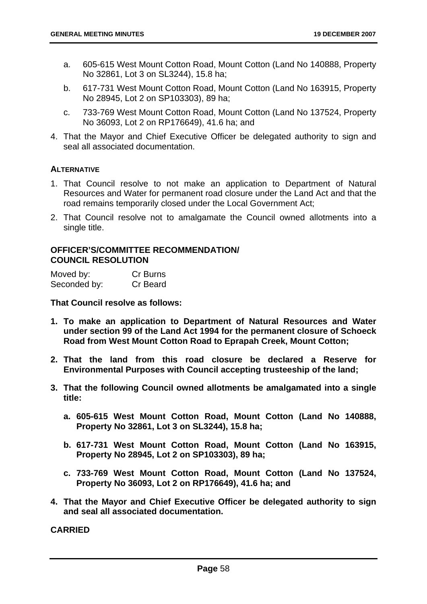- a. 605-615 West Mount Cotton Road, Mount Cotton (Land No 140888, Property No 32861, Lot 3 on SL3244), 15.8 ha;
- b. 617-731 West Mount Cotton Road, Mount Cotton (Land No 163915, Property No 28945, Lot 2 on SP103303), 89 ha;
- c. 733-769 West Mount Cotton Road, Mount Cotton (Land No 137524, Property No 36093, Lot 2 on RP176649), 41.6 ha; and
- 4. That the Mayor and Chief Executive Officer be delegated authority to sign and seal all associated documentation.

### **ALTERNATIVE**

- 1. That Council resolve to not make an application to Department of Natural Resources and Water for permanent road closure under the Land Act and that the road remains temporarily closed under the Local Government Act;
- 2. That Council resolve not to amalgamate the Council owned allotments into a single title.

### **OFFICER'S/COMMITTEE RECOMMENDATION/ COUNCIL RESOLUTION**

| Moved by:    | Cr Burns |
|--------------|----------|
| Seconded by: | Cr Beard |

**That Council resolve as follows:** 

- **1. To make an application to Department of Natural Resources and Water under section 99 of the Land Act 1994 for the permanent closure of Schoeck Road from West Mount Cotton Road to Eprapah Creek, Mount Cotton;**
- **2. That the land from this road closure be declared a Reserve for Environmental Purposes with Council accepting trusteeship of the land;**
- **3. That the following Council owned allotments be amalgamated into a single title:** 
	- **a. 605-615 West Mount Cotton Road, Mount Cotton (Land No 140888, Property No 32861, Lot 3 on SL3244), 15.8 ha;**
	- **b. 617-731 West Mount Cotton Road, Mount Cotton (Land No 163915, Property No 28945, Lot 2 on SP103303), 89 ha;**
	- **c. 733-769 West Mount Cotton Road, Mount Cotton (Land No 137524, Property No 36093, Lot 2 on RP176649), 41.6 ha; and**
- **4. That the Mayor and Chief Executive Officer be delegated authority to sign and seal all associated documentation.**

**CARRIED**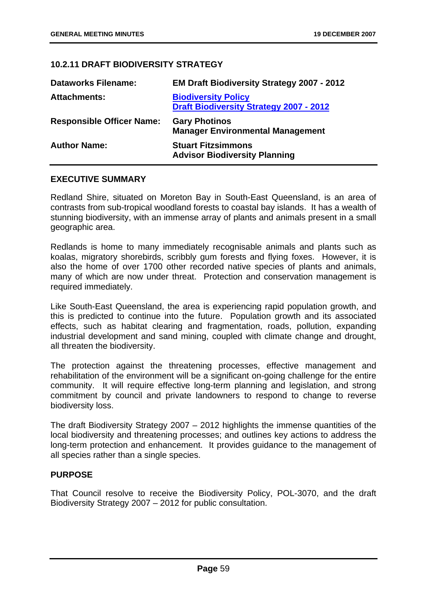# **10.2.11 DRAFT BIODIVERSITY STRATEGY**

| <b>Dataworks Filename:</b>       | EM Draft Biodiversity Strategy 2007 - 2012                                   |
|----------------------------------|------------------------------------------------------------------------------|
| <b>Attachments:</b>              | <b>Biodiversity Policy</b><br><b>Draft Biodiversity Strategy 2007 - 2012</b> |
| <b>Responsible Officer Name:</b> | <b>Gary Photinos</b><br><b>Manager Environmental Management</b>              |
| <b>Author Name:</b>              | <b>Stuart Fitzsimmons</b><br><b>Advisor Biodiversity Planning</b>            |

### **EXECUTIVE SUMMARY**

Redland Shire, situated on Moreton Bay in South-East Queensland, is an area of contrasts from sub-tropical woodland forests to coastal bay islands. It has a wealth of stunning biodiversity, with an immense array of plants and animals present in a small geographic area.

Redlands is home to many immediately recognisable animals and plants such as koalas, migratory shorebirds, scribbly gum forests and flying foxes. However, it is also the home of over 1700 other recorded native species of plants and animals, many of which are now under threat. Protection and conservation management is required immediately.

Like South-East Queensland, the area is experiencing rapid population growth, and this is predicted to continue into the future. Population growth and its associated effects, such as habitat clearing and fragmentation, roads, pollution, expanding industrial development and sand mining, coupled with climate change and drought, all threaten the biodiversity.

The protection against the threatening processes, effective management and rehabilitation of the environment will be a significant on-going challenge for the entire community. It will require effective long-term planning and legislation, and strong commitment by council and private landowners to respond to change to reverse biodiversity loss.

The draft Biodiversity Strategy 2007 – 2012 highlights the immense quantities of the local biodiversity and threatening processes; and outlines key actions to address the long-term protection and enhancement. It provides guidance to the management of all species rather than a single species.

## **PURPOSE**

That Council resolve to receive the Biodiversity Policy, POL-3070, and the draft Biodiversity Strategy 2007 – 2012 for public consultation.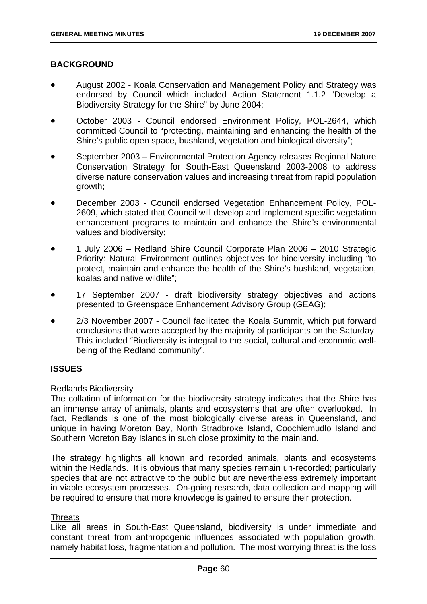## **BACKGROUND**

- August 2002 Koala Conservation and Management Policy and Strategy was endorsed by Council which included Action Statement 1.1.2 "Develop a Biodiversity Strategy for the Shire" by June 2004;
- October 2003 Council endorsed Environment Policy, POL-2644, which committed Council to "protecting, maintaining and enhancing the health of the Shire's public open space, bushland, vegetation and biological diversity";
- September 2003 Environmental Protection Agency releases Regional Nature Conservation Strategy for South-East Queensland 2003-2008 to address diverse nature conservation values and increasing threat from rapid population growth;
- December 2003 Council endorsed Vegetation Enhancement Policy, POL-2609, which stated that Council will develop and implement specific vegetation enhancement programs to maintain and enhance the Shire's environmental values and biodiversity;
- 1 July 2006 Redland Shire Council Corporate Plan 2006 2010 Strategic Priority: Natural Environment outlines objectives for biodiversity including "to protect, maintain and enhance the health of the Shire's bushland, vegetation, koalas and native wildlife";
- 17 September 2007 draft biodiversity strategy objectives and actions presented to Greenspace Enhancement Advisory Group (GEAG);
- 2/3 November 2007 Council facilitated the Koala Summit, which put forward conclusions that were accepted by the majority of participants on the Saturday. This included "Biodiversity is integral to the social, cultural and economic wellbeing of the Redland community".

## **ISSUES**

#### Redlands Biodiversity

The collation of information for the biodiversity strategy indicates that the Shire has an immense array of animals, plants and ecosystems that are often overlooked. In fact, Redlands is one of the most biologically diverse areas in Queensland, and unique in having Moreton Bay, North Stradbroke Island, Coochiemudlo Island and Southern Moreton Bay Islands in such close proximity to the mainland.

The strategy highlights all known and recorded animals, plants and ecosystems within the Redlands. It is obvious that many species remain un-recorded; particularly species that are not attractive to the public but are nevertheless extremely important in viable ecosystem processes. On-going research, data collection and mapping will be required to ensure that more knowledge is gained to ensure their protection.

#### **Threats**

Like all areas in South-East Queensland, biodiversity is under immediate and constant threat from anthropogenic influences associated with population growth, namely habitat loss, fragmentation and pollution. The most worrying threat is the loss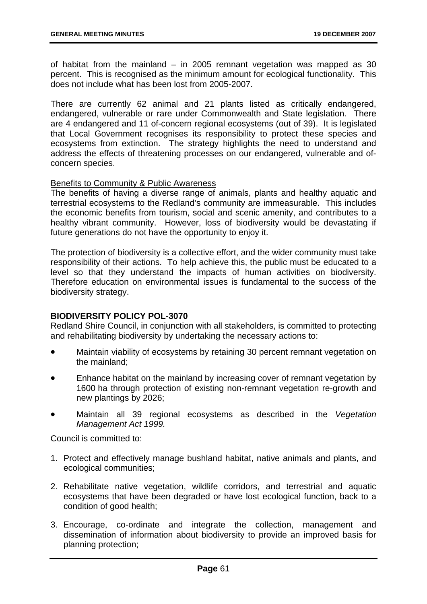of habitat from the mainland – in 2005 remnant vegetation was mapped as 30 percent. This is recognised as the minimum amount for ecological functionality. This does not include what has been lost from 2005-2007.

There are currently 62 animal and 21 plants listed as critically endangered, endangered, vulnerable or rare under Commonwealth and State legislation. There are 4 endangered and 11 of-concern regional ecosystems (out of 39). It is legislated that Local Government recognises its responsibility to protect these species and ecosystems from extinction. The strategy highlights the need to understand and address the effects of threatening processes on our endangered, vulnerable and ofconcern species.

#### Benefits to Community & Public Awareness

The benefits of having a diverse range of animals, plants and healthy aquatic and terrestrial ecosystems to the Redland's community are immeasurable. This includes the economic benefits from tourism, social and scenic amenity, and contributes to a healthy vibrant community. However, loss of biodiversity would be devastating if future generations do not have the opportunity to enjoy it.

The protection of biodiversity is a collective effort, and the wider community must take responsibility of their actions. To help achieve this, the public must be educated to a level so that they understand the impacts of human activities on biodiversity. Therefore education on environmental issues is fundamental to the success of the biodiversity strategy.

## **BIODIVERSITY POLICY POL-3070**

Redland Shire Council, in conjunction with all stakeholders, is committed to protecting and rehabilitating biodiversity by undertaking the necessary actions to:

- Maintain viability of ecosystems by retaining 30 percent remnant vegetation on the mainland;
- Enhance habitat on the mainland by increasing cover of remnant vegetation by 1600 ha through protection of existing non-remnant vegetation re-growth and new plantings by 2026;
- Maintain all 39 regional ecosystems as described in the *Vegetation Management Act 1999.*

Council is committed to:

- 1. Protect and effectively manage bushland habitat, native animals and plants, and ecological communities;
- 2. Rehabilitate native vegetation, wildlife corridors, and terrestrial and aquatic ecosystems that have been degraded or have lost ecological function, back to a condition of good health;
- 3. Encourage, co-ordinate and integrate the collection, management and dissemination of information about biodiversity to provide an improved basis for planning protection;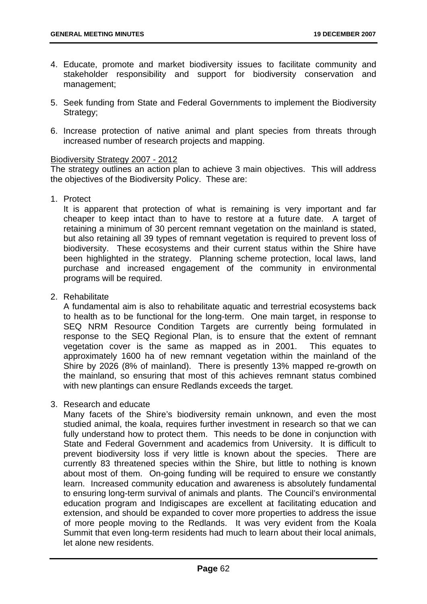- 4. Educate, promote and market biodiversity issues to facilitate community and stakeholder responsibility and support for biodiversity conservation and management;
- 5. Seek funding from State and Federal Governments to implement the Biodiversity Strategy;
- 6. Increase protection of native animal and plant species from threats through increased number of research projects and mapping.

### Biodiversity Strategy 2007 - 2012

The strategy outlines an action plan to achieve 3 main objectives. This will address the objectives of the Biodiversity Policy. These are:

1. Protect

It is apparent that protection of what is remaining is very important and far cheaper to keep intact than to have to restore at a future date. A target of retaining a minimum of 30 percent remnant vegetation on the mainland is stated, but also retaining all 39 types of remnant vegetation is required to prevent loss of biodiversity. These ecosystems and their current status within the Shire have been highlighted in the strategy. Planning scheme protection, local laws, land purchase and increased engagement of the community in environmental programs will be required.

2. Rehabilitate

A fundamental aim is also to rehabilitate aquatic and terrestrial ecosystems back to health as to be functional for the long-term. One main target, in response to SEQ NRM Resource Condition Targets are currently being formulated in response to the SEQ Regional Plan, is to ensure that the extent of remnant vegetation cover is the same as mapped as in 2001. This equates to approximately 1600 ha of new remnant vegetation within the mainland of the Shire by 2026 (8% of mainland). There is presently 13% mapped re-growth on the mainland, so ensuring that most of this achieves remnant status combined with new plantings can ensure Redlands exceeds the target.

3. Research and educate

Many facets of the Shire's biodiversity remain unknown, and even the most studied animal, the koala, requires further investment in research so that we can fully understand how to protect them. This needs to be done in conjunction with State and Federal Government and academics from University. It is difficult to prevent biodiversity loss if very little is known about the species. There are currently 83 threatened species within the Shire, but little to nothing is known about most of them. On-going funding will be required to ensure we constantly learn. Increased community education and awareness is absolutely fundamental to ensuring long-term survival of animals and plants. The Council's environmental education program and Indigiscapes are excellent at facilitating education and extension, and should be expanded to cover more properties to address the issue of more people moving to the Redlands. It was very evident from the Koala Summit that even long-term residents had much to learn about their local animals, let alone new residents.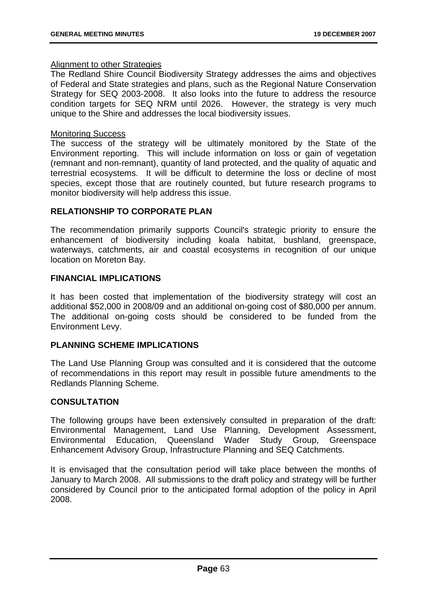### Alignment to other Strategies

The Redland Shire Council Biodiversity Strategy addresses the aims and objectives of Federal and State strategies and plans, such as the Regional Nature Conservation Strategy for SEQ 2003-2008. It also looks into the future to address the resource condition targets for SEQ NRM until 2026. However, the strategy is very much unique to the Shire and addresses the local biodiversity issues.

## Monitoring Success

The success of the strategy will be ultimately monitored by the State of the Environment reporting. This will include information on loss or gain of vegetation (remnant and non-remnant), quantity of land protected, and the quality of aquatic and terrestrial ecosystems. It will be difficult to determine the loss or decline of most species, except those that are routinely counted, but future research programs to monitor biodiversity will help address this issue.

## **RELATIONSHIP TO CORPORATE PLAN**

The recommendation primarily supports Council's strategic priority to ensure the enhancement of biodiversity including koala habitat, bushland, greenspace, waterways, catchments, air and coastal ecosystems in recognition of our unique location on Moreton Bay.

### **FINANCIAL IMPLICATIONS**

It has been costed that implementation of the biodiversity strategy will cost an additional \$52,000 in 2008/09 and an additional on-going cost of \$80,000 per annum. The additional on-going costs should be considered to be funded from the Environment Levy.

## **PLANNING SCHEME IMPLICATIONS**

The Land Use Planning Group was consulted and it is considered that the outcome of recommendations in this report may result in possible future amendments to the Redlands Planning Scheme.

## **CONSULTATION**

The following groups have been extensively consulted in preparation of the draft: Environmental Management, Land Use Planning, Development Assessment, Environmental Education, Queensland Wader Study Group, Greenspace Enhancement Advisory Group, Infrastructure Planning and SEQ Catchments.

It is envisaged that the consultation period will take place between the months of January to March 2008. All submissions to the draft policy and strategy will be further considered by Council prior to the anticipated formal adoption of the policy in April 2008.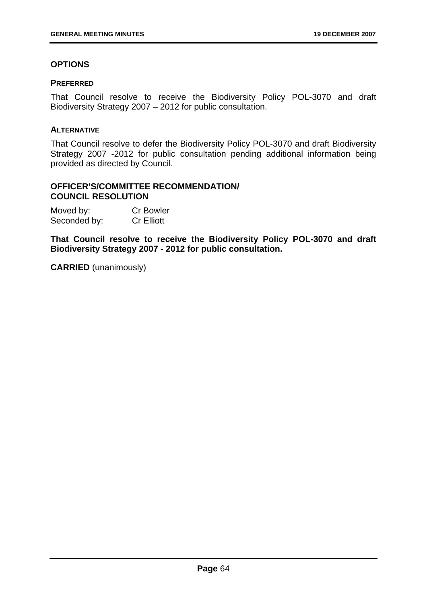# **OPTIONS**

### **PREFERRED**

That Council resolve to receive the Biodiversity Policy POL-3070 and draft Biodiversity Strategy 2007 – 2012 for public consultation.

### **ALTERNATIVE**

That Council resolve to defer the Biodiversity Policy POL-3070 and draft Biodiversity Strategy 2007 -2012 for public consultation pending additional information being provided as directed by Council.

## **OFFICER'S/COMMITTEE RECOMMENDATION/ COUNCIL RESOLUTION**

| Moved by:    | <b>Cr Bowler</b>  |
|--------------|-------------------|
| Seconded by: | <b>Cr Elliott</b> |

**That Council resolve to receive the Biodiversity Policy POL-3070 and draft Biodiversity Strategy 2007 - 2012 for public consultation.** 

**CARRIED** (unanimously)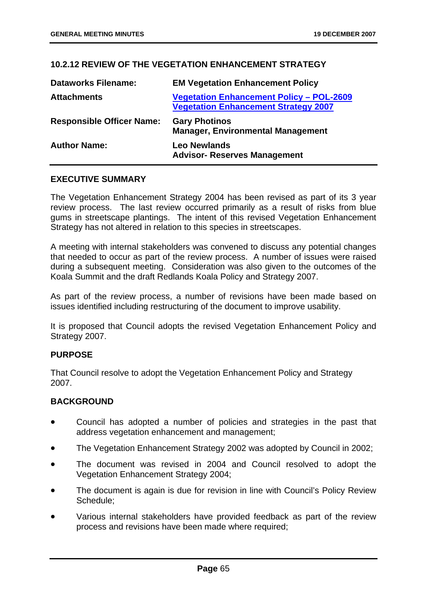## **10.2.12 REVIEW OF THE VEGETATION ENHANCEMENT STRATEGY**

| <b>Dataworks Filename:</b>       | <b>EM Vegetation Enhancement Policy</b>                                                        |
|----------------------------------|------------------------------------------------------------------------------------------------|
| <b>Attachments</b>               | <b>Vegetation Enhancement Policy - POL-2609</b><br><b>Vegetation Enhancement Strategy 2007</b> |
| <b>Responsible Officer Name:</b> | <b>Gary Photinos</b><br><b>Manager, Environmental Management</b>                               |
| <b>Author Name:</b>              | <b>Leo Newlands</b><br><b>Advisor- Reserves Management</b>                                     |

### **EXECUTIVE SUMMARY**

The Vegetation Enhancement Strategy 2004 has been revised as part of its 3 year review process. The last review occurred primarily as a result of risks from blue gums in streetscape plantings. The intent of this revised Vegetation Enhancement Strategy has not altered in relation to this species in streetscapes.

A meeting with internal stakeholders was convened to discuss any potential changes that needed to occur as part of the review process. A number of issues were raised during a subsequent meeting. Consideration was also given to the outcomes of the Koala Summit and the draft Redlands Koala Policy and Strategy 2007.

As part of the review process, a number of revisions have been made based on issues identified including restructuring of the document to improve usability.

It is proposed that Council adopts the revised Vegetation Enhancement Policy and Strategy 2007.

#### **PURPOSE**

That Council resolve to adopt the Vegetation Enhancement Policy and Strategy 2007.

#### **BACKGROUND**

- Council has adopted a number of policies and strategies in the past that address vegetation enhancement and management;
- The Vegetation Enhancement Strategy 2002 was adopted by Council in 2002;
- The document was revised in 2004 and Council resolved to adopt the Vegetation Enhancement Strategy 2004;
- The document is again is due for revision in line with Council's Policy Review Schedule;
- Various internal stakeholders have provided feedback as part of the review process and revisions have been made where required;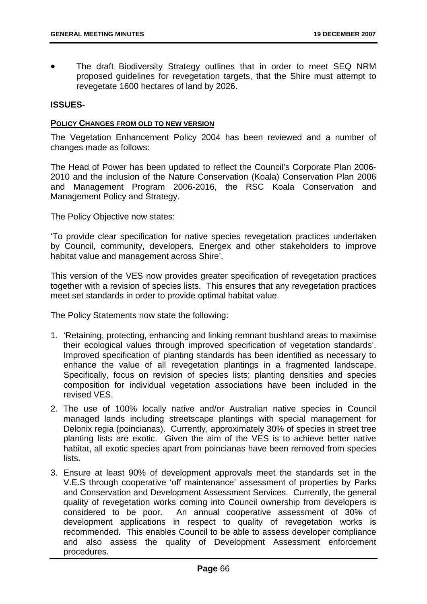The draft Biodiversity Strategy outlines that in order to meet SEQ NRM proposed guidelines for revegetation targets, that the Shire must attempt to revegetate 1600 hectares of land by 2026.

## **ISSUES-**

#### **POLICY CHANGES FROM OLD TO NEW VERSION**

The Vegetation Enhancement Policy 2004 has been reviewed and a number of changes made as follows:

The Head of Power has been updated to reflect the Council's Corporate Plan 2006- 2010 and the inclusion of the Nature Conservation (Koala) Conservation Plan 2006 and Management Program 2006-2016, the RSC Koala Conservation and Management Policy and Strategy.

The Policy Objective now states:

'To provide clear specification for native species revegetation practices undertaken by Council, community, developers, Energex and other stakeholders to improve habitat value and management across Shire'.

This version of the VES now provides greater specification of revegetation practices together with a revision of species lists. This ensures that any revegetation practices meet set standards in order to provide optimal habitat value.

The Policy Statements now state the following:

- 1. 'Retaining, protecting, enhancing and linking remnant bushland areas to maximise their ecological values through improved specification of vegetation standards'. Improved specification of planting standards has been identified as necessary to enhance the value of all revegetation plantings in a fragmented landscape. Specifically, focus on revision of species lists; planting densities and species composition for individual vegetation associations have been included in the revised VES.
- 2. The use of 100% locally native and/or Australian native species in Council managed lands including streetscape plantings with special management for Delonix regia (poincianas). Currently, approximately 30% of species in street tree planting lists are exotic. Given the aim of the VES is to achieve better native habitat, all exotic species apart from poincianas have been removed from species lists.
- 3. Ensure at least 90% of development approvals meet the standards set in the V.E.S through cooperative 'off maintenance' assessment of properties by Parks and Conservation and Development Assessment Services. Currently, the general quality of revegetation works coming into Council ownership from developers is considered to be poor. An annual cooperative assessment of 30% of An annual cooperative assessment of 30% of development applications in respect to quality of revegetation works is recommended. This enables Council to be able to assess developer compliance and also assess the quality of Development Assessment enforcement procedures.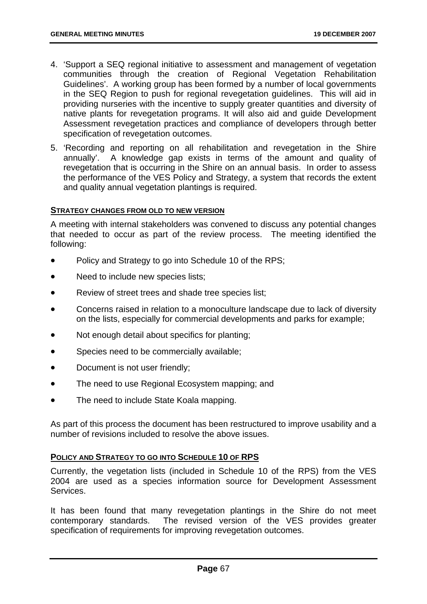- 4. 'Support a SEQ regional initiative to assessment and management of vegetation communities through the creation of Regional Vegetation Rehabilitation Guidelines'. A working group has been formed by a number of local governments in the SEQ Region to push for regional revegetation guidelines. This will aid in providing nurseries with the incentive to supply greater quantities and diversity of native plants for revegetation programs. It will also aid and guide Development Assessment revegetation practices and compliance of developers through better specification of revegetation outcomes.
- 5. 'Recording and reporting on all rehabilitation and revegetation in the Shire annually'. A knowledge gap exists in terms of the amount and quality of revegetation that is occurring in the Shire on an annual basis. In order to assess the performance of the VES Policy and Strategy, a system that records the extent and quality annual vegetation plantings is required.

### **STRATEGY CHANGES FROM OLD TO NEW VERSION**

A meeting with internal stakeholders was convened to discuss any potential changes that needed to occur as part of the review process. The meeting identified the following:

- Policy and Strategy to go into Schedule 10 of the RPS;
- Need to include new species lists;
- Review of street trees and shade tree species list;
- Concerns raised in relation to a monoculture landscape due to lack of diversity on the lists, especially for commercial developments and parks for example;
- Not enough detail about specifics for planting;
- Species need to be commercially available;
- Document is not user friendly;
- The need to use Regional Ecosystem mapping: and
- The need to include State Koala mapping.

As part of this process the document has been restructured to improve usability and a number of revisions included to resolve the above issues.

### **POLICY AND STRATEGY TO GO INTO SCHEDULE 10 OF RPS**

Currently, the vegetation lists (included in Schedule 10 of the RPS) from the VES 2004 are used as a species information source for Development Assessment Services.

It has been found that many revegetation plantings in the Shire do not meet contemporary standards. The revised version of the VES provides greater specification of requirements for improving revegetation outcomes.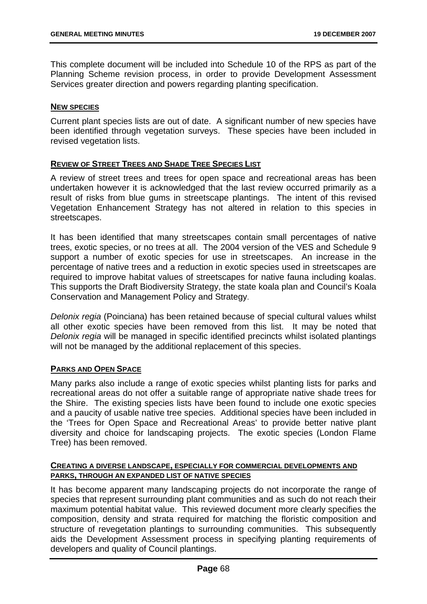This complete document will be included into Schedule 10 of the RPS as part of the Planning Scheme revision process, in order to provide Development Assessment Services greater direction and powers regarding planting specification.

### **NEW SPECIES**

Current plant species lists are out of date. A significant number of new species have been identified through vegetation surveys. These species have been included in revised vegetation lists.

## **REVIEW OF STREET TREES AND SHADE TREE SPECIES LIST**

A review of street trees and trees for open space and recreational areas has been undertaken however it is acknowledged that the last review occurred primarily as a result of risks from blue gums in streetscape plantings. The intent of this revised Vegetation Enhancement Strategy has not altered in relation to this species in streetscapes.

It has been identified that many streetscapes contain small percentages of native trees, exotic species, or no trees at all. The 2004 version of the VES and Schedule 9 support a number of exotic species for use in streetscapes. An increase in the percentage of native trees and a reduction in exotic species used in streetscapes are required to improve habitat values of streetscapes for native fauna including koalas. This supports the Draft Biodiversity Strategy, the state koala plan and Council's Koala Conservation and Management Policy and Strategy.

*Delonix regia* (Poinciana) has been retained because of special cultural values whilst all other exotic species have been removed from this list. It may be noted that *Delonix regia* will be managed in specific identified precincts whilst isolated plantings will not be managed by the additional replacement of this species.

# **PARKS AND OPEN SPACE**

Many parks also include a range of exotic species whilst planting lists for parks and recreational areas do not offer a suitable range of appropriate native shade trees for the Shire. The existing species lists have been found to include one exotic species and a paucity of usable native tree species. Additional species have been included in the 'Trees for Open Space and Recreational Areas' to provide better native plant diversity and choice for landscaping projects. The exotic species (London Flame Tree) has been removed.

### **CREATING A DIVERSE LANDSCAPE, ESPECIALLY FOR COMMERCIAL DEVELOPMENTS AND PARKS, THROUGH AN EXPANDED LIST OF NATIVE SPECIES**

It has become apparent many landscaping projects do not incorporate the range of species that represent surrounding plant communities and as such do not reach their maximum potential habitat value. This reviewed document more clearly specifies the composition, density and strata required for matching the floristic composition and structure of revegetation plantings to surrounding communities. This subsequently aids the Development Assessment process in specifying planting requirements of developers and quality of Council plantings.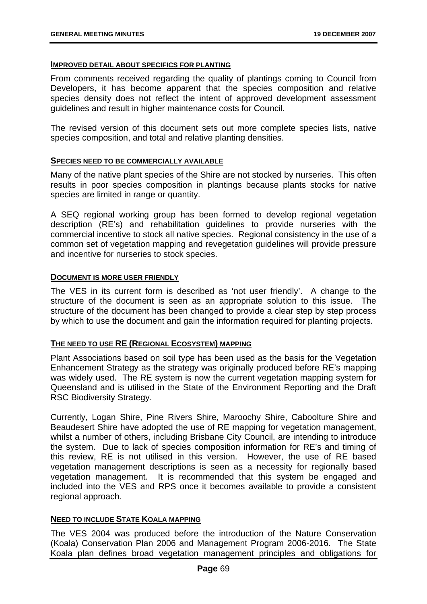### **IMPROVED DETAIL ABOUT SPECIFICS FOR PLANTING**

From comments received regarding the quality of plantings coming to Council from Developers, it has become apparent that the species composition and relative species density does not reflect the intent of approved development assessment guidelines and result in higher maintenance costs for Council.

The revised version of this document sets out more complete species lists, native species composition, and total and relative planting densities.

### **SPECIES NEED TO BE COMMERCIALLY AVAILABLE**

Many of the native plant species of the Shire are not stocked by nurseries. This often results in poor species composition in plantings because plants stocks for native species are limited in range or quantity.

A SEQ regional working group has been formed to develop regional vegetation description (RE's) and rehabilitation guidelines to provide nurseries with the commercial incentive to stock all native species. Regional consistency in the use of a common set of vegetation mapping and revegetation guidelines will provide pressure and incentive for nurseries to stock species.

### **DOCUMENT IS MORE USER FRIENDLY**

The VES in its current form is described as 'not user friendly'. A change to the structure of the document is seen as an appropriate solution to this issue. The structure of the document has been changed to provide a clear step by step process by which to use the document and gain the information required for planting projects.

### **THE NEED TO USE RE (REGIONAL ECOSYSTEM) MAPPING**

Plant Associations based on soil type has been used as the basis for the Vegetation Enhancement Strategy as the strategy was originally produced before RE's mapping was widely used. The RE system is now the current vegetation mapping system for Queensland and is utilised in the State of the Environment Reporting and the Draft RSC Biodiversity Strategy.

Currently, Logan Shire, Pine Rivers Shire, Maroochy Shire, Caboolture Shire and Beaudesert Shire have adopted the use of RE mapping for vegetation management, whilst a number of others, including Brisbane City Council, are intending to introduce the system. Due to lack of species composition information for RE's and timing of this review, RE is not utilised in this version. However, the use of RE based vegetation management descriptions is seen as a necessity for regionally based vegetation management. It is recommended that this system be engaged and included into the VES and RPS once it becomes available to provide a consistent regional approach.

### **NEED TO INCLUDE STATE KOALA MAPPING**

The VES 2004 was produced before the introduction of the Nature Conservation (Koala) Conservation Plan 2006 and Management Program 2006-2016. The State Koala plan defines broad vegetation management principles and obligations for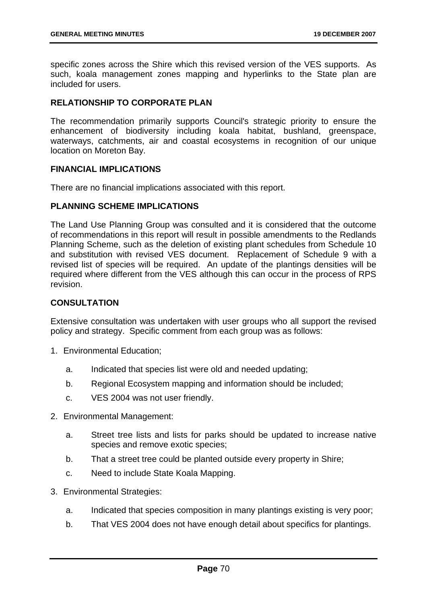specific zones across the Shire which this revised version of the VES supports. As such, koala management zones mapping and hyperlinks to the State plan are included for users.

# **RELATIONSHIP TO CORPORATE PLAN**

The recommendation primarily supports Council's strategic priority to ensure the enhancement of biodiversity including koala habitat, bushland, greenspace, waterways, catchments, air and coastal ecosystems in recognition of our unique location on Moreton Bay.

# **FINANCIAL IMPLICATIONS**

There are no financial implications associated with this report.

## **PLANNING SCHEME IMPLICATIONS**

The Land Use Planning Group was consulted and it is considered that the outcome of recommendations in this report will result in possible amendments to the Redlands Planning Scheme, such as the deletion of existing plant schedules from Schedule 10 and substitution with revised VES document. Replacement of Schedule 9 with a revised list of species will be required. An update of the plantings densities will be required where different from the VES although this can occur in the process of RPS revision.

# **CONSULTATION**

Extensive consultation was undertaken with user groups who all support the revised policy and strategy. Specific comment from each group was as follows:

- 1. Environmental Education;
	- a. Indicated that species list were old and needed updating;
	- b. Regional Ecosystem mapping and information should be included;
	- c. VES 2004 was not user friendly.
- 2. Environmental Management:
	- a. Street tree lists and lists for parks should be updated to increase native species and remove exotic species;
	- b. That a street tree could be planted outside every property in Shire;
	- c. Need to include State Koala Mapping.
- 3. Environmental Strategies:
	- a. Indicated that species composition in many plantings existing is very poor;
	- b. That VES 2004 does not have enough detail about specifics for plantings.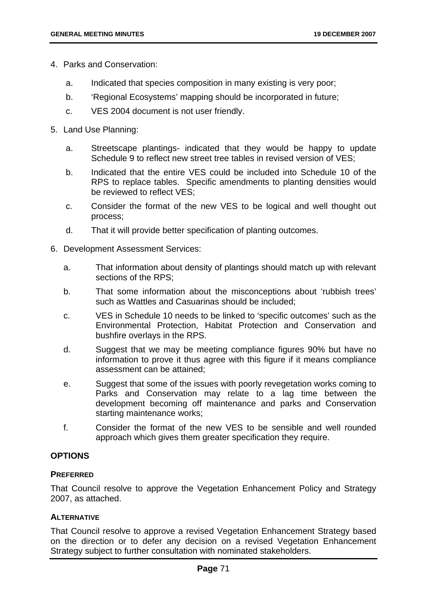- 4. Parks and Conservation:
	- a. Indicated that species composition in many existing is very poor;
	- b. 'Regional Ecosystems' mapping should be incorporated in future;
	- c. VES 2004 document is not user friendly.
- 5. Land Use Planning:
	- a. Streetscape plantings- indicated that they would be happy to update Schedule 9 to reflect new street tree tables in revised version of VES;
	- b. Indicated that the entire VES could be included into Schedule 10 of the RPS to replace tables. Specific amendments to planting densities would be reviewed to reflect VES;
	- c. Consider the format of the new VES to be logical and well thought out process;
	- d. That it will provide better specification of planting outcomes.
- 6. Development Assessment Services:
	- a. That information about density of plantings should match up with relevant sections of the RPS;
	- b. That some information about the misconceptions about 'rubbish trees' such as Wattles and Casuarinas should be included;
	- c. VES in Schedule 10 needs to be linked to 'specific outcomes' such as the Environmental Protection, Habitat Protection and Conservation and bushfire overlays in the RPS.
	- d. Suggest that we may be meeting compliance figures 90% but have no information to prove it thus agree with this figure if it means compliance assessment can be attained;
	- e. Suggest that some of the issues with poorly revegetation works coming to Parks and Conservation may relate to a lag time between the development becoming off maintenance and parks and Conservation starting maintenance works;
	- f. Consider the format of the new VES to be sensible and well rounded approach which gives them greater specification they require.

# **OPTIONS**

### **PREFERRED**

That Council resolve to approve the Vegetation Enhancement Policy and Strategy 2007, as attached.

### **ALTERNATIVE**

That Council resolve to approve a revised Vegetation Enhancement Strategy based on the direction or to defer any decision on a revised Vegetation Enhancement Strategy subject to further consultation with nominated stakeholders.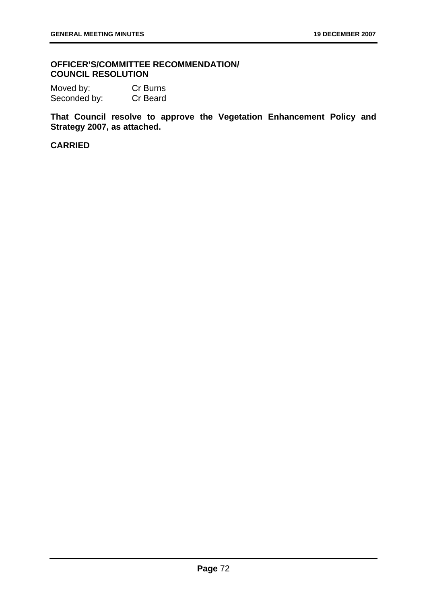# **OFFICER'S/COMMITTEE RECOMMENDATION/ COUNCIL RESOLUTION**

Moved by: Cr Burns Seconded by: Cr Beard

**That Council resolve to approve the Vegetation Enhancement Policy and Strategy 2007, as attached.**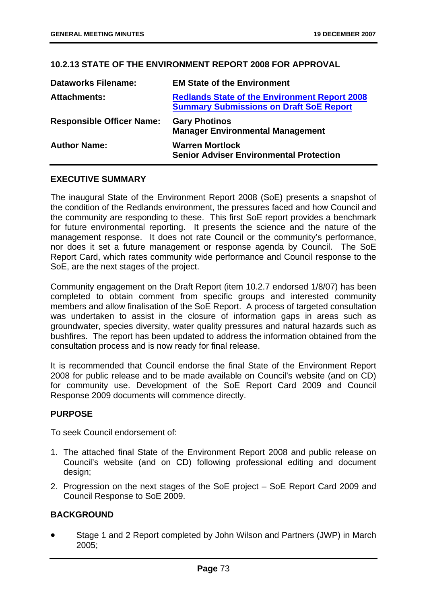# **10.2.13 STATE OF THE ENVIRONMENT REPORT 2008 FOR APPROVAL**

| <b>Dataworks Filename:</b>       | <b>EM State of the Environment</b>                                                                     |
|----------------------------------|--------------------------------------------------------------------------------------------------------|
| <b>Attachments:</b>              | <b>Redlands State of the Environment Report 2008</b><br><b>Summary Submissions on Draft SoE Report</b> |
| <b>Responsible Officer Name:</b> | <b>Gary Photinos</b><br><b>Manager Environmental Management</b>                                        |
| <b>Author Name:</b>              | <b>Warren Mortlock</b><br><b>Senior Adviser Environmental Protection</b>                               |

### **EXECUTIVE SUMMARY**

The inaugural State of the Environment Report 2008 (SoE) presents a snapshot of the condition of the Redlands environment, the pressures faced and how Council and the community are responding to these. This first SoE report provides a benchmark for future environmental reporting. It presents the science and the nature of the management response. It does not rate Council or the community's performance, nor does it set a future management or response agenda by Council. The SoE Report Card, which rates community wide performance and Council response to the SoE, are the next stages of the project.

Community engagement on the Draft Report (item 10.2.7 endorsed 1/8/07) has been completed to obtain comment from specific groups and interested community members and allow finalisation of the SoE Report. A process of targeted consultation was undertaken to assist in the closure of information gaps in areas such as groundwater, species diversity, water quality pressures and natural hazards such as bushfires. The report has been updated to address the information obtained from the consultation process and is now ready for final release.

It is recommended that Council endorse the final State of the Environment Report 2008 for public release and to be made available on Council's website (and on CD) for community use. Development of the SoE Report Card 2009 and Council Response 2009 documents will commence directly.

# **PURPOSE**

To seek Council endorsement of:

- 1. The attached final State of the Environment Report 2008 and public release on Council's website (and on CD) following professional editing and document design;
- 2. Progression on the next stages of the SoE project SoE Report Card 2009 and Council Response to SoE 2009.

# **BACKGROUND**

• Stage 1 and 2 Report completed by John Wilson and Partners (JWP) in March 2005;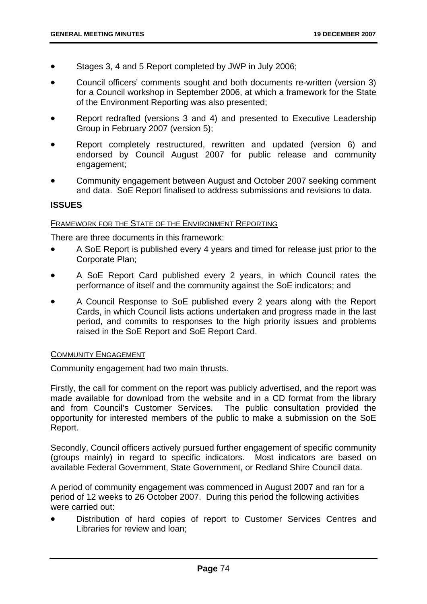- Stages 3, 4 and 5 Report completed by JWP in July 2006;
- Council officers' comments sought and both documents re-written (version 3) for a Council workshop in September 2006, at which a framework for the State of the Environment Reporting was also presented;
- Report redrafted (versions 3 and 4) and presented to Executive Leadership Group in February 2007 (version 5);
- Report completely restructured, rewritten and updated (version 6) and endorsed by Council August 2007 for public release and community engagement;
- Community engagement between August and October 2007 seeking comment and data. SoE Report finalised to address submissions and revisions to data.

# **ISSUES**

#### FRAMEWORK FOR THE STATE OF THE ENVIRONMENT REPORTING

There are three documents in this framework:

- A SoE Report is published every 4 years and timed for release just prior to the Corporate Plan;
- A SoE Report Card published every 2 years, in which Council rates the performance of itself and the community against the SoE indicators; and
- A Council Response to SoE published every 2 years along with the Report Cards, in which Council lists actions undertaken and progress made in the last period, and commits to responses to the high priority issues and problems raised in the SoE Report and SoE Report Card.

### COMMUNITY ENGAGEMENT

Community engagement had two main thrusts.

Firstly, the call for comment on the report was publicly advertised, and the report was made available for download from the website and in a CD format from the library and from Council's Customer Services. The public consultation provided the opportunity for interested members of the public to make a submission on the SoE Report.

Secondly, Council officers actively pursued further engagement of specific community (groups mainly) in regard to specific indicators. Most indicators are based on available Federal Government, State Government, or Redland Shire Council data.

A period of community engagement was commenced in August 2007 and ran for a period of 12 weeks to 26 October 2007. During this period the following activities were carried out:

• Distribution of hard copies of report to Customer Services Centres and Libraries for review and loan;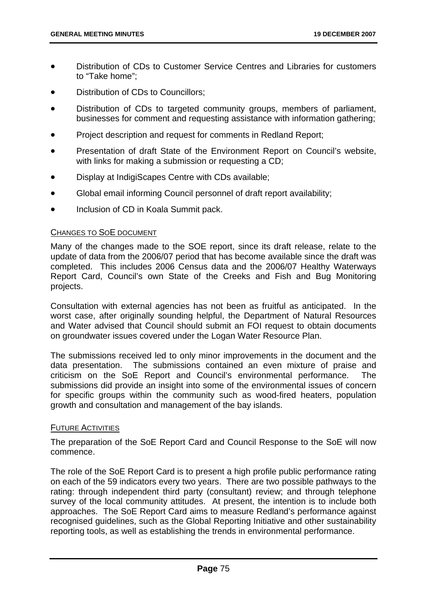- Distribution of CDs to Customer Service Centres and Libraries for customers to "Take home";
- Distribution of CDs to Councillors:
- Distribution of CDs to targeted community groups, members of parliament, businesses for comment and requesting assistance with information gathering;
- Project description and request for comments in Redland Report;
- Presentation of draft State of the Environment Report on Council's website, with links for making a submission or requesting a CD;
- Display at IndigiScapes Centre with CDs available;
- Global email informing Council personnel of draft report availability;
- Inclusion of CD in Koala Summit pack.

### CHANGES TO SOE DOCUMENT

Many of the changes made to the SOE report, since its draft release, relate to the update of data from the 2006/07 period that has become available since the draft was completed. This includes 2006 Census data and the 2006/07 Healthy Waterways Report Card, Council's own State of the Creeks and Fish and Bug Monitoring projects.

Consultation with external agencies has not been as fruitful as anticipated. In the worst case, after originally sounding helpful, the Department of Natural Resources and Water advised that Council should submit an FOI request to obtain documents on groundwater issues covered under the Logan Water Resource Plan.

The submissions received led to only minor improvements in the document and the data presentation. The submissions contained an even mixture of praise and criticism on the SoE Report and Council's environmental performance. The submissions did provide an insight into some of the environmental issues of concern for specific groups within the community such as wood-fired heaters, population growth and consultation and management of the bay islands.

### FUTURE ACTIVITIES

The preparation of the SoE Report Card and Council Response to the SoE will now commence.

The role of the SoE Report Card is to present a high profile public performance rating on each of the 59 indicators every two years. There are two possible pathways to the rating: through independent third party (consultant) review; and through telephone survey of the local community attitudes. At present, the intention is to include both approaches. The SoE Report Card aims to measure Redland's performance against recognised guidelines, such as the Global Reporting Initiative and other sustainability reporting tools, as well as establishing the trends in environmental performance.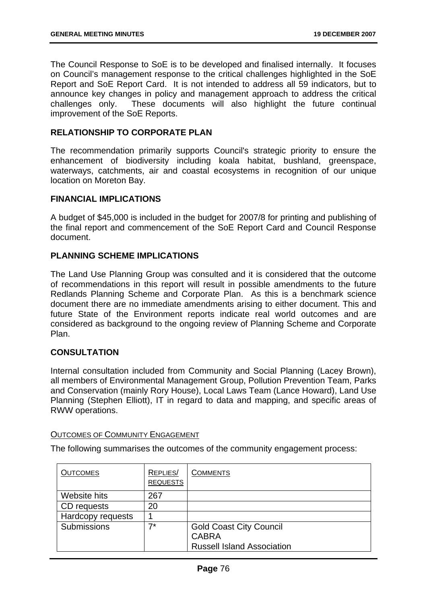The Council Response to SoE is to be developed and finalised internally. It focuses on Council's management response to the critical challenges highlighted in the SoE Report and SoE Report Card. It is not intended to address all 59 indicators, but to announce key changes in policy and management approach to address the critical challenges only. These documents will also highlight the future continual improvement of the SoE Reports.

# **RELATIONSHIP TO CORPORATE PLAN**

The recommendation primarily supports Council's strategic priority to ensure the enhancement of biodiversity including koala habitat, bushland, greenspace, waterways, catchments, air and coastal ecosystems in recognition of our unique location on Moreton Bay.

### **FINANCIAL IMPLICATIONS**

A budget of \$45,000 is included in the budget for 2007/8 for printing and publishing of the final report and commencement of the SoE Report Card and Council Response document.

## **PLANNING SCHEME IMPLICATIONS**

The Land Use Planning Group was consulted and it is considered that the outcome of recommendations in this report will result in possible amendments to the future Redlands Planning Scheme and Corporate Plan. As this is a benchmark science document there are no immediate amendments arising to either document. This and future State of the Environment reports indicate real world outcomes and are considered as background to the ongoing review of Planning Scheme and Corporate Plan.

# **CONSULTATION**

Internal consultation included from Community and Social Planning (Lacey Brown), all members of Environmental Management Group, Pollution Prevention Team, Parks and Conservation (mainly Rory House), Local Laws Team (Lance Howard), Land Use Planning (Stephen Elliott), IT in regard to data and mapping, and specific areas of RWW operations.

### OUTCOMES OF COMMUNITY ENGAGEMENT

The following summarises the outcomes of the community engagement process:

| <b>OUTCOMES</b>   | REPLIES/<br><b>REQUESTS</b> | <b>COMMENTS</b>                   |
|-------------------|-----------------------------|-----------------------------------|
| Website hits      | 267                         |                                   |
| CD requests       | 20                          |                                   |
| Hardcopy requests |                             |                                   |
| Submissions       | 7*                          | <b>Gold Coast City Council</b>    |
|                   |                             | <b>CABRA</b>                      |
|                   |                             | <b>Russell Island Association</b> |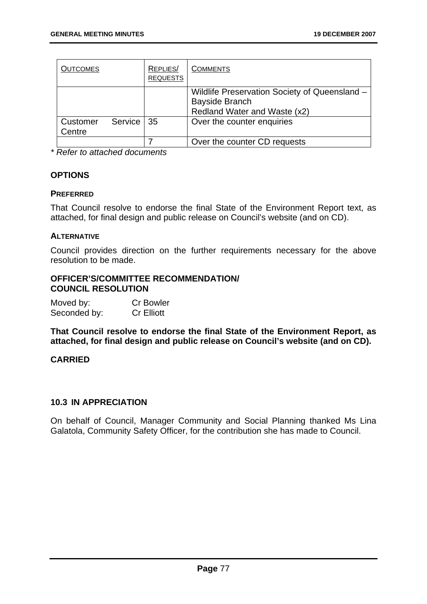| <b>OUTCOMES</b>    |              | REPLIES/<br><b>REQUESTS</b> | <b>COMMENTS</b>                                                                                        |
|--------------------|--------------|-----------------------------|--------------------------------------------------------------------------------------------------------|
|                    |              |                             | Wildlife Preservation Society of Queensland -<br><b>Bayside Branch</b><br>Redland Water and Waste (x2) |
| Customer<br>Centre | Service   35 |                             | Over the counter enquiries                                                                             |
|                    |              |                             | Over the counter CD requests                                                                           |

*\* Refer to attached documents* 

# **OPTIONS**

### **PREFERRED**

That Council resolve to endorse the final State of the Environment Report text, as attached, for final design and public release on Council's website (and on CD).

## **ALTERNATIVE**

Council provides direction on the further requirements necessary for the above resolution to be made.

### **OFFICER'S/COMMITTEE RECOMMENDATION/ COUNCIL RESOLUTION**

| Moved by:    | <b>Cr Bowler</b>  |
|--------------|-------------------|
| Seconded by: | <b>Cr Elliott</b> |

**That Council resolve to endorse the final State of the Environment Report, as attached, for final design and public release on Council's website (and on CD).** 

# **CARRIED**

# **10.3 IN APPRECIATION**

On behalf of Council, Manager Community and Social Planning thanked Ms Lina Galatola, Community Safety Officer, for the contribution she has made to Council.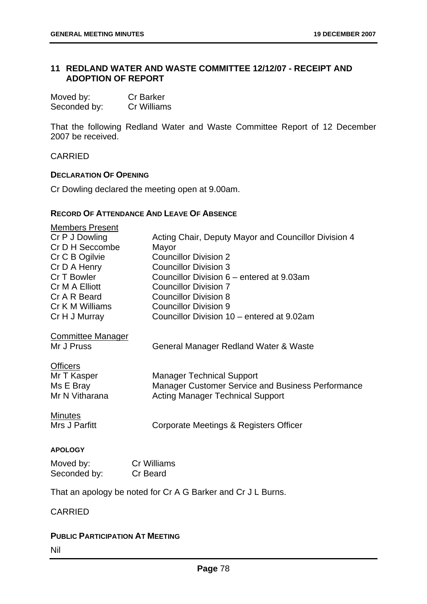# **11 REDLAND WATER AND WASTE COMMITTEE 12/12/07 - RECEIPT AND ADOPTION OF REPORT**

| Moved by:    | <b>Cr Barker</b> |
|--------------|------------------|
| Seconded by: | Cr Williams      |

That the following Redland Water and Waste Committee Report of 12 December 2007 be received.

CARRIED

### **DECLARATION OF OPENING**

Cr Dowling declared the meeting open at 9.00am.

# **RECORD OF ATTENDANCE AND LEAVE OF ABSENCE**

| <b>Members Present</b>                                       |                                                          |  |
|--------------------------------------------------------------|----------------------------------------------------------|--|
| Cr P J Dowling                                               | Acting Chair, Deputy Mayor and Councillor Division 4     |  |
| Cr D H Seccombe                                              | Mayor                                                    |  |
| Cr C B Ogilvie                                               | <b>Councillor Division 2</b>                             |  |
| Cr D A Henry                                                 | <b>Councillor Division 3</b>                             |  |
| Cr T Bowler                                                  | Councillor Division 6 – entered at 9.03am                |  |
| Cr M A Elliott                                               | <b>Councillor Division 7</b>                             |  |
| Cr A R Beard                                                 | <b>Councillor Division 8</b>                             |  |
| Cr K M Williams                                              | <b>Councillor Division 9</b>                             |  |
| Cr H J Murray                                                | Councillor Division 10 – entered at 9.02am               |  |
| <b>Committee Manager</b><br>Mr J Pruss                       | General Manager Redland Water & Waste                    |  |
|                                                              |                                                          |  |
| <b>Officers</b>                                              |                                                          |  |
| Mr T Kasper                                                  | <b>Manager Technical Support</b>                         |  |
| Ms E Bray                                                    | <b>Manager Customer Service and Business Performance</b> |  |
| Mr N Vitharana                                               | <b>Acting Manager Technical Support</b>                  |  |
|                                                              |                                                          |  |
| <b>Minutes</b>                                               |                                                          |  |
| Mrs J Parfitt                                                | Corporate Meetings & Registers Officer                   |  |
|                                                              |                                                          |  |
| <b>APOLOGY</b>                                               |                                                          |  |
| Moved by:                                                    | <b>Cr Williams</b>                                       |  |
| Seconded by:                                                 | Cr Beard                                                 |  |
|                                                              |                                                          |  |
| That an apology be noted for Cr A G Barker and Cr J L Burns. |                                                          |  |

# CARRIED

### **PUBLIC PARTICIPATION AT MEETING**

Nil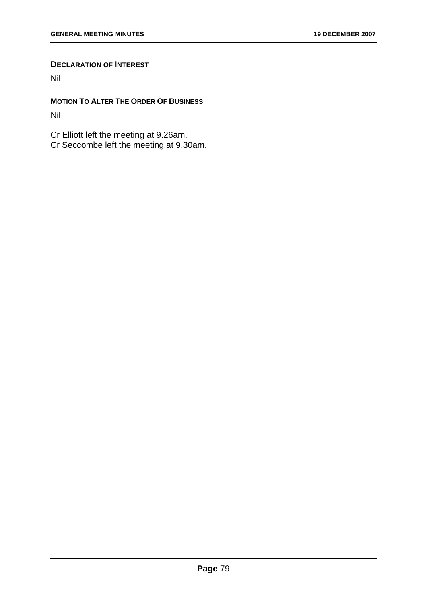### **DECLARATION OF INTEREST**

Nil

**MOTION TO ALTER THE ORDER OF BUSINESS** Nil

Cr Elliott left the meeting at 9.26am. Cr Seccombe left the meeting at 9.30am.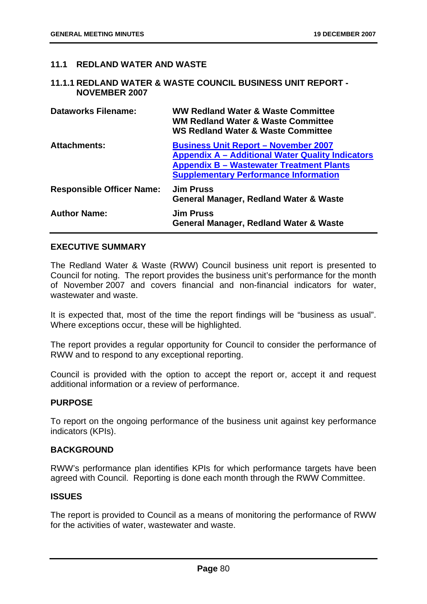# **11.1 REDLAND WATER AND WASTE**

### **11.1.1 REDLAND WATER & WASTE COUNCIL BUSINESS UNIT REPORT - NOVEMBER 2007**

| Dataworks Filename:              | <b>WW Redland Water &amp; Waste Committee</b><br><b>WM Redland Water &amp; Waste Committee</b><br><b>WS Redland Water &amp; Waste Committee</b>                                                           |
|----------------------------------|-----------------------------------------------------------------------------------------------------------------------------------------------------------------------------------------------------------|
| <b>Attachments:</b>              | <b>Business Unit Report - November 2007</b><br><b>Appendix A - Additional Water Quality Indicators</b><br><b>Appendix B - Wastewater Treatment Plants</b><br><b>Supplementary Performance Information</b> |
| <b>Responsible Officer Name:</b> | <b>Jim Pruss</b><br><b>General Manager, Redland Water &amp; Waste</b>                                                                                                                                     |
| <b>Author Name:</b>              | <b>Jim Pruss</b><br>General Manager, Redland Water & Waste                                                                                                                                                |

# **EXECUTIVE SUMMARY**

The Redland Water & Waste (RWW) Council business unit report is presented to Council for noting. The report provides the business unit's performance for the month of November 2007 and covers financial and non-financial indicators for water, wastewater and waste.

It is expected that, most of the time the report findings will be "business as usual". Where exceptions occur, these will be highlighted.

The report provides a regular opportunity for Council to consider the performance of RWW and to respond to any exceptional reporting.

Council is provided with the option to accept the report or, accept it and request additional information or a review of performance.

### **PURPOSE**

To report on the ongoing performance of the business unit against key performance indicators (KPIs).

### **BACKGROUND**

RWW's performance plan identifies KPIs for which performance targets have been agreed with Council. Reporting is done each month through the RWW Committee.

### **ISSUES**

The report is provided to Council as a means of monitoring the performance of RWW for the activities of water, wastewater and waste.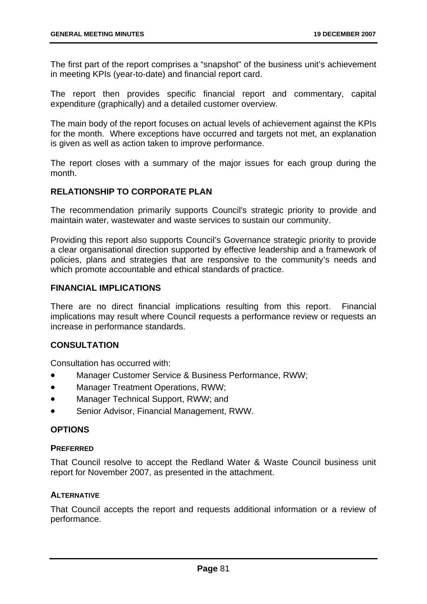The first part of the report comprises a "snapshot" of the business unit's achievement in meeting KPIs (year-to-date) and financial report card.

The report then provides specific financial report and commentary, capital expenditure (graphically) and a detailed customer overview.

The main body of the report focuses on actual levels of achievement against the KPIs for the month. Where exceptions have occurred and targets not met, an explanation is given as well as action taken to improve performance.

The report closes with a summary of the major issues for each group during the month.

# **RELATIONSHIP TO CORPORATE PLAN**

The recommendation primarily supports Council's strategic priority to provide and maintain water, wastewater and waste services to sustain our community.

Providing this report also supports Council's Governance strategic priority to provide a clear organisational direction supported by effective leadership and a framework of policies, plans and strategies that are responsive to the community's needs and which promote accountable and ethical standards of practice.

# **FINANCIAL IMPLICATIONS**

There are no direct financial implications resulting from this report. Financial implications may result where Council requests a performance review or requests an increase in performance standards.

# **CONSULTATION**

Consultation has occurred with:

- Manager Customer Service & Business Performance, RWW;
- Manager Treatment Operations, RWW;
- Manager Technical Support, RWW; and
- Senior Advisor, Financial Management, RWW.

### **OPTIONS**

### **PREFERRED**

That Council resolve to accept the Redland Water & Waste Council business unit report for November 2007, as presented in the attachment.

### **ALTERNATIVE**

That Council accepts the report and requests additional information or a review of performance.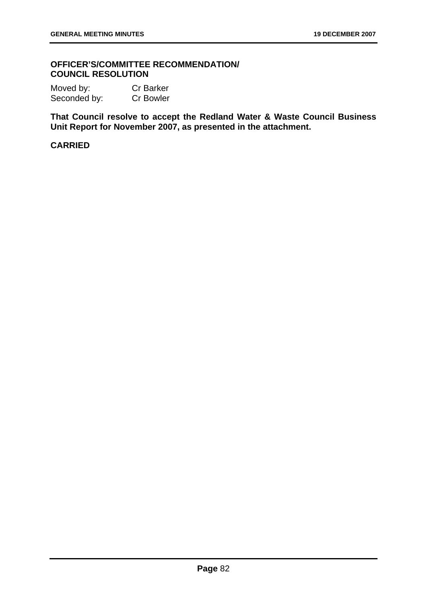### **OFFICER'S/COMMITTEE RECOMMENDATION/ COUNCIL RESOLUTION**

Moved by: Cr Barker Seconded by: Cr Bowler

**That Council resolve to accept the Redland Water & Waste Council Business Unit Report for November 2007, as presented in the attachment.**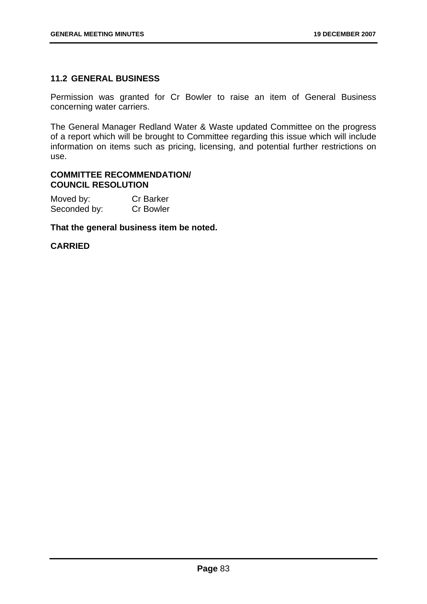# **11.2 GENERAL BUSINESS**

Permission was granted for Cr Bowler to raise an item of General Business concerning water carriers.

The General Manager Redland Water & Waste updated Committee on the progress of a report which will be brought to Committee regarding this issue which will include information on items such as pricing, licensing, and potential further restrictions on use.

### **COMMITTEE RECOMMENDATION/ COUNCIL RESOLUTION**

| Moved by:    | <b>Cr Barker</b> |
|--------------|------------------|
| Seconded by: | <b>Cr Bowler</b> |

**That the general business item be noted.**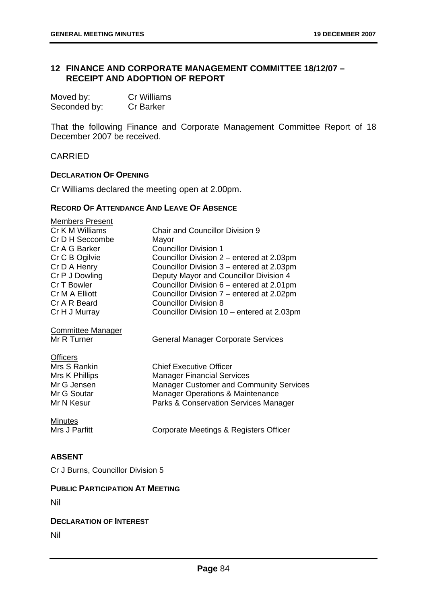# **12 FINANCE AND CORPORATE MANAGEMENT COMMITTEE 18/12/07 – RECEIPT AND ADOPTION OF REPORT**

| Moved by:    | Cr Williams      |
|--------------|------------------|
| Seconded by: | <b>Cr Barker</b> |

That the following Finance and Corporate Management Committee Report of 18 December 2007 be received.

CARRIED

#### **DECLARATION OF OPENING**

Cr Williams declared the meeting open at 2.00pm.

#### **RECORD OF ATTENDANCE AND LEAVE OF ABSENCE**

| <b>Members Present</b>   |                                             |
|--------------------------|---------------------------------------------|
| Cr K M Williams          | <b>Chair and Councillor Division 9</b>      |
| Cr D H Seccombe          | Mayor                                       |
| Cr A G Barker            | <b>Councillor Division 1</b>                |
| Cr C B Ogilvie           | Councillor Division 2 – entered at 2.03pm   |
| Cr D A Henry             | Councillor Division 3 – entered at 2.03pm   |
| Cr P J Dowling           | Deputy Mayor and Councillor Division 4      |
| Cr T Bowler              | Councillor Division 6 – entered at 2.01pm   |
| Cr M A Elliott           | Councillor Division 7 – entered at 2.02pm   |
| Cr A R Beard             | <b>Councillor Division 8</b>                |
| Cr H J Murray            | Councillor Division 10 – entered at 2.03pm  |
| <b>Committee Manager</b> |                                             |
| Mr R Turner              | <b>General Manager Corporate Services</b>   |
| <b>Officers</b>          |                                             |
| Mrs S Rankin             | <b>Chief Executive Officer</b>              |
| Mrs K Phillips           | <b>Manager Financial Services</b>           |
| Mr G Jensen              | Manager Customer and Community Services     |
| Mr G Soutar              | <b>Manager Operations &amp; Maintenance</b> |
| Mr N Kesur               | Parks & Conservation Services Manager       |
|                          |                                             |
| <b>Minutes</b>           |                                             |
| Mrs J Parfitt            | Corporate Meetings & Registers Officer      |
|                          |                                             |

### **ABSENT**

Cr J Burns, Councillor Division 5

### **PUBLIC PARTICIPATION AT MEETING**

Nil

### **DECLARATION OF INTEREST**

Nil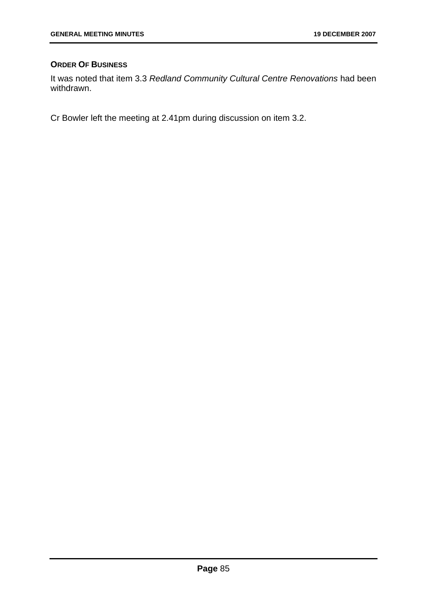# **ORDER OF BUSINESS**

It was noted that item 3.3 *Redland Community Cultural Centre Renovations* had been withdrawn.

Cr Bowler left the meeting at 2.41pm during discussion on item 3.2.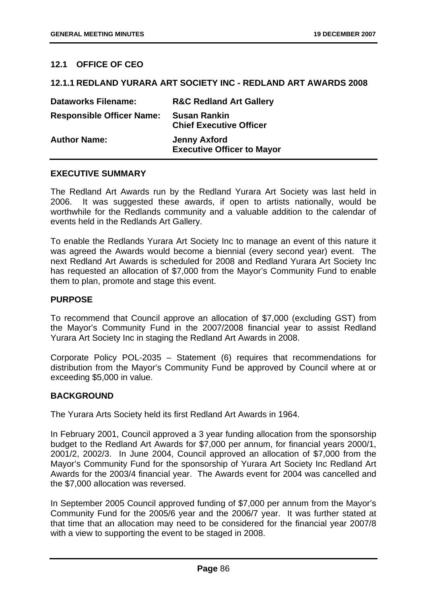# **12.1 OFFICE OF CEO**

### **12.1.1 REDLAND YURARA ART SOCIETY INC - REDLAND ART AWARDS 2008**

| <b>Dataworks Filename:</b>       | <b>R&amp;C Redland Art Gallery</b>                       |
|----------------------------------|----------------------------------------------------------|
| <b>Responsible Officer Name:</b> | <b>Susan Rankin</b><br><b>Chief Executive Officer</b>    |
| <b>Author Name:</b>              | <b>Jenny Axford</b><br><b>Executive Officer to Mayor</b> |

#### **EXECUTIVE SUMMARY**

The Redland Art Awards run by the Redland Yurara Art Society was last held in 2006. It was suggested these awards, if open to artists nationally, would be worthwhile for the Redlands community and a valuable addition to the calendar of events held in the Redlands Art Gallery.

To enable the Redlands Yurara Art Society Inc to manage an event of this nature it was agreed the Awards would become a biennial (every second year) event. The next Redland Art Awards is scheduled for 2008 and Redland Yurara Art Society Inc has requested an allocation of \$7,000 from the Mayor's Community Fund to enable them to plan, promote and stage this event.

#### **PURPOSE**

To recommend that Council approve an allocation of \$7,000 (excluding GST) from the Mayor's Community Fund in the 2007/2008 financial year to assist Redland Yurara Art Society Inc in staging the Redland Art Awards in 2008.

Corporate Policy POL-2035 – Statement (6) requires that recommendations for distribution from the Mayor's Community Fund be approved by Council where at or exceeding \$5,000 in value.

### **BACKGROUND**

The Yurara Arts Society held its first Redland Art Awards in 1964.

In February 2001, Council approved a 3 year funding allocation from the sponsorship budget to the Redland Art Awards for \$7,000 per annum, for financial years 2000/1, 2001/2, 2002/3. In June 2004, Council approved an allocation of \$7,000 from the Mayor's Community Fund for the sponsorship of Yurara Art Society Inc Redland Art Awards for the 2003/4 financial year. The Awards event for 2004 was cancelled and the \$7,000 allocation was reversed.

In September 2005 Council approved funding of \$7,000 per annum from the Mayor's Community Fund for the 2005/6 year and the 2006/7 year. It was further stated at that time that an allocation may need to be considered for the financial year 2007/8 with a view to supporting the event to be staged in 2008.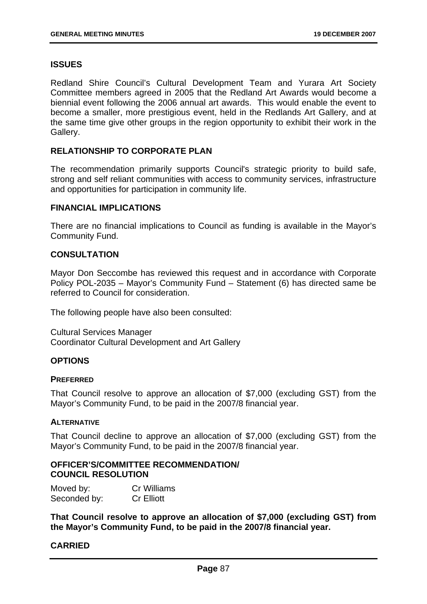### **ISSUES**

Redland Shire Council's Cultural Development Team and Yurara Art Society Committee members agreed in 2005 that the Redland Art Awards would become a biennial event following the 2006 annual art awards. This would enable the event to become a smaller, more prestigious event, held in the Redlands Art Gallery, and at the same time give other groups in the region opportunity to exhibit their work in the Gallery.

## **RELATIONSHIP TO CORPORATE PLAN**

The recommendation primarily supports Council's strategic priority to build safe, strong and self reliant communities with access to community services, infrastructure and opportunities for participation in community life.

#### **FINANCIAL IMPLICATIONS**

There are no financial implications to Council as funding is available in the Mayor's Community Fund.

## **CONSULTATION**

Mayor Don Seccombe has reviewed this request and in accordance with Corporate Policy POL-2035 – Mayor's Community Fund – Statement (6) has directed same be referred to Council for consideration.

The following people have also been consulted:

Cultural Services Manager Coordinator Cultural Development and Art Gallery

### **OPTIONS**

#### **PREFERRED**

That Council resolve to approve an allocation of \$7,000 (excluding GST) from the Mayor's Community Fund, to be paid in the 2007/8 financial year.

### **ALTERNATIVE**

That Council decline to approve an allocation of \$7,000 (excluding GST) from the Mayor's Community Fund, to be paid in the 2007/8 financial year.

# **OFFICER'S/COMMITTEE RECOMMENDATION/ COUNCIL RESOLUTION**

| Moved by:    | Cr Williams       |
|--------------|-------------------|
| Seconded by: | <b>Cr Elliott</b> |

**That Council resolve to approve an allocation of \$7,000 (excluding GST) from the Mayor's Community Fund, to be paid in the 2007/8 financial year.**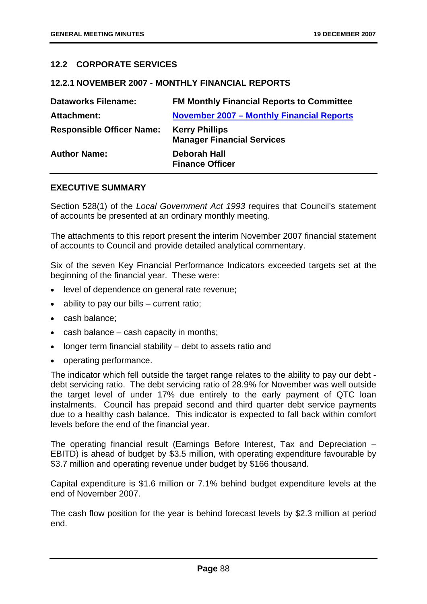# **12.2 CORPORATE SERVICES**

### **12.2.1 NOVEMBER 2007 - MONTHLY FINANCIAL REPORTS**

| <b>Dataworks Filename:</b>       | <b>FM Monthly Financial Reports to Committee</b>           |
|----------------------------------|------------------------------------------------------------|
| <b>Attachment:</b>               | <b>November 2007 - Monthly Financial Reports</b>           |
| <b>Responsible Officer Name:</b> | <b>Kerry Phillips</b><br><b>Manager Financial Services</b> |
| <b>Author Name:</b>              | <b>Deborah Hall</b><br><b>Finance Officer</b>              |

### **EXECUTIVE SUMMARY**

Section 528(1) of the *Local Government Act 1993* requires that Council's statement of accounts be presented at an ordinary monthly meeting.

The attachments to this report present the interim November 2007 financial statement of accounts to Council and provide detailed analytical commentary.

Six of the seven Key Financial Performance Indicators exceeded targets set at the beginning of the financial year. These were:

- level of dependence on general rate revenue;
- ability to pay our bills current ratio;
- cash balance;
- $\bullet$  cash balance cash capacity in months;
- longer term financial stability debt to assets ratio and
- operating performance.

The indicator which fell outside the target range relates to the ability to pay our debt debt servicing ratio. The debt servicing ratio of 28.9% for November was well outside the target level of under 17% due entirely to the early payment of QTC loan instalments. Council has prepaid second and third quarter debt service payments due to a healthy cash balance. This indicator is expected to fall back within comfort levels before the end of the financial year.

The operating financial result (Earnings Before Interest, Tax and Depreciation – EBITD) is ahead of budget by \$3.5 million, with operating expenditure favourable by \$3.7 million and operating revenue under budget by \$166 thousand.

Capital expenditure is \$1.6 million or 7.1% behind budget expenditure levels at the end of November 2007.

The cash flow position for the year is behind forecast levels by \$2.3 million at period end.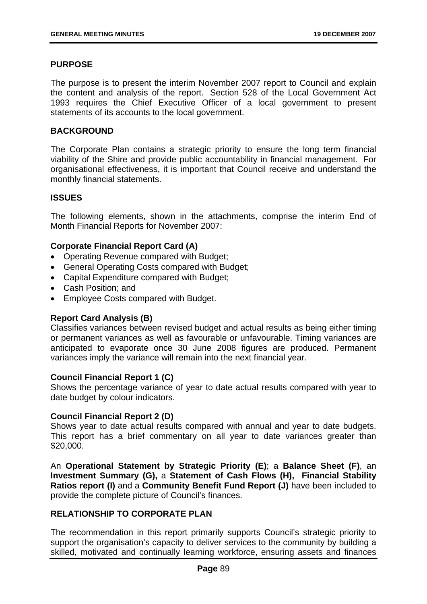# **PURPOSE**

The purpose is to present the interim November 2007 report to Council and explain the content and analysis of the report. Section 528 of the Local Government Act 1993 requires the Chief Executive Officer of a local government to present statements of its accounts to the local government.

# **BACKGROUND**

The Corporate Plan contains a strategic priority to ensure the long term financial viability of the Shire and provide public accountability in financial management. For organisational effectiveness, it is important that Council receive and understand the monthly financial statements.

## **ISSUES**

The following elements, shown in the attachments, comprise the interim End of Month Financial Reports for November 2007:

# **Corporate Financial Report Card (A)**

- Operating Revenue compared with Budget;
- General Operating Costs compared with Budget;
- Capital Expenditure compared with Budget;
- Cash Position; and
- Employee Costs compared with Budget.

# **Report Card Analysis (B)**

Classifies variances between revised budget and actual results as being either timing or permanent variances as well as favourable or unfavourable. Timing variances are anticipated to evaporate once 30 June 2008 figures are produced. Permanent variances imply the variance will remain into the next financial year.

### **Council Financial Report 1 (C)**

Shows the percentage variance of year to date actual results compared with year to date budget by colour indicators.

### **Council Financial Report 2 (D)**

Shows year to date actual results compared with annual and year to date budgets. This report has a brief commentary on all year to date variances greater than \$20,000.

An **Operational Statement by Strategic Priority (E)**; a **Balance Sheet (F)**, an **Investment Summary (G),** a **Statement of Cash Flows (H), Financial Stability Ratios report (I)** and a **Community Benefit Fund Report (J)** have been included to provide the complete picture of Council's finances.

# **RELATIONSHIP TO CORPORATE PLAN**

The recommendation in this report primarily supports Council's strategic priority to support the organisation's capacity to deliver services to the community by building a skilled, motivated and continually learning workforce, ensuring assets and finances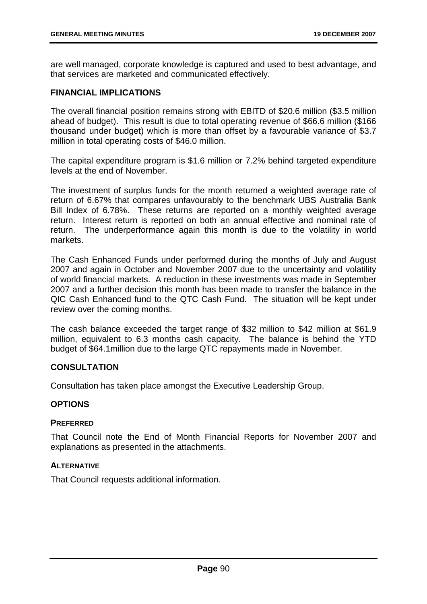are well managed, corporate knowledge is captured and used to best advantage, and that services are marketed and communicated effectively.

# **FINANCIAL IMPLICATIONS**

The overall financial position remains strong with EBITD of \$20.6 million (\$3.5 million ahead of budget). This result is due to total operating revenue of \$66.6 million (\$166 thousand under budget) which is more than offset by a favourable variance of \$3.7 million in total operating costs of \$46.0 million.

The capital expenditure program is \$1.6 million or 7.2% behind targeted expenditure levels at the end of November.

The investment of surplus funds for the month returned a weighted average rate of return of 6.67% that compares unfavourably to the benchmark UBS Australia Bank Bill Index of 6.78%. These returns are reported on a monthly weighted average return. Interest return is reported on both an annual effective and nominal rate of return. The underperformance again this month is due to the volatility in world markets.

The Cash Enhanced Funds under performed during the months of July and August 2007 and again in October and November 2007 due to the uncertainty and volatility of world financial markets. A reduction in these investments was made in September 2007 and a further decision this month has been made to transfer the balance in the QIC Cash Enhanced fund to the QTC Cash Fund. The situation will be kept under review over the coming months.

The cash balance exceeded the target range of \$32 million to \$42 million at \$61.9 million, equivalent to 6.3 months cash capacity. The balance is behind the YTD budget of \$64.1million due to the large QTC repayments made in November.

# **CONSULTATION**

Consultation has taken place amongst the Executive Leadership Group.

# **OPTIONS**

# **PREFERRED**

That Council note the End of Month Financial Reports for November 2007 and explanations as presented in the attachments.

# **ALTERNATIVE**

That Council requests additional information.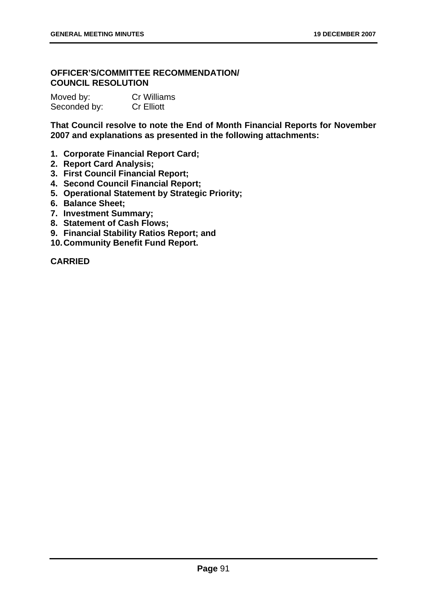# **OFFICER'S/COMMITTEE RECOMMENDATION/ COUNCIL RESOLUTION**

| Moved by:    | <b>Cr Williams</b> |
|--------------|--------------------|
| Seconded by: | <b>Cr Elliott</b>  |

**That Council resolve to note the End of Month Financial Reports for November 2007 and explanations as presented in the following attachments:** 

- **1. Corporate Financial Report Card;**
- **2. Report Card Analysis;**
- **3. First Council Financial Report;**
- **4. Second Council Financial Report;**
- **5. Operational Statement by Strategic Priority;**
- **6. Balance Sheet;**
- **7. Investment Summary;**
- **8. Statement of Cash Flows;**
- **9. Financial Stability Ratios Report; and**
- **10. Community Benefit Fund Report.**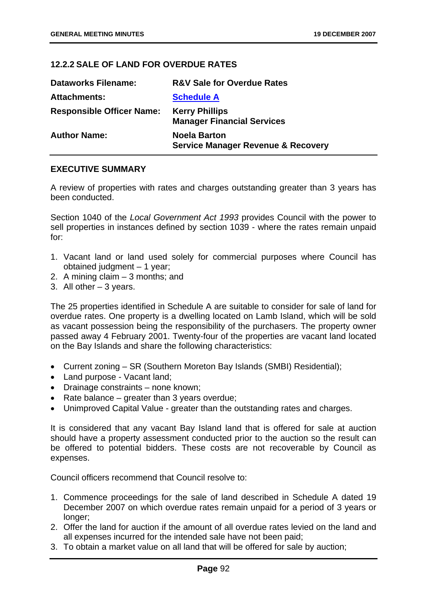# **12.2.2 SALE OF LAND FOR OVERDUE RATES**

| <b>Dataworks Filename:</b>       | <b>R&amp;V Sale for Overdue Rates</b>                                |
|----------------------------------|----------------------------------------------------------------------|
| <b>Attachments:</b>              | <b>Schedule A</b>                                                    |
| <b>Responsible Officer Name:</b> | <b>Kerry Phillips</b><br><b>Manager Financial Services</b>           |
| <b>Author Name:</b>              | <b>Noela Barton</b><br><b>Service Manager Revenue &amp; Recovery</b> |

## **EXECUTIVE SUMMARY**

A review of properties with rates and charges outstanding greater than 3 years has been conducted.

Section 1040 of the *Local Government Act 1993* provides Council with the power to sell properties in instances defined by section 1039 - where the rates remain unpaid for:

- 1. Vacant land or land used solely for commercial purposes where Council has obtained judgment – 1 year;
- 2. A mining claim 3 months; and
- 3. All other 3 years.

The 25 properties identified in Schedule A are suitable to consider for sale of land for overdue rates. One property is a dwelling located on Lamb Island, which will be sold as vacant possession being the responsibility of the purchasers. The property owner passed away 4 February 2001. Twenty-four of the properties are vacant land located on the Bay Islands and share the following characteristics:

- Current zoning SR (Southern Moreton Bay Islands (SMBI) Residential);
- Land purpose Vacant land;
- Drainage constraints none known;
- Rate balance greater than 3 years overdue;
- Unimproved Capital Value greater than the outstanding rates and charges.

It is considered that any vacant Bay Island land that is offered for sale at auction should have a property assessment conducted prior to the auction so the result can be offered to potential bidders. These costs are not recoverable by Council as expenses.

Council officers recommend that Council resolve to:

- 1. Commence proceedings for the sale of land described in Schedule A dated 19 December 2007 on which overdue rates remain unpaid for a period of 3 years or longer:
- 2. Offer the land for auction if the amount of all overdue rates levied on the land and all expenses incurred for the intended sale have not been paid;
- 3. To obtain a market value on all land that will be offered for sale by auction;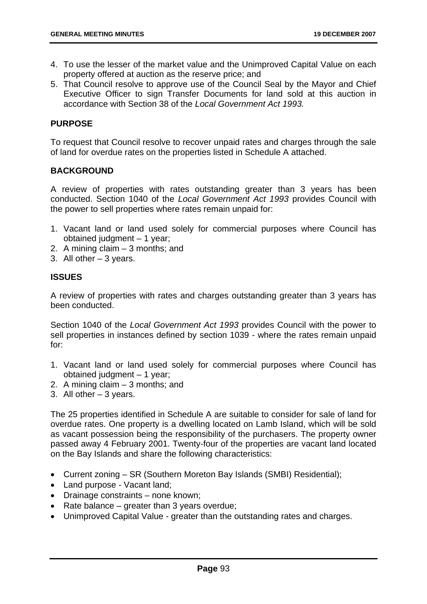- 4. To use the lesser of the market value and the Unimproved Capital Value on each property offered at auction as the reserve price; and
- 5. That Council resolve to approve use of the Council Seal by the Mayor and Chief Executive Officer to sign Transfer Documents for land sold at this auction in accordance with Section 38 of the *Local Government Act 1993.*

# **PURPOSE**

To request that Council resolve to recover unpaid rates and charges through the sale of land for overdue rates on the properties listed in Schedule A attached.

# **BACKGROUND**

A review of properties with rates outstanding greater than 3 years has been conducted. Section 1040 of the *Local Government Act 1993* provides Council with the power to sell properties where rates remain unpaid for:

- 1. Vacant land or land used solely for commercial purposes where Council has obtained judgment – 1 year;
- 2. A mining claim 3 months; and
- 3. All other 3 years.

# **ISSUES**

A review of properties with rates and charges outstanding greater than 3 years has been conducted.

Section 1040 of the *Local Government Act 1993* provides Council with the power to sell properties in instances defined by section 1039 - where the rates remain unpaid for:

- 1. Vacant land or land used solely for commercial purposes where Council has obtained judgment – 1 year;
- 2. A mining claim 3 months; and
- 3. All other 3 years.

The 25 properties identified in Schedule A are suitable to consider for sale of land for overdue rates. One property is a dwelling located on Lamb Island, which will be sold as vacant possession being the responsibility of the purchasers. The property owner passed away 4 February 2001. Twenty-four of the properties are vacant land located on the Bay Islands and share the following characteristics:

- Current zoning SR (Southern Moreton Bay Islands (SMBI) Residential);
- Land purpose Vacant land;
- Drainage constraints none known;
- Rate balance greater than 3 years overdue;
- Unimproved Capital Value greater than the outstanding rates and charges.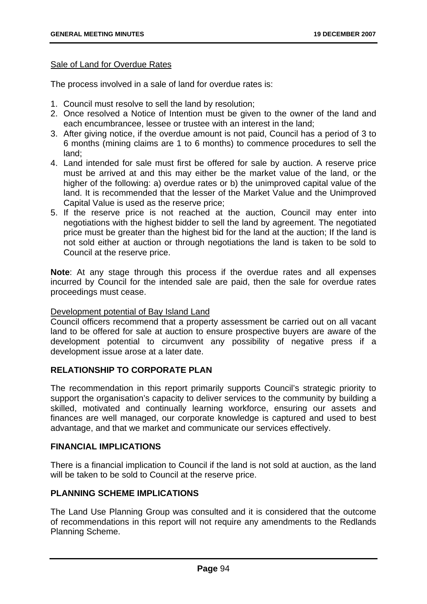### Sale of Land for Overdue Rates

The process involved in a sale of land for overdue rates is:

- 1. Council must resolve to sell the land by resolution;
- 2. Once resolved a Notice of Intention must be given to the owner of the land and each encumbrancee, lessee or trustee with an interest in the land;
- 3. After giving notice, if the overdue amount is not paid, Council has a period of 3 to 6 months (mining claims are 1 to 6 months) to commence procedures to sell the land;
- 4. Land intended for sale must first be offered for sale by auction. A reserve price must be arrived at and this may either be the market value of the land, or the higher of the following: a) overdue rates or b) the unimproved capital value of the land. It is recommended that the lesser of the Market Value and the Unimproved Capital Value is used as the reserve price;
- 5. If the reserve price is not reached at the auction, Council may enter into negotiations with the highest bidder to sell the land by agreement. The negotiated price must be greater than the highest bid for the land at the auction; If the land is not sold either at auction or through negotiations the land is taken to be sold to Council at the reserve price.

**Note**: At any stage through this process if the overdue rates and all expenses incurred by Council for the intended sale are paid, then the sale for overdue rates proceedings must cease.

### Development potential of Bay Island Land

Council officers recommend that a property assessment be carried out on all vacant land to be offered for sale at auction to ensure prospective buyers are aware of the development potential to circumvent any possibility of negative press if a development issue arose at a later date.

# **RELATIONSHIP TO CORPORATE PLAN**

The recommendation in this report primarily supports Council's strategic priority to support the organisation's capacity to deliver services to the community by building a skilled, motivated and continually learning workforce, ensuring our assets and finances are well managed, our corporate knowledge is captured and used to best advantage, and that we market and communicate our services effectively.

# **FINANCIAL IMPLICATIONS**

There is a financial implication to Council if the land is not sold at auction, as the land will be taken to be sold to Council at the reserve price.

### **PLANNING SCHEME IMPLICATIONS**

The Land Use Planning Group was consulted and it is considered that the outcome of recommendations in this report will not require any amendments to the Redlands Planning Scheme.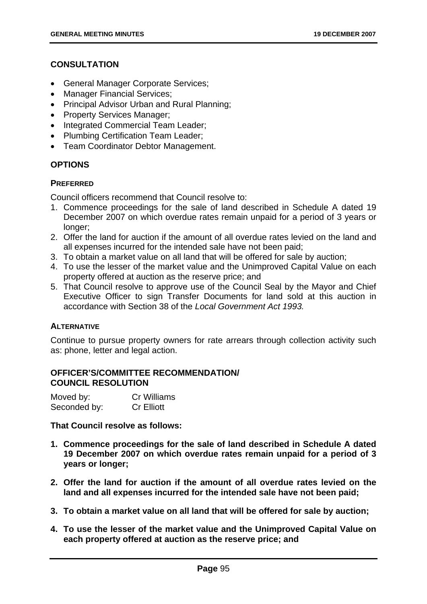# **CONSULTATION**

- General Manager Corporate Services;
- Manager Financial Services;
- Principal Advisor Urban and Rural Planning;
- Property Services Manager;
- Integrated Commercial Team Leader;
- Plumbing Certification Team Leader;
- Team Coordinator Debtor Management.

# **OPTIONS**

# **PREFERRED**

Council officers recommend that Council resolve to:

- 1. Commence proceedings for the sale of land described in Schedule A dated 19 December 2007 on which overdue rates remain unpaid for a period of 3 years or longer:
- 2. Offer the land for auction if the amount of all overdue rates levied on the land and all expenses incurred for the intended sale have not been paid;
- 3. To obtain a market value on all land that will be offered for sale by auction;
- 4. To use the lesser of the market value and the Unimproved Capital Value on each property offered at auction as the reserve price; and
- 5. That Council resolve to approve use of the Council Seal by the Mayor and Chief Executive Officer to sign Transfer Documents for land sold at this auction in accordance with Section 38 of the *Local Government Act 1993.*

# **ALTERNATIVE**

Continue to pursue property owners for rate arrears through collection activity such as: phone, letter and legal action.

# **OFFICER'S/COMMITTEE RECOMMENDATION/ COUNCIL RESOLUTION**

| Moved by:    | <b>Cr Williams</b> |
|--------------|--------------------|
| Seconded by: | <b>Cr Elliott</b>  |

**That Council resolve as follows:** 

- **1. Commence proceedings for the sale of land described in Schedule A dated 19 December 2007 on which overdue rates remain unpaid for a period of 3 years or longer;**
- **2. Offer the land for auction if the amount of all overdue rates levied on the land and all expenses incurred for the intended sale have not been paid;**
- **3. To obtain a market value on all land that will be offered for sale by auction;**
- **4. To use the lesser of the market value and the Unimproved Capital Value on each property offered at auction as the reserve price; and**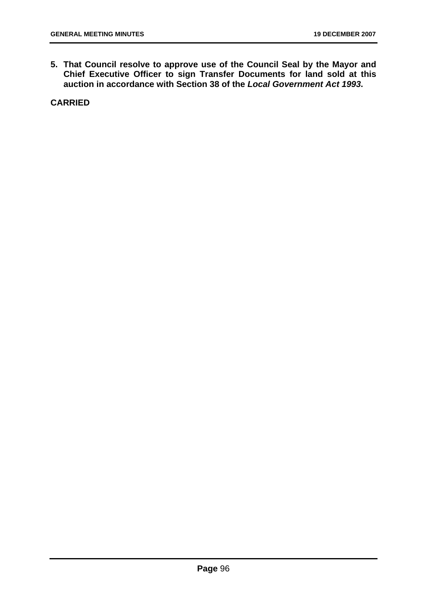**5. That Council resolve to approve use of the Council Seal by the Mayor and Chief Executive Officer to sign Transfer Documents for land sold at this auction in accordance with Section 38 of the** *Local Government Act 1993***.**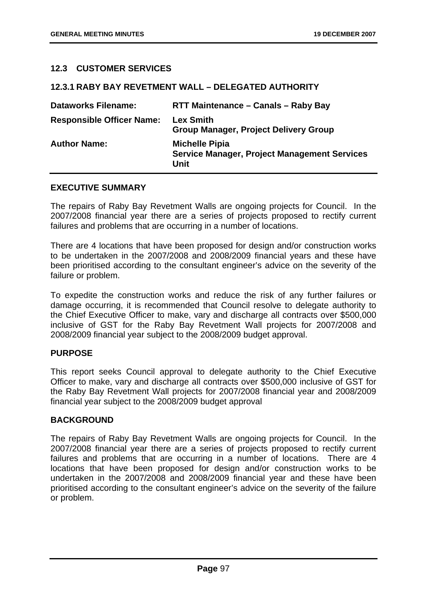# **12.3 CUSTOMER SERVICES**

| 12.3.1 KADI DAI KEVEIMENI WALL – DELEGATED AUTHURII 1 |                                                                                      |  |
|-------------------------------------------------------|--------------------------------------------------------------------------------------|--|
| <b>Dataworks Filename:</b>                            | <b>RTT Maintenance - Canals - Raby Bay</b>                                           |  |
| <b>Responsible Officer Name:</b>                      | <b>Lex Smith</b><br><b>Group Manager, Project Delivery Group</b>                     |  |
| <b>Author Name:</b>                                   | <b>Michelle Pipia</b><br><b>Service Manager, Project Management Services</b><br>Unit |  |

**12.3.1 RABY BAY REVETMENT WALL – DELEGATED AUTHORITY** 

### **EXECUTIVE SUMMARY**

The repairs of Raby Bay Revetment Walls are ongoing projects for Council. In the 2007/2008 financial year there are a series of projects proposed to rectify current failures and problems that are occurring in a number of locations.

There are 4 locations that have been proposed for design and/or construction works to be undertaken in the 2007/2008 and 2008/2009 financial years and these have been prioritised according to the consultant engineer's advice on the severity of the failure or problem.

To expedite the construction works and reduce the risk of any further failures or damage occurring, it is recommended that Council resolve to delegate authority to the Chief Executive Officer to make, vary and discharge all contracts over \$500,000 inclusive of GST for the Raby Bay Revetment Wall projects for 2007/2008 and 2008/2009 financial year subject to the 2008/2009 budget approval.

### **PURPOSE**

This report seeks Council approval to delegate authority to the Chief Executive Officer to make, vary and discharge all contracts over \$500,000 inclusive of GST for the Raby Bay Revetment Wall projects for 2007/2008 financial year and 2008/2009 financial year subject to the 2008/2009 budget approval

### **BACKGROUND**

The repairs of Raby Bay Revetment Walls are ongoing projects for Council. In the 2007/2008 financial year there are a series of projects proposed to rectify current failures and problems that are occurring in a number of locations. There are 4 locations that have been proposed for design and/or construction works to be undertaken in the 2007/2008 and 2008/2009 financial year and these have been prioritised according to the consultant engineer's advice on the severity of the failure or problem.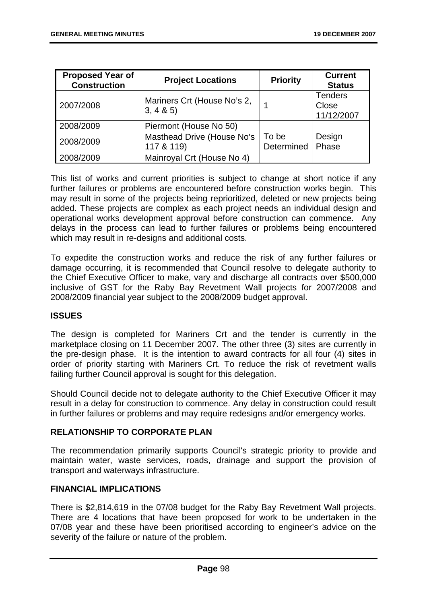| <b>Proposed Year of</b><br><b>Construction</b> | <b>Project Locations</b>                 | <b>Priority</b>     | <b>Current</b><br><b>Status</b>       |
|------------------------------------------------|------------------------------------------|---------------------|---------------------------------------|
| 2007/2008                                      | Mariners Crt (House No's 2,<br>3, 4 & 5) |                     | <b>Tenders</b><br>Close<br>11/12/2007 |
| 2008/2009                                      | Piermont (House No 50)                   |                     |                                       |
| 2008/2009                                      | Masthead Drive (House No's<br>117 & 119) | To be<br>Determined | Design<br>Phase                       |
| 2008/2009                                      | Mainroyal Crt (House No 4)               |                     |                                       |

This list of works and current priorities is subject to change at short notice if any further failures or problems are encountered before construction works begin. This may result in some of the projects being reprioritized, deleted or new projects being added. These projects are complex as each project needs an individual design and operational works development approval before construction can commence. Any delays in the process can lead to further failures or problems being encountered which may result in re-designs and additional costs.

To expedite the construction works and reduce the risk of any further failures or damage occurring, it is recommended that Council resolve to delegate authority to the Chief Executive Officer to make, vary and discharge all contracts over \$500,000 inclusive of GST for the Raby Bay Revetment Wall projects for 2007/2008 and 2008/2009 financial year subject to the 2008/2009 budget approval.

# **ISSUES**

The design is completed for Mariners Crt and the tender is currently in the marketplace closing on 11 December 2007. The other three (3) sites are currently in the pre-design phase. It is the intention to award contracts for all four (4) sites in order of priority starting with Mariners Crt. To reduce the risk of revetment walls failing further Council approval is sought for this delegation.

Should Council decide not to delegate authority to the Chief Executive Officer it may result in a delay for construction to commence. Any delay in construction could result in further failures or problems and may require redesigns and/or emergency works.

# **RELATIONSHIP TO CORPORATE PLAN**

The recommendation primarily supports Council's strategic priority to provide and maintain water, waste services, roads, drainage and support the provision of transport and waterways infrastructure.

# **FINANCIAL IMPLICATIONS**

There is \$2,814,619 in the 07/08 budget for the Raby Bay Revetment Wall projects. There are 4 locations that have been proposed for work to be undertaken in the 07/08 year and these have been prioritised according to engineer's advice on the severity of the failure or nature of the problem.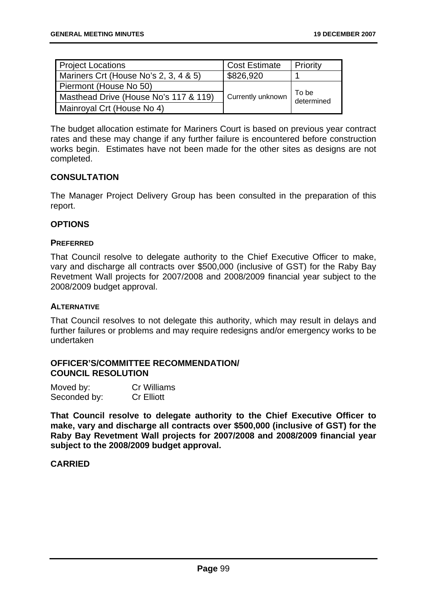| <b>Project Locations</b>              | <b>Cost Estimate</b> | Priority            |
|---------------------------------------|----------------------|---------------------|
| Mariners Crt (House No's 2, 3, 4 & 5) | \$826,920            |                     |
| Piermont (House No 50)                |                      |                     |
| Masthead Drive (House No's 117 & 119) | Currently unknown    | To be<br>determined |
| Mainroyal Crt (House No 4)            |                      |                     |

The budget allocation estimate for Mariners Court is based on previous year contract rates and these may change if any further failure is encountered before construction works begin. Estimates have not been made for the other sites as designs are not completed.

# **CONSULTATION**

The Manager Project Delivery Group has been consulted in the preparation of this report.

## **OPTIONS**

### **PREFERRED**

That Council resolve to delegate authority to the Chief Executive Officer to make, vary and discharge all contracts over \$500,000 (inclusive of GST) for the Raby Bay Revetment Wall projects for 2007/2008 and 2008/2009 financial year subject to the 2008/2009 budget approval.

### **ALTERNATIVE**

That Council resolves to not delegate this authority, which may result in delays and further failures or problems and may require redesigns and/or emergency works to be undertaken

### **OFFICER'S/COMMITTEE RECOMMENDATION/ COUNCIL RESOLUTION**

| Moved by:    | Cr Williams       |
|--------------|-------------------|
| Seconded by: | <b>Cr Elliott</b> |

**That Council resolve to delegate authority to the Chief Executive Officer to make, vary and discharge all contracts over \$500,000 (inclusive of GST) for the Raby Bay Revetment Wall projects for 2007/2008 and 2008/2009 financial year subject to the 2008/2009 budget approval.**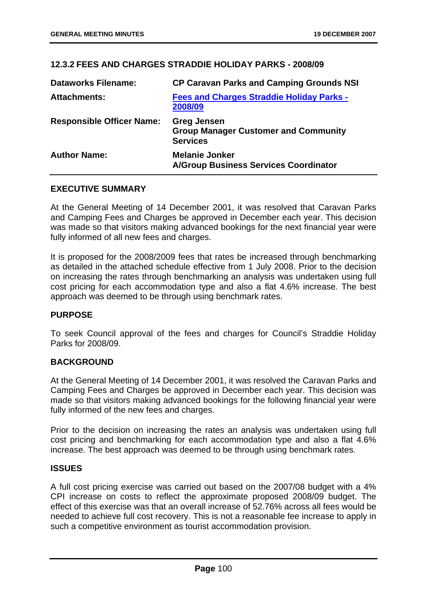# **12.3.2 FEES AND CHARGES STRADDIE HOLIDAY PARKS - 2008/09**

| <b>Dataworks Filename:</b>       | <b>CP Caravan Parks and Camping Grounds NSI</b>                                      |
|----------------------------------|--------------------------------------------------------------------------------------|
| <b>Attachments:</b>              | <b>Fees and Charges Straddie Holiday Parks -</b><br>2008/09                          |
| <b>Responsible Officer Name:</b> | <b>Greg Jensen</b><br><b>Group Manager Customer and Community</b><br><b>Services</b> |
| <b>Author Name:</b>              | <b>Melanie Jonker</b><br><b>A/Group Business Services Coordinator</b>                |

### **EXECUTIVE SUMMARY**

At the General Meeting of 14 December 2001, it was resolved that Caravan Parks and Camping Fees and Charges be approved in December each year. This decision was made so that visitors making advanced bookings for the next financial year were fully informed of all new fees and charges.

It is proposed for the 2008/2009 fees that rates be increased through benchmarking as detailed in the attached schedule effective from 1 July 2008. Prior to the decision on increasing the rates through benchmarking an analysis was undertaken using full cost pricing for each accommodation type and also a flat 4.6% increase. The best approach was deemed to be through using benchmark rates.

### **PURPOSE**

To seek Council approval of the fees and charges for Council's Straddie Holiday Parks for 2008/09.

### **BACKGROUND**

At the General Meeting of 14 December 2001, it was resolved the Caravan Parks and Camping Fees and Charges be approved in December each year. This decision was made so that visitors making advanced bookings for the following financial year were fully informed of the new fees and charges.

Prior to the decision on increasing the rates an analysis was undertaken using full cost pricing and benchmarking for each accommodation type and also a flat 4.6% increase. The best approach was deemed to be through using benchmark rates.

### **ISSUES**

A full cost pricing exercise was carried out based on the 2007/08 budget with a 4% CPI increase on costs to reflect the approximate proposed 2008/09 budget. The effect of this exercise was that an overall increase of 52.76% across all fees would be needed to achieve full cost recovery. This is not a reasonable fee increase to apply in such a competitive environment as tourist accommodation provision.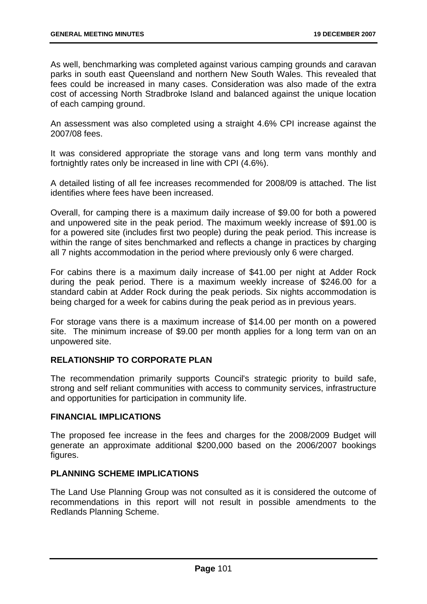As well, benchmarking was completed against various camping grounds and caravan parks in south east Queensland and northern New South Wales. This revealed that fees could be increased in many cases. Consideration was also made of the extra cost of accessing North Stradbroke Island and balanced against the unique location of each camping ground.

An assessment was also completed using a straight 4.6% CPI increase against the 2007/08 fees.

It was considered appropriate the storage vans and long term vans monthly and fortnightly rates only be increased in line with CPI (4.6%).

A detailed listing of all fee increases recommended for 2008/09 is attached. The list identifies where fees have been increased.

Overall, for camping there is a maximum daily increase of \$9.00 for both a powered and unpowered site in the peak period. The maximum weekly increase of \$91.00 is for a powered site (includes first two people) during the peak period. This increase is within the range of sites benchmarked and reflects a change in practices by charging all 7 nights accommodation in the period where previously only 6 were charged.

For cabins there is a maximum daily increase of \$41.00 per night at Adder Rock during the peak period. There is a maximum weekly increase of \$246.00 for a standard cabin at Adder Rock during the peak periods. Six nights accommodation is being charged for a week for cabins during the peak period as in previous years.

For storage vans there is a maximum increase of \$14.00 per month on a powered site. The minimum increase of \$9.00 per month applies for a long term van on an unpowered site.

# **RELATIONSHIP TO CORPORATE PLAN**

The recommendation primarily supports Council's strategic priority to build safe, strong and self reliant communities with access to community services, infrastructure and opportunities for participation in community life.

### **FINANCIAL IMPLICATIONS**

The proposed fee increase in the fees and charges for the 2008/2009 Budget will generate an approximate additional \$200,000 based on the 2006/2007 bookings figures.

# **PLANNING SCHEME IMPLICATIONS**

The Land Use Planning Group was not consulted as it is considered the outcome of recommendations in this report will not result in possible amendments to the Redlands Planning Scheme.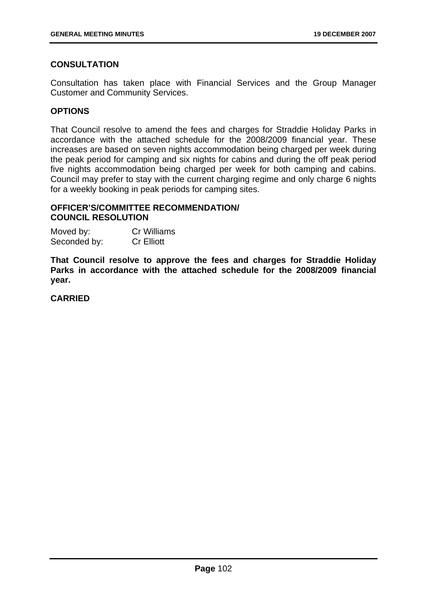# **CONSULTATION**

Consultation has taken place with Financial Services and the Group Manager Customer and Community Services.

# **OPTIONS**

That Council resolve to amend the fees and charges for Straddie Holiday Parks in accordance with the attached schedule for the 2008/2009 financial year. These increases are based on seven nights accommodation being charged per week during the peak period for camping and six nights for cabins and during the off peak period five nights accommodation being charged per week for both camping and cabins. Council may prefer to stay with the current charging regime and only charge 6 nights for a weekly booking in peak periods for camping sites.

## **OFFICER'S/COMMITTEE RECOMMENDATION/ COUNCIL RESOLUTION**

| Moved by:    | Cr Williams       |
|--------------|-------------------|
| Seconded by: | <b>Cr Elliott</b> |

**That Council resolve to approve the fees and charges for Straddie Holiday Parks in accordance with the attached schedule for the 2008/2009 financial year.**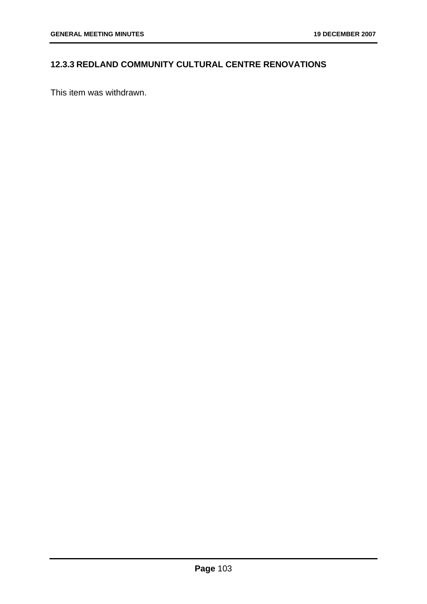# **12.3.3 REDLAND COMMUNITY CULTURAL CENTRE RENOVATIONS**

This item was withdrawn.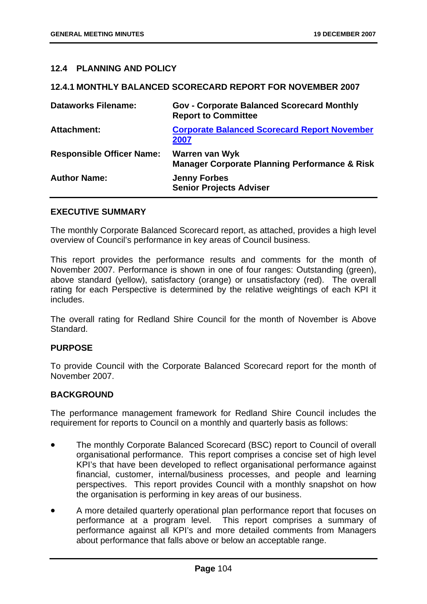## **12.4 PLANNING AND POLICY**

#### **12.4.1 MONTHLY BALANCED SCORECARD REPORT FOR NOVEMBER 2007**

| <b>Dataworks Filename:</b>       | <b>Gov - Corporate Balanced Scorecard Monthly</b><br><b>Report to Committee</b>   |
|----------------------------------|-----------------------------------------------------------------------------------|
| <b>Attachment:</b>               | <b>Corporate Balanced Scorecard Report November</b><br>2007                       |
| <b>Responsible Officer Name:</b> | <b>Warren van Wyk</b><br><b>Manager Corporate Planning Performance &amp; Risk</b> |
| <b>Author Name:</b>              | <b>Jenny Forbes</b><br><b>Senior Projects Adviser</b>                             |

#### **EXECUTIVE SUMMARY**

The monthly Corporate Balanced Scorecard report, as attached, provides a high level overview of Council's performance in key areas of Council business.

This report provides the performance results and comments for the month of November 2007. Performance is shown in one of four ranges: Outstanding (green), above standard (yellow), satisfactory (orange) or unsatisfactory (red). The overall rating for each Perspective is determined by the relative weightings of each KPI it includes.

The overall rating for Redland Shire Council for the month of November is Above Standard.

#### **PURPOSE**

To provide Council with the Corporate Balanced Scorecard report for the month of November 2007.

#### **BACKGROUND**

The performance management framework for Redland Shire Council includes the requirement for reports to Council on a monthly and quarterly basis as follows:

- The monthly Corporate Balanced Scorecard (BSC) report to Council of overall organisational performance. This report comprises a concise set of high level KPI's that have been developed to reflect organisational performance against financial, customer, internal/business processes, and people and learning perspectives. This report provides Council with a monthly snapshot on how the organisation is performing in key areas of our business.
- A more detailed quarterly operational plan performance report that focuses on performance at a program level. This report comprises a summary of performance against all KPI's and more detailed comments from Managers about performance that falls above or below an acceptable range.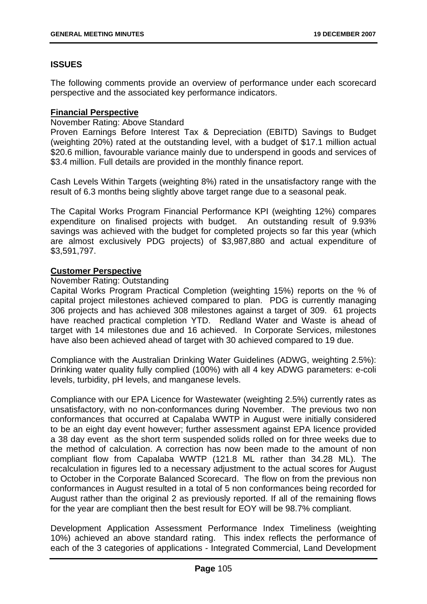## **ISSUES**

The following comments provide an overview of performance under each scorecard perspective and the associated key performance indicators.

## **Financial Perspective**

### November Rating: Above Standard

Proven Earnings Before Interest Tax & Depreciation (EBITD) Savings to Budget (weighting 20%) rated at the outstanding level, with a budget of \$17.1 million actual \$20.6 million, favourable variance mainly due to underspend in goods and services of \$3.4 million. Full details are provided in the monthly finance report.

Cash Levels Within Targets (weighting 8%) rated in the unsatisfactory range with the result of 6.3 months being slightly above target range due to a seasonal peak.

The Capital Works Program Financial Performance KPI (weighting 12%) compares expenditure on finalised projects with budget. An outstanding result of 9.93% savings was achieved with the budget for completed projects so far this year (which are almost exclusively PDG projects) of \$3,987,880 and actual expenditure of \$3,591,797.

## **Customer Perspective**

## November Rating: Outstanding

Capital Works Program Practical Completion (weighting 15%) reports on the % of capital project milestones achieved compared to plan. PDG is currently managing 306 projects and has achieved 308 milestones against a target of 309. 61 projects have reached practical completion YTD. Redland Water and Waste is ahead of target with 14 milestones due and 16 achieved. In Corporate Services, milestones have also been achieved ahead of target with 30 achieved compared to 19 due.

Compliance with the Australian Drinking Water Guidelines (ADWG, weighting 2.5%): Drinking water quality fully complied (100%) with all 4 key ADWG parameters: e-coli levels, turbidity, pH levels, and manganese levels.

Compliance with our EPA Licence for Wastewater (weighting 2.5%) currently rates as unsatisfactory, with no non-conformances during November. The previous two non conformances that occurred at Capalaba WWTP in August were initially considered to be an eight day event however; further assessment against EPA licence provided a 38 day event as the short term suspended solids rolled on for three weeks due to the method of calculation. A correction has now been made to the amount of non compliant flow from Capalaba WWTP (121.8 ML rather than 34.28 ML). The recalculation in figures led to a necessary adjustment to the actual scores for August to October in the Corporate Balanced Scorecard. The flow on from the previous non conformances in August resulted in a total of 5 non conformances being recorded for August rather than the original 2 as previously reported. If all of the remaining flows for the year are compliant then the best result for EOY will be 98.7% compliant.

Development Application Assessment Performance Index Timeliness (weighting 10%) achieved an above standard rating. This index reflects the performance of each of the 3 categories of applications - Integrated Commercial, Land Development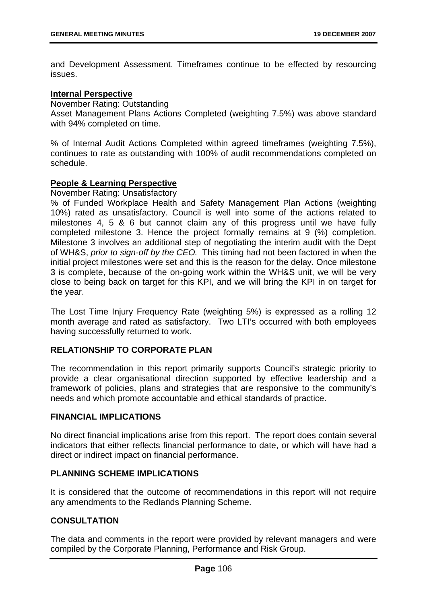and Development Assessment. Timeframes continue to be effected by resourcing issues.

## **Internal Perspective**

November Rating: Outstanding

Asset Management Plans Actions Completed (weighting 7.5%) was above standard with 94% completed on time.

% of Internal Audit Actions Completed within agreed timeframes (weighting 7.5%), continues to rate as outstanding with 100% of audit recommendations completed on schedule.

## **People & Learning Perspective**

November Rating: Unsatisfactory

% of Funded Workplace Health and Safety Management Plan Actions (weighting 10%) rated as unsatisfactory. Council is well into some of the actions related to milestones 4, 5 & 6 but cannot claim any of this progress until we have fully completed milestone 3. Hence the project formally remains at 9 (%) completion. Milestone 3 involves an additional step of negotiating the interim audit with the Dept of WH&S, *prior to sign-off by the CEO.* This timing had not been factored in when the initial project milestones were set and this is the reason for the delay. Once milestone 3 is complete, because of the on-going work within the WH&S unit, we will be very close to being back on target for this KPI, and we will bring the KPI in on target for the year.

The Lost Time Injury Frequency Rate (weighting 5%) is expressed as a rolling 12 month average and rated as satisfactory. Two LTI's occurred with both employees having successfully returned to work.

## **RELATIONSHIP TO CORPORATE PLAN**

The recommendation in this report primarily supports Council's strategic priority to provide a clear organisational direction supported by effective leadership and a framework of policies, plans and strategies that are responsive to the community's needs and which promote accountable and ethical standards of practice.

## **FINANCIAL IMPLICATIONS**

No direct financial implications arise from this report. The report does contain several indicators that either reflects financial performance to date, or which will have had a direct or indirect impact on financial performance.

## **PLANNING SCHEME IMPLICATIONS**

It is considered that the outcome of recommendations in this report will not require any amendments to the Redlands Planning Scheme.

## **CONSULTATION**

The data and comments in the report were provided by relevant managers and were compiled by the Corporate Planning, Performance and Risk Group.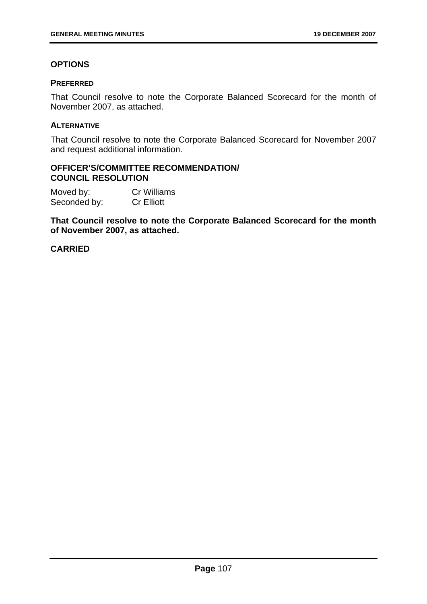## **OPTIONS**

## **PREFERRED**

That Council resolve to note the Corporate Balanced Scorecard for the month of November 2007, as attached.

### **ALTERNATIVE**

That Council resolve to note the Corporate Balanced Scorecard for November 2007 and request additional information.

#### **OFFICER'S/COMMITTEE RECOMMENDATION/ COUNCIL RESOLUTION**

Moved by: Cr Williams Seconded by: Cr Elliott

**That Council resolve to note the Corporate Balanced Scorecard for the month of November 2007, as attached.** 

## **CARRIED**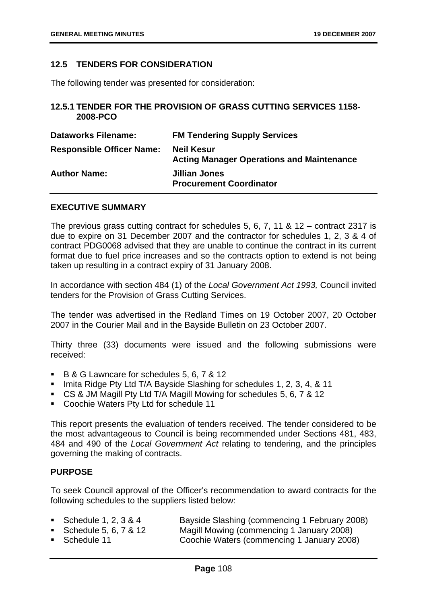## **12.5 TENDERS FOR CONSIDERATION**

The following tender was presented for consideration:

## **12.5.1 TENDER FOR THE PROVISION OF GRASS CUTTING SERVICES 1158- 2008-PCO**

| <b>Dataworks Filename:</b>       | <b>FM Tendering Supply Services</b>                                   |
|----------------------------------|-----------------------------------------------------------------------|
| <b>Responsible Officer Name:</b> | <b>Neil Kesur</b><br><b>Acting Manager Operations and Maintenance</b> |
| <b>Author Name:</b>              | <b>Jillian Jones</b><br><b>Procurement Coordinator</b>                |

#### **EXECUTIVE SUMMARY**

The previous grass cutting contract for schedules 5, 6, 7, 11 & 12 – contract 2317 is due to expire on 31 December 2007 and the contractor for schedules 1, 2, 3 & 4 of contract PDG0068 advised that they are unable to continue the contract in its current format due to fuel price increases and so the contracts option to extend is not being taken up resulting in a contract expiry of 31 January 2008.

In accordance with section 484 (1) of the *Local Government Act 1993,* Council invited tenders for the Provision of Grass Cutting Services.

The tender was advertised in the Redland Times on 19 October 2007, 20 October 2007 in the Courier Mail and in the Bayside Bulletin on 23 October 2007.

Thirty three (33) documents were issued and the following submissions were received:

- B & G Lawncare for schedules 5, 6, 7 & 12
- Imita Ridge Pty Ltd T/A Bayside Slashing for schedules 1, 2, 3, 4, & 11
- CS & JM Magill Pty Ltd T/A Magill Mowing for schedules 5, 6, 7 & 12
- Coochie Waters Pty Ltd for schedule 11

This report presents the evaluation of tenders received. The tender considered to be the most advantageous to Council is being recommended under Sections 481, 483, 484 and 490 of the *Local Government Act* relating to tendering, and the principles governing the making of contracts.

#### **PURPOSE**

To seek Council approval of the Officer's recommendation to award contracts for the following schedules to the suppliers listed below:

| ■ Schedule 1, 2, 3 & 4  | Bayside Slashing (commencing 1 February 2008) |
|-------------------------|-----------------------------------------------|
| ■ Schedule 5, 6, 7 & 12 | Magill Mowing (commencing 1 January 2008)     |
| ■ Schedule 11           | Coochie Waters (commencing 1 January 2008)    |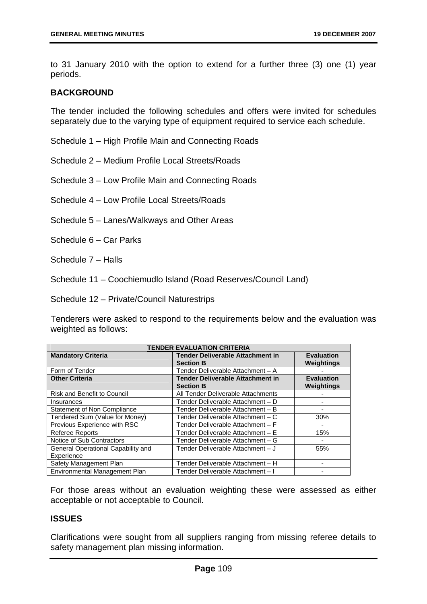to 31 January 2010 with the option to extend for a further three (3) one (1) year periods.

## **BACKGROUND**

The tender included the following schedules and offers were invited for schedules separately due to the varying type of equipment required to service each schedule.

Schedule 1 – High Profile Main and Connecting Roads

Schedule 2 – Medium Profile Local Streets/Roads

Schedule 3 – Low Profile Main and Connecting Roads

Schedule 4 – Low Profile Local Streets/Roads

Schedule 5 – Lanes/Walkways and Other Areas

Schedule 6 – Car Parks

Schedule 7 – Halls

Schedule 11 – Coochiemudlo Island (Road Reserves/Council Land)

Schedule 12 – Private/Council Naturestrips

Tenderers were asked to respond to the requirements below and the evaluation was weighted as follows:

| <b>TENDER EVALUATION CRITERIA</b>  |                                                             |                                 |
|------------------------------------|-------------------------------------------------------------|---------------------------------|
| <b>Mandatory Criteria</b>          | <b>Tender Deliverable Attachment in</b><br><b>Section B</b> | <b>Evaluation</b><br>Weightings |
| Form of Tender                     | Tender Deliverable Attachment - A                           |                                 |
| <b>Other Criteria</b>              | <b>Tender Deliverable Attachment in</b>                     | <b>Evaluation</b>               |
|                                    | <b>Section B</b>                                            | Weightings                      |
| Risk and Benefit to Council        | All Tender Deliverable Attachments                          |                                 |
| Insurances                         | Tender Deliverable Attachment - D                           |                                 |
| Statement of Non Compliance        | Tender Deliverable Attachment - B                           |                                 |
| Tendered Sum (Value for Money)     | Tender Deliverable Attachment - C                           | 30%                             |
| Previous Experience with RSC       | Tender Deliverable Attachment - F                           |                                 |
| <b>Referee Reports</b>             | Tender Deliverable Attachment - E                           | 15%                             |
| Notice of Sub Contractors          | Tender Deliverable Attachment - G                           |                                 |
| General Operational Capability and | Tender Deliverable Attachment - J                           | 55%                             |
| Experience                         |                                                             |                                 |
| Safety Management Plan             | Tender Deliverable Attachment - H                           |                                 |
| Environmental Management Plan      | Tender Deliverable Attachment - I                           |                                 |

For those areas without an evaluation weighting these were assessed as either acceptable or not acceptable to Council.

#### **ISSUES**

Clarifications were sought from all suppliers ranging from missing referee details to safety management plan missing information.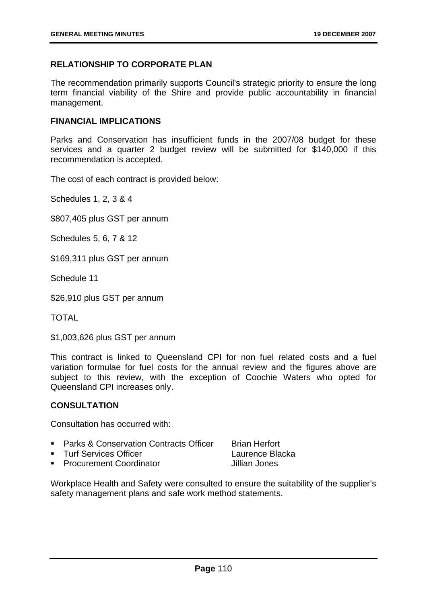## **RELATIONSHIP TO CORPORATE PLAN**

The recommendation primarily supports Council's strategic priority to ensure the long term financial viability of the Shire and provide public accountability in financial management.

#### **FINANCIAL IMPLICATIONS**

Parks and Conservation has insufficient funds in the 2007/08 budget for these services and a quarter 2 budget review will be submitted for \$140,000 if this recommendation is accepted.

The cost of each contract is provided below:

Schedules 1, 2, 3 & 4

\$807,405 plus GST per annum

Schedules 5, 6, 7 & 12

\$169,311 plus GST per annum

Schedule 11

\$26,910 plus GST per annum

TOTAL

\$1,003,626 plus GST per annum

This contract is linked to Queensland CPI for non fuel related costs and a fuel variation formulae for fuel costs for the annual review and the figures above are subject to this review, with the exception of Coochie Waters who opted for Queensland CPI increases only.

### **CONSULTATION**

Consultation has occurred with:

- **Parks & Conservation Contracts Officer Brian Herfort**
- Turf Services Officer Laurence Blacka
- **Procurement Coordinator Coordinator** Jillian Jones

Workplace Health and Safety were consulted to ensure the suitability of the supplier's safety management plans and safe work method statements.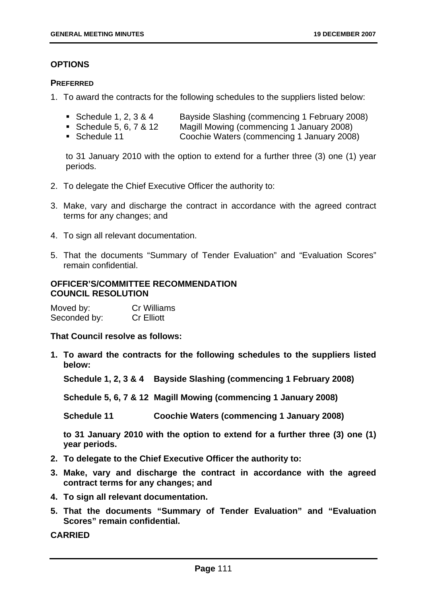## **OPTIONS**

## **PREFERRED**

- 1. To award the contracts for the following schedules to the suppliers listed below:
	- Schedule 1, 2, 3 & 4 Bayside Slashing (commencing 1 February 2008)
	- Schedule 5, 6, 7 & 12 Magill Mowing (commencing 1 January 2008)
	- Schedule 11 Coochie Waters (commencing 1 January 2008)

to 31 January 2010 with the option to extend for a further three (3) one (1) year periods.

- 2. To delegate the Chief Executive Officer the authority to:
- 3. Make, vary and discharge the contract in accordance with the agreed contract terms for any changes; and
- 4. To sign all relevant documentation.
- 5. That the documents "Summary of Tender Evaluation" and "Evaluation Scores" remain confidential.

## **OFFICER'S/COMMITTEE RECOMMENDATION COUNCIL RESOLUTION**

| Moved by:    | Cr Williams       |
|--------------|-------------------|
| Seconded by: | <b>Cr Elliott</b> |

**That Council resolve as follows:** 

**1. To award the contracts for the following schedules to the suppliers listed below:** 

**Schedule 1, 2, 3 & 4 Bayside Slashing (commencing 1 February 2008)** 

**Schedule 5, 6, 7 & 12 Magill Mowing (commencing 1 January 2008)** 

**Schedule 11 Coochie Waters (commencing 1 January 2008)** 

**to 31 January 2010 with the option to extend for a further three (3) one (1) year periods.** 

- **2. To delegate to the Chief Executive Officer the authority to:**
- **3. Make, vary and discharge the contract in accordance with the agreed contract terms for any changes; and**
- **4. To sign all relevant documentation.**
- **5. That the documents "Summary of Tender Evaluation" and "Evaluation Scores" remain confidential.**

**CARRIED**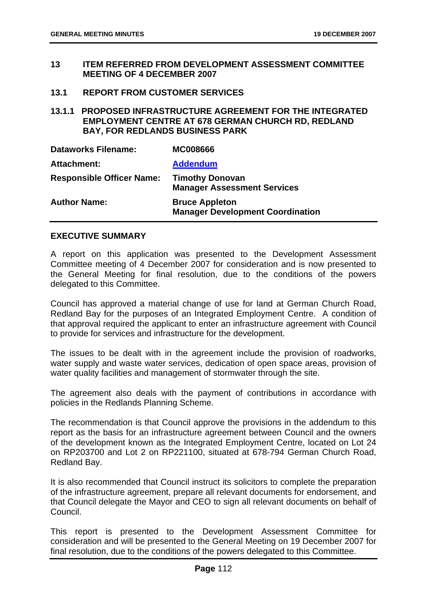- **13 ITEM REFERRED FROM DEVELOPMENT ASSESSMENT COMMITTEE MEETING OF 4 DECEMBER 2007**
- **13.1 REPORT FROM CUSTOMER SERVICES**

**13.1.1 PROPOSED INFRASTRUCTURE AGREEMENT FOR THE INTEGRATED EMPLOYMENT CENTRE AT 678 GERMAN CHURCH RD, REDLAND BAY, FOR REDLANDS BUSINESS PARK** 

| <b>Dataworks Filename:</b>       | <b>MC008666</b>                                                  |
|----------------------------------|------------------------------------------------------------------|
| <b>Attachment:</b>               | <b>Addendum</b>                                                  |
| <b>Responsible Officer Name:</b> | <b>Timothy Donovan</b><br><b>Manager Assessment Services</b>     |
| <b>Author Name:</b>              | <b>Bruce Appleton</b><br><b>Manager Development Coordination</b> |

#### **EXECUTIVE SUMMARY**

A report on this application was presented to the Development Assessment Committee meeting of 4 December 2007 for consideration and is now presented to the General Meeting for final resolution, due to the conditions of the powers delegated to this Committee.

Council has approved a material change of use for land at German Church Road, Redland Bay for the purposes of an Integrated Employment Centre. A condition of that approval required the applicant to enter an infrastructure agreement with Council to provide for services and infrastructure for the development.

The issues to be dealt with in the agreement include the provision of roadworks, water supply and waste water services, dedication of open space areas, provision of water quality facilities and management of stormwater through the site.

The agreement also deals with the payment of contributions in accordance with policies in the Redlands Planning Scheme.

The recommendation is that Council approve the provisions in the addendum to this report as the basis for an infrastructure agreement between Council and the owners of the development known as the Integrated Employment Centre, located on Lot 24 on RP203700 and Lot 2 on RP221100, situated at 678-794 German Church Road, Redland Bay.

It is also recommended that Council instruct its solicitors to complete the preparation of the infrastructure agreement, prepare all relevant documents for endorsement, and that Council delegate the Mayor and CEO to sign all relevant documents on behalf of Council.

This report is presented to the Development Assessment Committee for consideration and will be presented to the General Meeting on 19 December 2007 for final resolution, due to the conditions of the powers delegated to this Committee.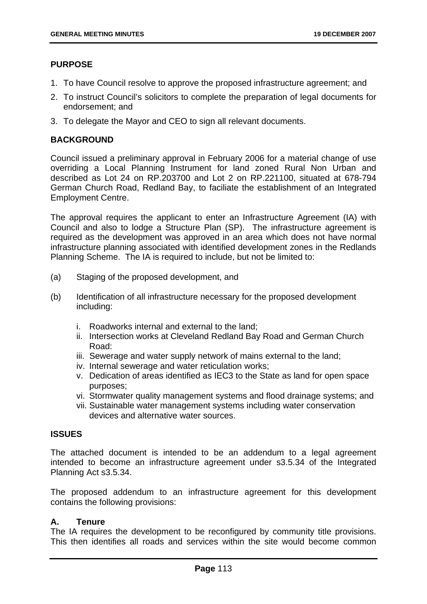## **PURPOSE**

- 1. To have Council resolve to approve the proposed infrastructure agreement; and
- 2. To instruct Council's solicitors to complete the preparation of legal documents for endorsement; and
- 3. To delegate the Mayor and CEO to sign all relevant documents.

### **BACKGROUND**

Council issued a preliminary approval in February 2006 for a material change of use overriding a Local Planning Instrument for land zoned Rural Non Urban and described as Lot 24 on RP.203700 and Lot 2 on RP.221100, situated at 678-794 German Church Road, Redland Bay, to faciliate the establishment of an Integrated Employment Centre.

The approval requires the applicant to enter an Infrastructure Agreement (IA) with Council and also to lodge a Structure Plan (SP). The infrastructure agreement is required as the development was approved in an area which does not have normal infrastructure planning associated with identified development zones in the Redlands Planning Scheme. The IA is required to include, but not be limited to:

- (a) Staging of the proposed development, and
- (b) Identification of all infrastructure necessary for the proposed development including:
	- i. Roadworks internal and external to the land;
	- ii. Intersection works at Cleveland Redland Bay Road and German Church Road:
	- iii. Sewerage and water supply network of mains external to the land;
	- iv. Internal sewerage and water reticulation works;
	- v. Dedication of areas identified as IEC3 to the State as land for open space purposes;
	- vi. Stormwater quality management systems and flood drainage systems; and
	- vii. Sustainable water management systems including water conservation devices and alternative water sources.

#### **ISSUES**

The attached document is intended to be an addendum to a legal agreement intended to become an infrastructure agreement under s3.5.34 of the Integrated Planning Act s3.5.34.

The proposed addendum to an infrastructure agreement for this development contains the following provisions:

### **A. Tenure**

The IA requires the development to be reconfigured by community title provisions. This then identifies all roads and services within the site would become common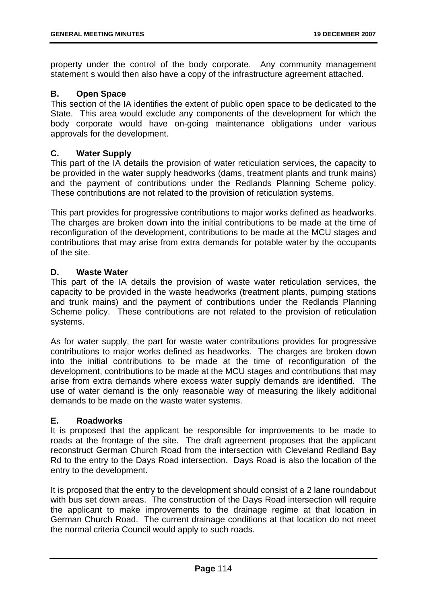property under the control of the body corporate. Any community management statement s would then also have a copy of the infrastructure agreement attached.

## **B. Open Space**

This section of the IA identifies the extent of public open space to be dedicated to the State. This area would exclude any components of the development for which the body corporate would have on-going maintenance obligations under various approvals for the development.

## **C. Water Supply**

This part of the IA details the provision of water reticulation services, the capacity to be provided in the water supply headworks (dams, treatment plants and trunk mains) and the payment of contributions under the Redlands Planning Scheme policy. These contributions are not related to the provision of reticulation systems.

This part provides for progressive contributions to major works defined as headworks. The charges are broken down into the initial contributions to be made at the time of reconfiguration of the development, contributions to be made at the MCU stages and contributions that may arise from extra demands for potable water by the occupants of the site.

## **D. Waste Water**

This part of the IA details the provision of waste water reticulation services, the capacity to be provided in the waste headworks (treatment plants, pumping stations and trunk mains) and the payment of contributions under the Redlands Planning Scheme policy. These contributions are not related to the provision of reticulation systems.

As for water supply, the part for waste water contributions provides for progressive contributions to major works defined as headworks. The charges are broken down into the initial contributions to be made at the time of reconfiguration of the development, contributions to be made at the MCU stages and contributions that may arise from extra demands where excess water supply demands are identified. The use of water demand is the only reasonable way of measuring the likely additional demands to be made on the waste water systems.

## **E. Roadworks**

It is proposed that the applicant be responsible for improvements to be made to roads at the frontage of the site. The draft agreement proposes that the applicant reconstruct German Church Road from the intersection with Cleveland Redland Bay Rd to the entry to the Days Road intersection. Days Road is also the location of the entry to the development.

It is proposed that the entry to the development should consist of a 2 lane roundabout with bus set down areas. The construction of the Days Road intersection will require the applicant to make improvements to the drainage regime at that location in German Church Road. The current drainage conditions at that location do not meet the normal criteria Council would apply to such roads.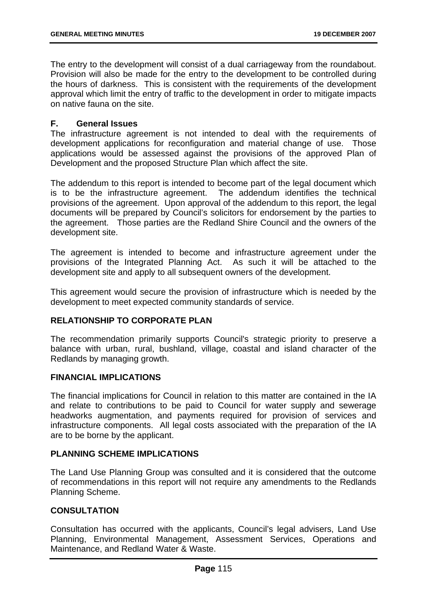The entry to the development will consist of a dual carriageway from the roundabout. Provision will also be made for the entry to the development to be controlled during the hours of darkness. This is consistent with the requirements of the development approval which limit the entry of traffic to the development in order to mitigate impacts on native fauna on the site.

## **F. General Issues**

The infrastructure agreement is not intended to deal with the requirements of development applications for reconfiguration and material change of use. Those applications would be assessed against the provisions of the approved Plan of Development and the proposed Structure Plan which affect the site.

The addendum to this report is intended to become part of the legal document which is to be the infrastructure agreement. The addendum identifies the technical provisions of the agreement. Upon approval of the addendum to this report, the legal documents will be prepared by Council's solicitors for endorsement by the parties to the agreement. Those parties are the Redland Shire Council and the owners of the development site.

The agreement is intended to become and infrastructure agreement under the provisions of the Integrated Planning Act. As such it will be attached to the development site and apply to all subsequent owners of the development.

This agreement would secure the provision of infrastructure which is needed by the development to meet expected community standards of service.

## **RELATIONSHIP TO CORPORATE PLAN**

The recommendation primarily supports Council's strategic priority to preserve a balance with urban, rural, bushland, village, coastal and island character of the Redlands by managing growth.

#### **FINANCIAL IMPLICATIONS**

The financial implications for Council in relation to this matter are contained in the IA and relate to contributions to be paid to Council for water supply and sewerage headworks augmentation, and payments required for provision of services and infrastructure components. All legal costs associated with the preparation of the IA are to be borne by the applicant.

#### **PLANNING SCHEME IMPLICATIONS**

The Land Use Planning Group was consulted and it is considered that the outcome of recommendations in this report will not require any amendments to the Redlands Planning Scheme.

#### **CONSULTATION**

Consultation has occurred with the applicants, Council's legal advisers, Land Use Planning, Environmental Management, Assessment Services, Operations and Maintenance, and Redland Water & Waste.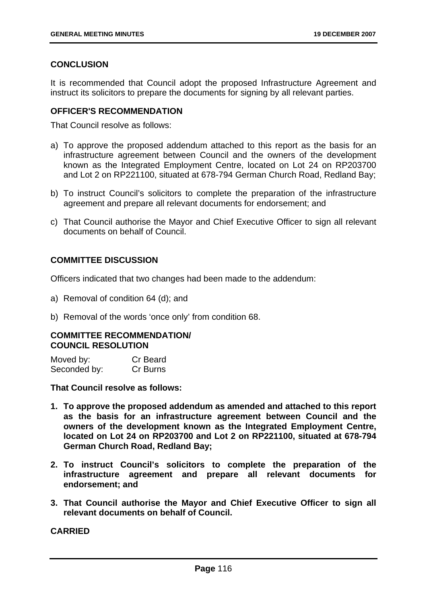## **CONCLUSION**

It is recommended that Council adopt the proposed Infrastructure Agreement and instruct its solicitors to prepare the documents for signing by all relevant parties.

## **OFFICER'S RECOMMENDATION**

That Council resolve as follows:

- a) To approve the proposed addendum attached to this report as the basis for an infrastructure agreement between Council and the owners of the development known as the Integrated Employment Centre, located on Lot 24 on RP203700 and Lot 2 on RP221100, situated at 678-794 German Church Road, Redland Bay;
- b) To instruct Council's solicitors to complete the preparation of the infrastructure agreement and prepare all relevant documents for endorsement; and
- c) That Council authorise the Mayor and Chief Executive Officer to sign all relevant documents on behalf of Council.

## **COMMITTEE DISCUSSION**

Officers indicated that two changes had been made to the addendum:

- a) Removal of condition 64 (d); and
- b) Removal of the words 'once only' from condition 68.

#### **COMMITTEE RECOMMENDATION/ COUNCIL RESOLUTION**

| Moved by:    | Cr Beard |
|--------------|----------|
| Seconded by: | Cr Burns |

**That Council resolve as follows:** 

- **1. To approve the proposed addendum as amended and attached to this report as the basis for an infrastructure agreement between Council and the owners of the development known as the Integrated Employment Centre, located on Lot 24 on RP203700 and Lot 2 on RP221100, situated at 678-794 German Church Road, Redland Bay;**
- **2. To instruct Council's solicitors to complete the preparation of the infrastructure agreement and prepare all relevant documents for endorsement; and**
- **3. That Council authorise the Mayor and Chief Executive Officer to sign all relevant documents on behalf of Council.**

**CARRIED**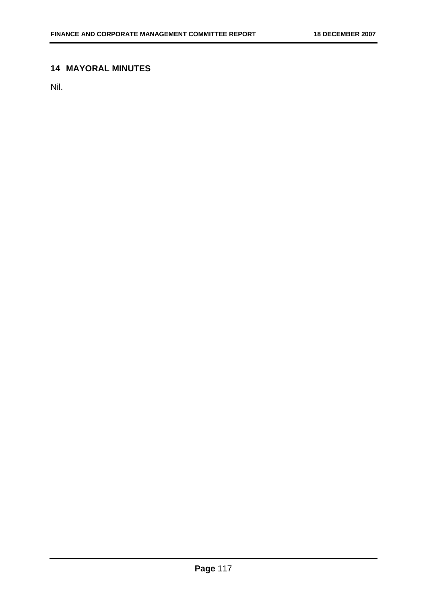# **14 MAYORAL MINUTES**

Nil.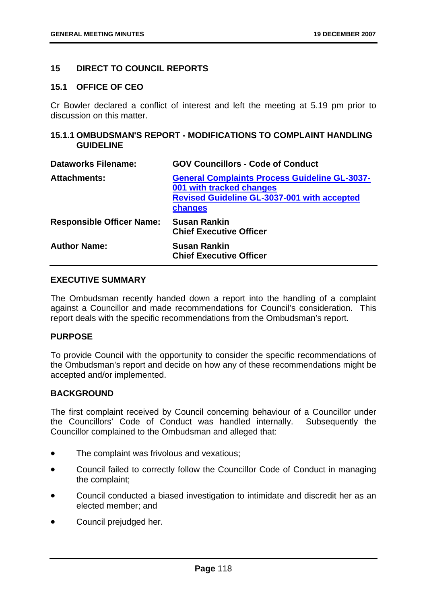## **15 DIRECT TO COUNCIL REPORTS**

#### **15.1 OFFICE OF CEO**

Cr Bowler declared a conflict of interest and left the meeting at 5.19 pm prior to discussion on this matter.

## **15.1.1 OMBUDSMAN'S REPORT - MODIFICATIONS TO COMPLAINT HANDLING GUIDELINE**

| <b>Dataworks Filename:</b>       | <b>GOV Councillors - Code of Conduct</b>                                                                                                          |
|----------------------------------|---------------------------------------------------------------------------------------------------------------------------------------------------|
| <b>Attachments:</b>              | <b>General Complaints Process Guideline GL-3037-</b><br>001 with tracked changes<br><b>Revised Guideline GL-3037-001 with accepted</b><br>changes |
| <b>Responsible Officer Name:</b> | <b>Susan Rankin</b><br><b>Chief Executive Officer</b>                                                                                             |
| <b>Author Name:</b>              | <b>Susan Rankin</b><br><b>Chief Executive Officer</b>                                                                                             |

## **EXECUTIVE SUMMARY**

The Ombudsman recently handed down a report into the handling of a complaint against a Councillor and made recommendations for Council's consideration. This report deals with the specific recommendations from the Ombudsman's report.

#### **PURPOSE**

To provide Council with the opportunity to consider the specific recommendations of the Ombudsman's report and decide on how any of these recommendations might be accepted and/or implemented.

#### **BACKGROUND**

The first complaint received by Council concerning behaviour of a Councillor under the Councillors' Code of Conduct was handled internally. Subsequently the Councillor complained to the Ombudsman and alleged that:

- The complaint was frivolous and vexatious;
- Council failed to correctly follow the Councillor Code of Conduct in managing the complaint;
- Council conducted a biased investigation to intimidate and discredit her as an elected member; and
- Council prejudged her.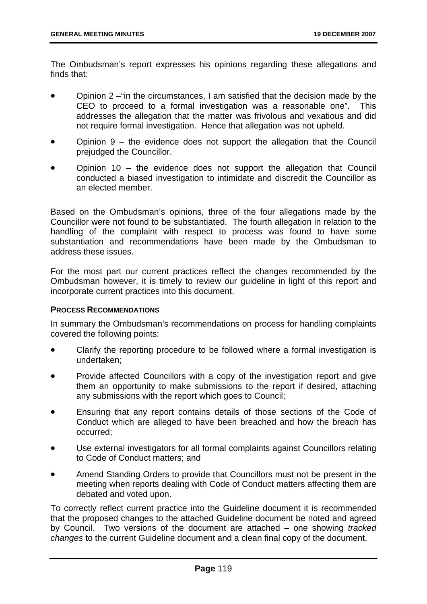The Ombudsman's report expresses his opinions regarding these allegations and finds that:

- Opinion 2 –"in the circumstances, I am satisfied that the decision made by the CEO to proceed to a formal investigation was a reasonable one". This addresses the allegation that the matter was frivolous and vexatious and did not require formal investigation. Hence that allegation was not upheld.
- Opinion  $9 -$  the evidence does not support the allegation that the Council prejudged the Councillor.
- Opinion 10 the evidence does not support the allegation that Council conducted a biased investigation to intimidate and discredit the Councillor as an elected member.

Based on the Ombudsman's opinions, three of the four allegations made by the Councillor were not found to be substantiated. The fourth allegation in relation to the handling of the complaint with respect to process was found to have some substantiation and recommendations have been made by the Ombudsman to address these issues.

For the most part our current practices reflect the changes recommended by the Ombudsman however, it is timely to review our guideline in light of this report and incorporate current practices into this document.

#### **PROCESS RECOMMENDATIONS**

In summary the Ombudsman's recommendations on process for handling complaints covered the following points:

- Clarify the reporting procedure to be followed where a formal investigation is undertaken;
- Provide affected Councillors with a copy of the investigation report and give them an opportunity to make submissions to the report if desired, attaching any submissions with the report which goes to Council;
- Ensuring that any report contains details of those sections of the Code of Conduct which are alleged to have been breached and how the breach has occurred;
- Use external investigators for all formal complaints against Councillors relating to Code of Conduct matters; and
- Amend Standing Orders to provide that Councillors must not be present in the meeting when reports dealing with Code of Conduct matters affecting them are debated and voted upon.

To correctly reflect current practice into the Guideline document it is recommended that the proposed changes to the attached Guideline document be noted and agreed by Council. Two versions of the document are attached – one showing *tracked changes* to the current Guideline document and a clean final copy of the document.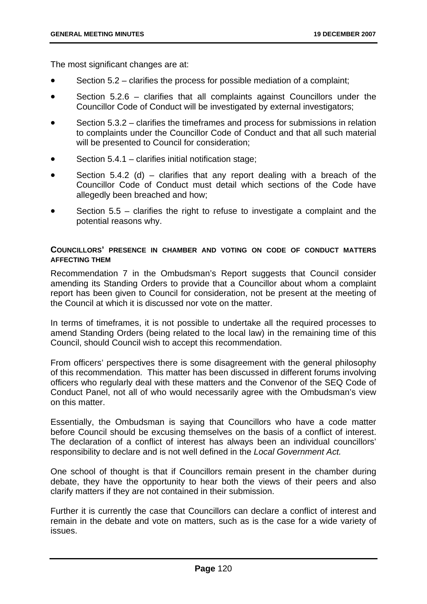The most significant changes are at:

- Section 5.2 clarifies the process for possible mediation of a complaint;
- Section 5.2.6 clarifies that all complaints against Councillors under the Councillor Code of Conduct will be investigated by external investigators;
- Section 5.3.2 clarifies the timeframes and process for submissions in relation to complaints under the Councillor Code of Conduct and that all such material will be presented to Council for consideration;
- Section 5.4.1 clarifies initial notification stage;
- Section 5.4.2 (d) clarifies that any report dealing with a breach of the Councillor Code of Conduct must detail which sections of the Code have allegedly been breached and how;
- Section  $5.5$  clarifies the right to refuse to investigate a complaint and the potential reasons why.

## **COUNCILLORS' PRESENCE IN CHAMBER AND VOTING ON CODE OF CONDUCT MATTERS AFFECTING THEM**

Recommendation 7 in the Ombudsman's Report suggests that Council consider amending its Standing Orders to provide that a Councillor about whom a complaint report has been given to Council for consideration, not be present at the meeting of the Council at which it is discussed nor vote on the matter.

In terms of timeframes, it is not possible to undertake all the required processes to amend Standing Orders (being related to the local law) in the remaining time of this Council, should Council wish to accept this recommendation.

From officers' perspectives there is some disagreement with the general philosophy of this recommendation. This matter has been discussed in different forums involving officers who regularly deal with these matters and the Convenor of the SEQ Code of Conduct Panel, not all of who would necessarily agree with the Ombudsman's view on this matter.

Essentially, the Ombudsman is saying that Councillors who have a code matter before Council should be excusing themselves on the basis of a conflict of interest. The declaration of a conflict of interest has always been an individual councillors' responsibility to declare and is not well defined in the *Local Government Act.*

One school of thought is that if Councillors remain present in the chamber during debate, they have the opportunity to hear both the views of their peers and also clarify matters if they are not contained in their submission.

Further it is currently the case that Councillors can declare a conflict of interest and remain in the debate and vote on matters, such as is the case for a wide variety of issues.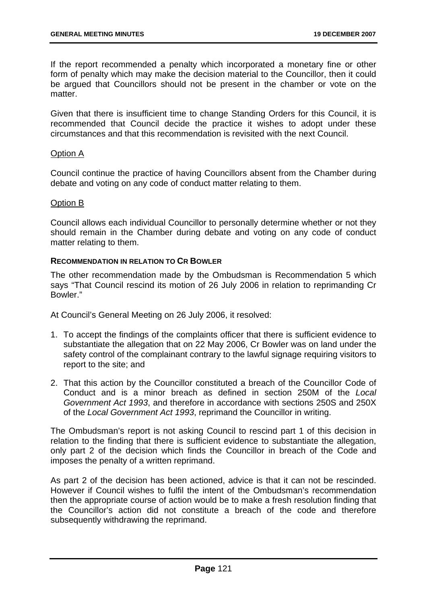If the report recommended a penalty which incorporated a monetary fine or other form of penalty which may make the decision material to the Councillor, then it could be argued that Councillors should not be present in the chamber or vote on the matter

Given that there is insufficient time to change Standing Orders for this Council, it is recommended that Council decide the practice it wishes to adopt under these circumstances and that this recommendation is revisited with the next Council.

## Option A

Council continue the practice of having Councillors absent from the Chamber during debate and voting on any code of conduct matter relating to them.

#### Option B

Council allows each individual Councillor to personally determine whether or not they should remain in the Chamber during debate and voting on any code of conduct matter relating to them.

## **RECOMMENDATION IN RELATION TO CR BOWLER**

The other recommendation made by the Ombudsman is Recommendation 5 which says "That Council rescind its motion of 26 July 2006 in relation to reprimanding Cr Bowler."

At Council's General Meeting on 26 July 2006, it resolved:

- 1. To accept the findings of the complaints officer that there is sufficient evidence to substantiate the allegation that on 22 May 2006, Cr Bowler was on land under the safety control of the complainant contrary to the lawful signage requiring visitors to report to the site; and
- 2. That this action by the Councillor constituted a breach of the Councillor Code of Conduct and is a minor breach as defined in section 250M of the *Local Government Act 1993*, and therefore in accordance with sections 250S and 250X of the *Local Government Act 1993*, reprimand the Councillor in writing.

The Ombudsman's report is not asking Council to rescind part 1 of this decision in relation to the finding that there is sufficient evidence to substantiate the allegation, only part 2 of the decision which finds the Councillor in breach of the Code and imposes the penalty of a written reprimand.

As part 2 of the decision has been actioned, advice is that it can not be rescinded. However if Council wishes to fulfil the intent of the Ombudsman's recommendation then the appropriate course of action would be to make a fresh resolution finding that the Councillor's action did not constitute a breach of the code and therefore subsequently withdrawing the reprimand.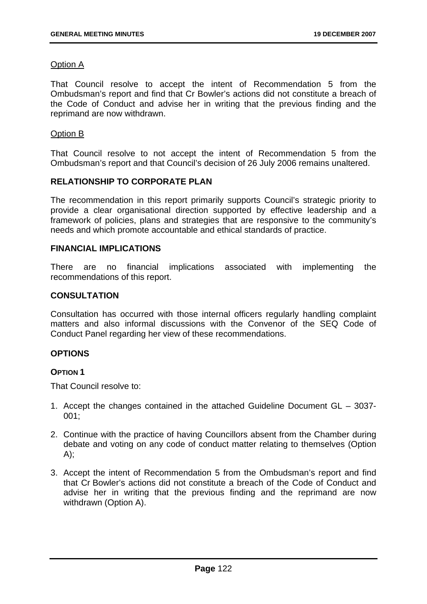## Option A

That Council resolve to accept the intent of Recommendation 5 from the Ombudsman's report and find that Cr Bowler's actions did not constitute a breach of the Code of Conduct and advise her in writing that the previous finding and the reprimand are now withdrawn.

### Option B

That Council resolve to not accept the intent of Recommendation 5 from the Ombudsman's report and that Council's decision of 26 July 2006 remains unaltered.

## **RELATIONSHIP TO CORPORATE PLAN**

The recommendation in this report primarily supports Council's strategic priority to provide a clear organisational direction supported by effective leadership and a framework of policies, plans and strategies that are responsive to the community's needs and which promote accountable and ethical standards of practice.

## **FINANCIAL IMPLICATIONS**

There are no financial implications associated with implementing the recommendations of this report.

## **CONSULTATION**

Consultation has occurred with those internal officers regularly handling complaint matters and also informal discussions with the Convenor of the SEQ Code of Conduct Panel regarding her view of these recommendations.

## **OPTIONS**

## **OPTION 1**

That Council resolve to:

- 1. Accept the changes contained in the attached Guideline Document GL 3037- 001;
- 2. Continue with the practice of having Councillors absent from the Chamber during debate and voting on any code of conduct matter relating to themselves (Option  $A$ :
- 3. Accept the intent of Recommendation 5 from the Ombudsman's report and find that Cr Bowler's actions did not constitute a breach of the Code of Conduct and advise her in writing that the previous finding and the reprimand are now withdrawn (Option A).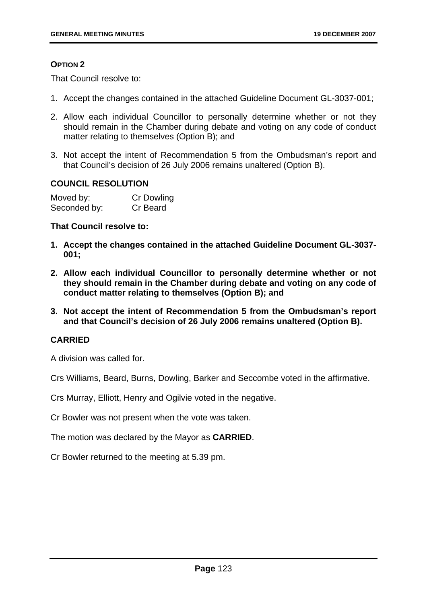## **OPTION 2**

That Council resolve to:

- 1. Accept the changes contained in the attached Guideline Document GL-3037-001;
- 2. Allow each individual Councillor to personally determine whether or not they should remain in the Chamber during debate and voting on any code of conduct matter relating to themselves (Option B); and
- 3. Not accept the intent of Recommendation 5 from the Ombudsman's report and that Council's decision of 26 July 2006 remains unaltered (Option B).

## **COUNCIL RESOLUTION**

| Moved by:    | <b>Cr Dowling</b> |
|--------------|-------------------|
| Seconded by: | Cr Beard          |

#### **That Council resolve to:**

- **1. Accept the changes contained in the attached Guideline Document GL-3037- 001;**
- **2. Allow each individual Councillor to personally determine whether or not they should remain in the Chamber during debate and voting on any code of conduct matter relating to themselves (Option B); and**
- **3. Not accept the intent of Recommendation 5 from the Ombudsman's report and that Council's decision of 26 July 2006 remains unaltered (Option B).**

## **CARRIED**

A division was called for.

Crs Williams, Beard, Burns, Dowling, Barker and Seccombe voted in the affirmative.

Crs Murray, Elliott, Henry and Ogilvie voted in the negative.

Cr Bowler was not present when the vote was taken.

The motion was declared by the Mayor as **CARRIED**.

Cr Bowler returned to the meeting at 5.39 pm.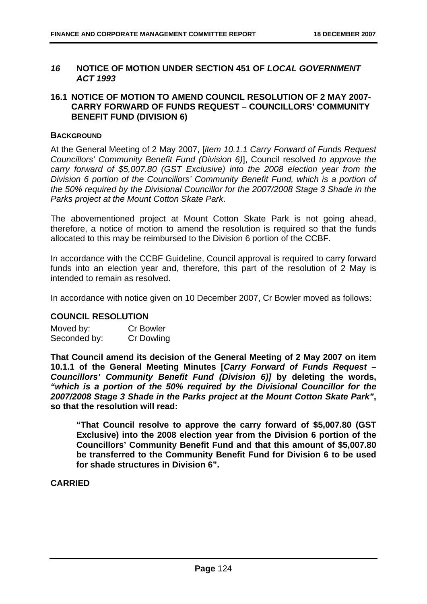## *16* **NOTICE OF MOTION UNDER SECTION 451 OF** *LOCAL GOVERNMENT ACT 1993*

## **16.1 NOTICE OF MOTION TO AMEND COUNCIL RESOLUTION OF 2 MAY 2007- CARRY FORWARD OF FUNDS REQUEST – COUNCILLORS' COMMUNITY BENEFIT FUND (DIVISION 6)**

## **BACKGROUND**

At the General Meeting of 2 May 2007, [*item 10.1.1 Carry Forward of Funds Request Councillors' Community Benefit Fund (Division 6)*], Council resolved *to approve the carry forward of \$5,007.80 (GST Exclusive) into the 2008 election year from the Division 6 portion of the Councillors' Community Benefit Fund, which is a portion of the 50% required by the Divisional Councillor for the 2007/2008 Stage 3 Shade in the Parks project at the Mount Cotton Skate Park*.

The abovementioned project at Mount Cotton Skate Park is not going ahead, therefore, a notice of motion to amend the resolution is required so that the funds allocated to this may be reimbursed to the Division 6 portion of the CCBF.

In accordance with the CCBF Guideline, Council approval is required to carry forward funds into an election year and, therefore, this part of the resolution of 2 May is intended to remain as resolved.

In accordance with notice given on 10 December 2007, Cr Bowler moved as follows:

## **COUNCIL RESOLUTION**

| Moved by:    | <b>Cr Bowler</b> |
|--------------|------------------|
| Seconded by: | Cr Dowling       |

**That Council amend its decision of the General Meeting of 2 May 2007 on item 10.1.1 of the General Meeting Minutes [***Carry Forward of Funds Request – Councillors' Community Benefit Fund (Division 6)]* **by deleting the words,**  *"which is a portion of the 50% required by the Divisional Councillor for the 2007/2008 Stage 3 Shade in the Parks project at the Mount Cotton Skate Park"***, so that the resolution will read:** 

**"That Council resolve to approve the carry forward of \$5,007.80 (GST Exclusive) into the 2008 election year from the Division 6 portion of the Councillors' Community Benefit Fund and that this amount of \$5,007.80 be transferred to the Community Benefit Fund for Division 6 to be used for shade structures in Division 6".** 

**CARRIED**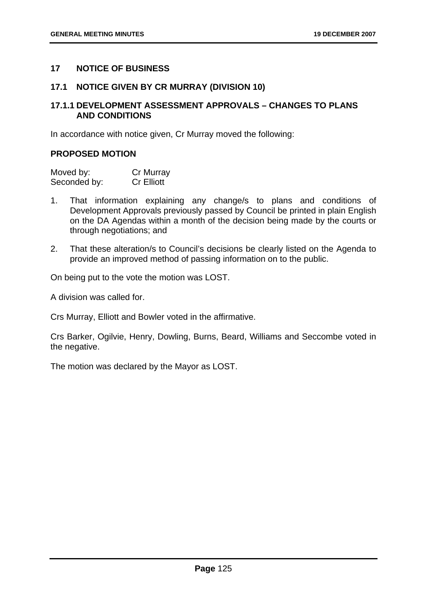## **17 NOTICE OF BUSINESS**

### **17.1 NOTICE GIVEN BY CR MURRAY (DIVISION 10)**

### **17.1.1 DEVELOPMENT ASSESSMENT APPROVALS – CHANGES TO PLANS AND CONDITIONS**

In accordance with notice given, Cr Murray moved the following:

## **PROPOSED MOTION**

| Moved by:    | Cr Murray         |
|--------------|-------------------|
| Seconded by: | <b>Cr Elliott</b> |

- 1. That information explaining any change/s to plans and conditions of Development Approvals previously passed by Council be printed in plain English on the DA Agendas within a month of the decision being made by the courts or through negotiations; and
- 2. That these alteration/s to Council's decisions be clearly listed on the Agenda to provide an improved method of passing information on to the public.

On being put to the vote the motion was LOST.

A division was called for.

Crs Murray, Elliott and Bowler voted in the affirmative.

Crs Barker, Ogilvie, Henry, Dowling, Burns, Beard, Williams and Seccombe voted in the negative.

The motion was declared by the Mayor as LOST.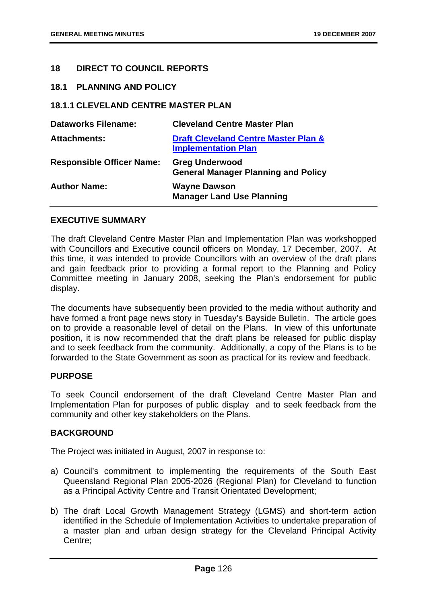## **18 DIRECT TO COUNCIL REPORTS**

#### **18.1 PLANNING AND POLICY**

## **18.1.1 CLEVELAND CENTRE MASTER PLAN**

| <b>Dataworks Filename:</b>       | <b>Cleveland Centre Master Plan</b>                                           |
|----------------------------------|-------------------------------------------------------------------------------|
| <b>Attachments:</b>              | <b>Draft Cleveland Centre Master Plan &amp;</b><br><b>Implementation Plan</b> |
| <b>Responsible Officer Name:</b> | <b>Greg Underwood</b><br><b>General Manager Planning and Policy</b>           |
| <b>Author Name:</b>              | <b>Wayne Dawson</b><br><b>Manager Land Use Planning</b>                       |

## **EXECUTIVE SUMMARY**

The draft Cleveland Centre Master Plan and Implementation Plan was workshopped with Councillors and Executive council officers on Monday, 17 December, 2007. At this time, it was intended to provide Councillors with an overview of the draft plans and gain feedback prior to providing a formal report to the Planning and Policy Committee meeting in January 2008, seeking the Plan's endorsement for public display.

The documents have subsequently been provided to the media without authority and have formed a front page news story in Tuesday's Bayside Bulletin. The article goes on to provide a reasonable level of detail on the Plans. In view of this unfortunate position, it is now recommended that the draft plans be released for public display and to seek feedback from the community. Additionally, a copy of the Plans is to be forwarded to the State Government as soon as practical for its review and feedback.

## **PURPOSE**

To seek Council endorsement of the draft Cleveland Centre Master Plan and Implementation Plan for purposes of public display and to seek feedback from the community and other key stakeholders on the Plans.

#### **BACKGROUND**

The Project was initiated in August, 2007 in response to:

- a) Council's commitment to implementing the requirements of the South East Queensland Regional Plan 2005-2026 (Regional Plan) for Cleveland to function as a Principal Activity Centre and Transit Orientated Development;
- b) The draft Local Growth Management Strategy (LGMS) and short-term action identified in the Schedule of Implementation Activities to undertake preparation of a master plan and urban design strategy for the Cleveland Principal Activity Centre;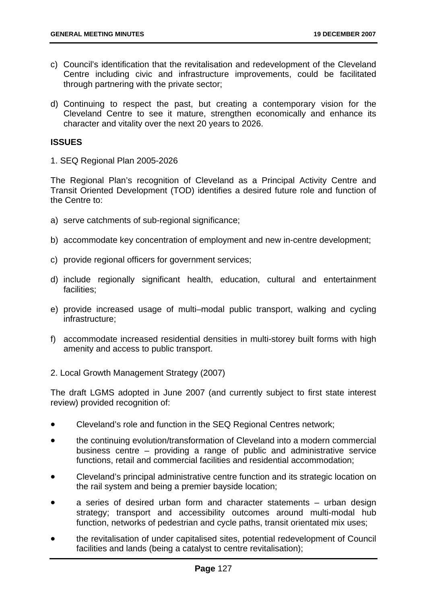- c) Council's identification that the revitalisation and redevelopment of the Cleveland Centre including civic and infrastructure improvements, could be facilitated through partnering with the private sector;
- d) Continuing to respect the past, but creating a contemporary vision for the Cleveland Centre to see it mature, strengthen economically and enhance its character and vitality over the next 20 years to 2026.

## **ISSUES**

1. SEQ Regional Plan 2005-2026

The Regional Plan's recognition of Cleveland as a Principal Activity Centre and Transit Oriented Development (TOD) identifies a desired future role and function of the Centre to:

- a) serve catchments of sub-regional significance;
- b) accommodate key concentration of employment and new in-centre development;
- c) provide regional officers for government services;
- d) include regionally significant health, education, cultural and entertainment facilities;
- e) provide increased usage of multi–modal public transport, walking and cycling infrastructure;
- f) accommodate increased residential densities in multi-storey built forms with high amenity and access to public transport.
- 2. Local Growth Management Strategy (2007)

The draft LGMS adopted in June 2007 (and currently subject to first state interest review) provided recognition of:

- Cleveland's role and function in the SEQ Regional Centres network;
- the continuing evolution/transformation of Cleveland into a modern commercial business centre – providing a range of public and administrative service functions, retail and commercial facilities and residential accommodation;
- Cleveland's principal administrative centre function and its strategic location on the rail system and being a premier bayside location;
- a series of desired urban form and character statements urban design strategy; transport and accessibility outcomes around multi-modal hub function, networks of pedestrian and cycle paths, transit orientated mix uses;
- the revitalisation of under capitalised sites, potential redevelopment of Council facilities and lands (being a catalyst to centre revitalisation);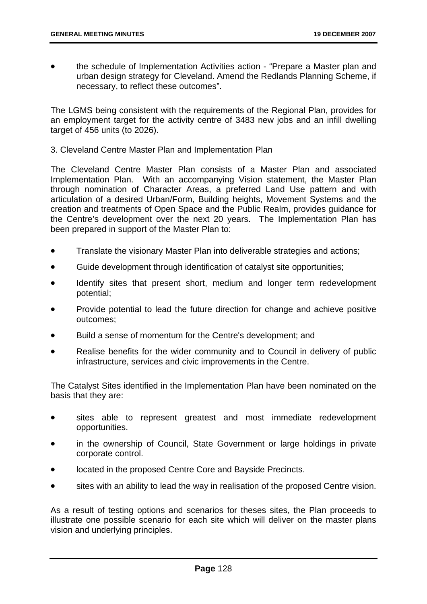• the schedule of Implementation Activities action - "Prepare a Master plan and urban design strategy for Cleveland. Amend the Redlands Planning Scheme, if necessary, to reflect these outcomes".

The LGMS being consistent with the requirements of the Regional Plan, provides for an employment target for the activity centre of 3483 new jobs and an infill dwelling target of 456 units (to 2026).

3. Cleveland Centre Master Plan and Implementation Plan

The Cleveland Centre Master Plan consists of a Master Plan and associated Implementation Plan. With an accompanying Vision statement, the Master Plan through nomination of Character Areas, a preferred Land Use pattern and with articulation of a desired Urban/Form, Building heights, Movement Systems and the creation and treatments of Open Space and the Public Realm, provides guidance for the Centre's development over the next 20 years. The Implementation Plan has been prepared in support of the Master Plan to:

- Translate the visionary Master Plan into deliverable strategies and actions;
- Guide development through identification of catalyst site opportunities;
- Identify sites that present short, medium and longer term redevelopment potential;
- Provide potential to lead the future direction for change and achieve positive outcomes;
- Build a sense of momentum for the Centre's development; and
- Realise benefits for the wider community and to Council in delivery of public infrastructure, services and civic improvements in the Centre.

The Catalyst Sites identified in the Implementation Plan have been nominated on the basis that they are:

- sites able to represent greatest and most immediate redevelopment opportunities.
- in the ownership of Council. State Government or large holdings in private corporate control.
- located in the proposed Centre Core and Bayside Precincts.
- sites with an ability to lead the way in realisation of the proposed Centre vision.

As a result of testing options and scenarios for theses sites, the Plan proceeds to illustrate one possible scenario for each site which will deliver on the master plans vision and underlying principles.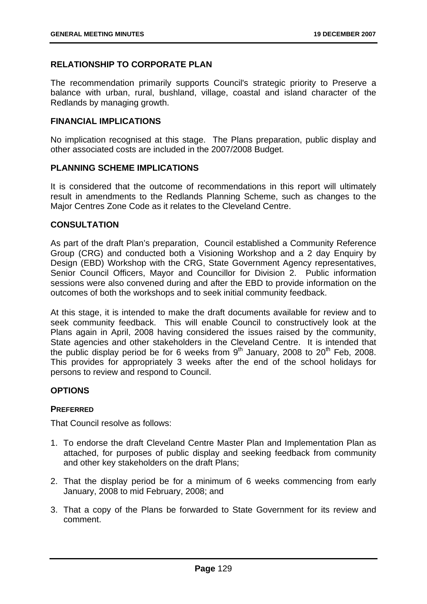## **RELATIONSHIP TO CORPORATE PLAN**

The recommendation primarily supports Council's strategic priority to Preserve a balance with urban, rural, bushland, village, coastal and island character of the Redlands by managing growth.

## **FINANCIAL IMPLICATIONS**

No implication recognised at this stage. The Plans preparation, public display and other associated costs are included in the 2007/2008 Budget.

## **PLANNING SCHEME IMPLICATIONS**

It is considered that the outcome of recommendations in this report will ultimately result in amendments to the Redlands Planning Scheme, such as changes to the Major Centres Zone Code as it relates to the Cleveland Centre.

## **CONSULTATION**

As part of the draft Plan's preparation, Council established a Community Reference Group (CRG) and conducted both a Visioning Workshop and a 2 day Enquiry by Design (EBD) Workshop with the CRG, State Government Agency representatives, Senior Council Officers, Mayor and Councillor for Division 2. Public information sessions were also convened during and after the EBD to provide information on the outcomes of both the workshops and to seek initial community feedback.

At this stage, it is intended to make the draft documents available for review and to seek community feedback. This will enable Council to constructively look at the Plans again in April, 2008 having considered the issues raised by the community, State agencies and other stakeholders in the Cleveland Centre. It is intended that the public display period be for 6 weeks from  $9<sup>th</sup>$  January, 2008 to 20<sup>th</sup> Feb, 2008. This provides for appropriately 3 weeks after the end of the school holidays for persons to review and respond to Council.

## **OPTIONS**

#### **PREFERRED**

That Council resolve as follows:

- 1. To endorse the draft Cleveland Centre Master Plan and Implementation Plan as attached, for purposes of public display and seeking feedback from community and other key stakeholders on the draft Plans;
- 2. That the display period be for a minimum of 6 weeks commencing from early January, 2008 to mid February, 2008; and
- 3. That a copy of the Plans be forwarded to State Government for its review and comment.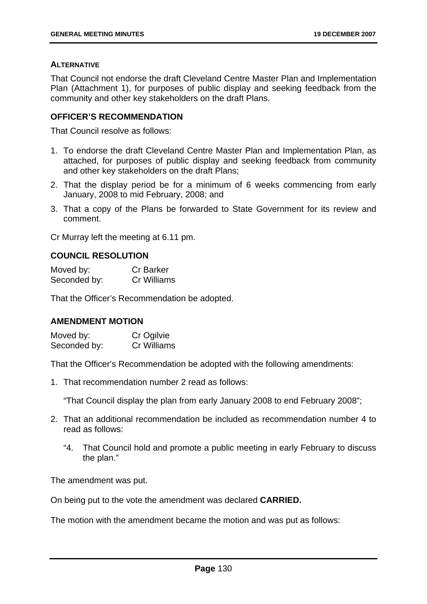#### **ALTERNATIVE**

That Council not endorse the draft Cleveland Centre Master Plan and Implementation Plan (Attachment 1), for purposes of public display and seeking feedback from the community and other key stakeholders on the draft Plans.

## **OFFICER'S RECOMMENDATION**

That Council resolve as follows:

- 1. To endorse the draft Cleveland Centre Master Plan and Implementation Plan, as attached, for purposes of public display and seeking feedback from community and other key stakeholders on the draft Plans;
- 2. That the display period be for a minimum of 6 weeks commencing from early January, 2008 to mid February, 2008; and
- 3. That a copy of the Plans be forwarded to State Government for its review and comment.

Cr Murray left the meeting at 6.11 pm.

## **COUNCIL RESOLUTION**

| Moved by:    | <b>Cr Barker</b> |
|--------------|------------------|
| Seconded by: | Cr Williams      |

That the Officer's Recommendation be adopted.

## **AMENDMENT MOTION**

Moved by: Cr Ogilvie Seconded by: Cr Williams

That the Officer's Recommendation be adopted with the following amendments:

1. That recommendation number 2 read as follows:

"That Council display the plan from early January 2008 to end February 2008";

- 2. That an additional recommendation be included as recommendation number 4 to read as follows:
	- "4. That Council hold and promote a public meeting in early February to discuss the plan."

The amendment was put.

On being put to the vote the amendment was declared **CARRIED.**

The motion with the amendment became the motion and was put as follows: